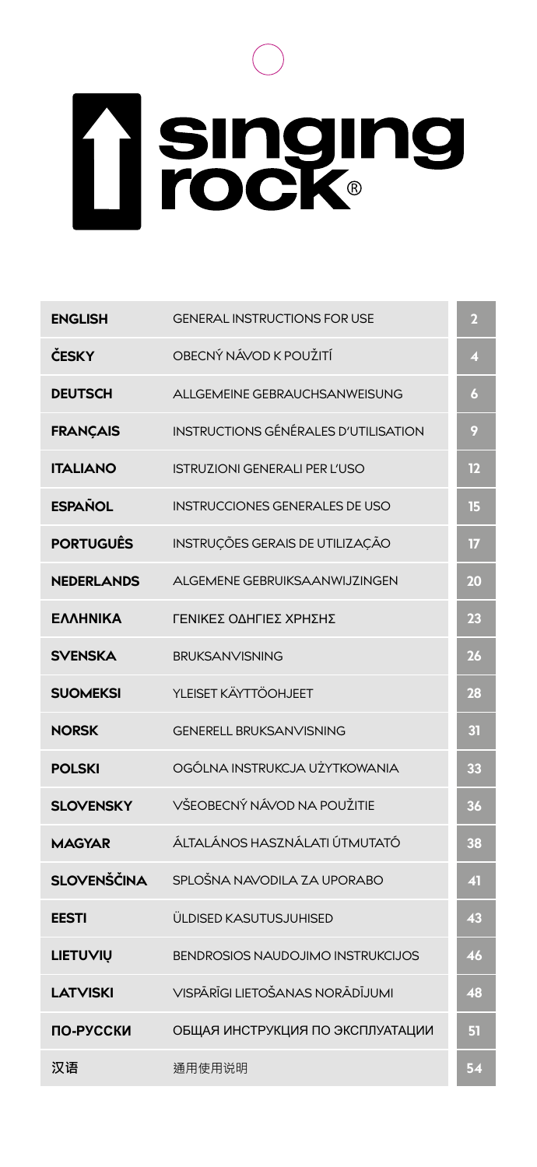# **T** singing

| <b>ENGLISH</b>    | <b>GENERAL INSTRUCTIONS FOR USE</b>   | л       |
|-------------------|---------------------------------------|---------|
| ČESKY             | OBECNÝ NÁVOD K POUŽITÍ                | 4       |
| <b>DEUTSCH</b>    | ALLGEMEINE GEBRAUCHSANWEISUNG         | 6       |
| <b>FRANCAIS</b>   | INSTRUCTIONS GÉNÉRALES D'UTILISATION  | $\cdot$ |
| <b>ITALIANO</b>   | <b>ISTRUZIONI GENERALI PER L'USO</b>  | 12      |
| <b>ESPAÑOL</b>    | <b>INSTRUCCIONES GENERALES DE USO</b> | 15      |
| <b>PORTUGUÊS</b>  | INSTRUCÕES GERAIS DE UTILIZAÇÃO       | TZ.     |
| <b>NEDERLANDS</b> | AI GEMENE GEBRUIKSAANWIJ7INGEN        | 20      |
| ΕΛΛΗΝΙΚΑ          | ΓΕΝΙΚΕΣ ΟΛΗΓΙΕΣ ΧΡΗΣΗΣ                | 23      |
| <b>SVENSKA</b>    | BRUKSANVISNING                        | 26      |
| <b>SUOMEKSI</b>   | YI FISFT KÄYTTÖOHJEFT                 | 28      |
| <b>NORSK</b>      | <b>GENERELL BRUKSANVISNING</b>        | 3Ī      |
| <b>POLSKI</b>     | OGÓLNA INSTRUKCJA UŻYTKOWANIA         | 33      |
| <b>SLOVENSKY</b>  | VŠEOBECNÝ NÁVOD NA POUŽITIE           | 36      |
| <b>MAGYAR</b>     | ÁLTALÁNOS HASZNÁLATI ÚTMUTATÓ         | 38      |
| SLOVENŠČINA       | SPLOŠNA NAVODILA ZA UPORABO           | 41      |
| <b>EESTI</b>      | ÜLDISED KASUTUSJUHISED                | 43      |
| LIETUVIU          | BENDROSIOS NAUDOJIMO INSTRUKCIJOS     | 46      |
| <b>LATVISKI</b>   | VISPĀRĪGI I IFTOŠANAS NORĀDĪJUMI      | 48      |
| ПО-РУССКИ         | ОБЩАЯ ИНСТРУКЦИЯ ПО ЭКСПЛУАТАЦИИ      | 51      |
| 汉语                | 通用使用说明                                | 54      |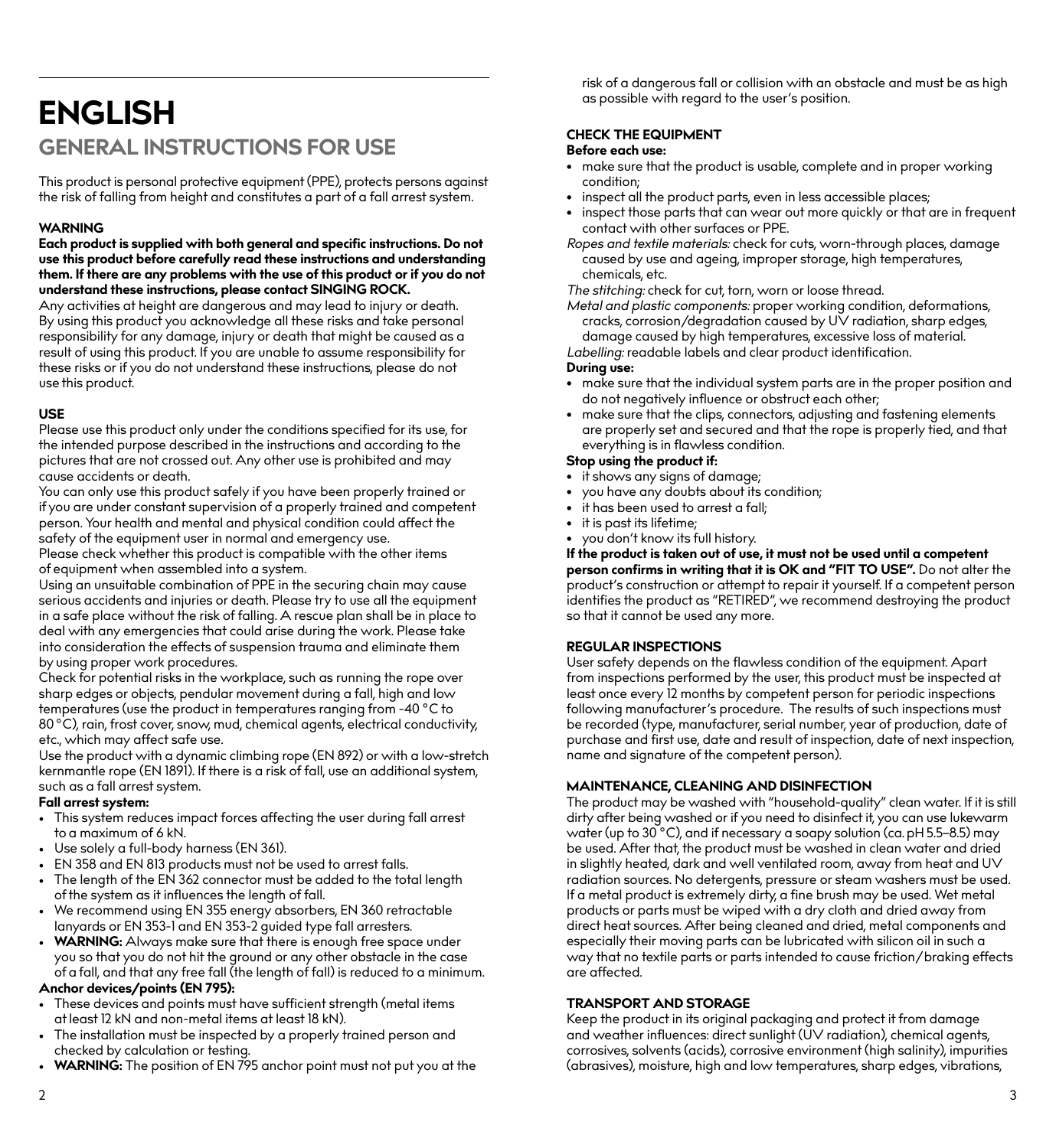## **ENGLISH GENERAL INSTRUCTIONS FOR USE**

This product is personal protective equipment (PPE), protects persons against the risk of falling from height and constitutes a part of a fall arrest system.

#### **WARNING**

**Each product is supplied with both general and specific instructions. Do not use this product before carefully read these instructions and understanding them. If there are any problems with the use of this product or if you do not understand these instructions, please contact SINGING ROCK.**

Any activities at height are dangerous and may lead to injury or death. By using this product you acknowledge all these risks and take personal responsibility for any damage, injury or death that might be caused as a result of using this product. If you are unable to assume responsibility for these risks or if you do not understand these instructions, please do not use this product.

#### **USE**

Please use this product only under the conditions specified for its use, for the intended purpose described in the instructions and according to the pictures that are not crossed out. Any other use is prohibited and may cause accidents or death.

You can only use this product safely if you have been properly trained or if you are under constant supervision of a properly trained and competent person. Your health and mental and physical condition could affect the safety of the equipment user in normal and emergency use.

Please check whether this product is compatible with the other items of equipment when assembled into a system.

Using an unsuitable combination of PPE in the securing chain may cause serious accidents and injuries or death. Please try to use all the equipment in a safe place without the risk of falling. A rescue plan shall be in place to deal with any emergencies that could arise during the work. Please take into consideration the effects of suspension trauma and eliminate them by using proper work procedures.

Check for potential risks in the workplace, such as running the rope over sharp edges or objects, pendular movement during a fall, high and low temperatures (use the product in temperatures ranging from -40 °C to 80 °C), rain, frost cover, snow, mud, chemical agents, electrical conductivity, etc., which may affect safe use.

Use the product with a dynamic climbing rope (EN 892) or with a low-stretch kernmantle rope (EN 1891). If there is a risk of fall, use an additional system, such as a fall arrest system.

#### **Fall arrest system:**

- This system reduces impact forces affecting the user during fall arrest to a maximum of 6 kN.
- Use solely a full-body harness (EN 361).
- EN 358 and EN 813 products must not be used to arrest falls.
- The length of the EN 362 connector must be added to the total length of the system as it influences the length of fall.
- We recommend using EN 355 energy absorbers, EN 360 retractable lanyards or EN 353-1 and EN 353-2 guided type fall arresters.
- **WARNING:** Always make sure that there is enough free space under you so that you do not hit the ground or any other obstacle in the case of a fall, and that any free fall (the length of fall) is reduced to a minimum. **Anchor devices/points (EN 795):**
- These devices and points must have sufficient strength (metal items at least 12 kN and non-metal items at least 18 kN).
- The installation must be inspected by a properly trained person and checked by calculation or testing.
- **WARNING:** The position of EN 795 anchor point must not put you at the

risk of a dangerous fall or collision with an obstacle and must be as high as possible with regard to the user's position.

#### **CHECK THE EQUIPMENT**

#### **Before each use:**

- make sure that the product is usable, complete and in proper working condition;
- inspect all the product parts, even in less accessible places;
- inspect those parts that can wear out more quickly or that are in frequent contact with other surfaces or PPE.
- *Ropes and textile materials:* check for cuts, worn-through places, damage caused by use and ageing, improper storage, high temperatures, chemicals, etc.

*The stitching:* check for cut, torn, worn or loose thread.

*Metal and plastic components:* proper working condition, deformations, cracks, corrosion/degradation caused by UV radiation, sharp edges, damage caused by high temperatures, excessive loss of material.

*Labelling:* readable labels and clear product identification.

#### **During use:**

- make sure that the individual system parts are in the proper position and do not negatively influence or obstruct each other;
- make sure that the clips, connectors, adjusting and fastening elements are properly set and secured and that the rope is properly tied, and that everything is in flawless condition.

#### **Stop using the product if:**

- it shows any signs of damage;
- you have any doubts about its condition;
- it has been used to arrest a fall;
- it is past its lifetime;
- you don't know its full history.

**If the product is taken out of use, it must not be used until a competent person confirms in writing that it is OK and "FIT TO USE".** Do not alter the product's construction or attempt to repair it yourself. If a competent person identifies the product as "RETIRED", we recommend destroying the product so that it cannot be used any more.

#### **REGULAR INSPECTIONS**

User safety depends on the flawless condition of the equipment. Apart from inspections performed by the user, this product must be inspected at least once every 12 months by competent person for periodic inspections following manufacturer's procedure. The results of such inspections must be recorded (type, manufacturer, serial number, year of production, date of purchase and first use, date and result of inspection, date of next inspection, name and signature of the competent person).

#### **MAINTENANCE, CLEANING AND DISINFECTION**

The product may be washed with "household-quality" clean water. If it is still dirty after being washed or if you need to disinfect it, you can use lukewarm water (up to 30 °C), and if necessary a soapy solution (ca. pH 5.5–8.5) may be used. After that, the product must be washed in clean water and dried in slightly heated, dark and well ventilated room, away from heat and UV radiation sources. No detergents, pressure or steam washers must be used. If a metal product is extremely dirty, a fine brush may be used. Wet metal products or parts must be wiped with a dry cloth and dried away from direct heat sources. After being cleaned and dried, metal components and especially their moving parts can be lubricated with silicon oil in such a way that no textile parts or parts intended to cause friction/braking effects are affected.

#### **TRANSPORT AND STORAGE**

Keep the product in its original packaging and protect it from damage and weather influences: direct sunlight (UV radiation), chemical agents, corrosives, solvents (acids), corrosive environment (high salinity), impurities (abrasives), moisture, high and low temperatures, sharp edges, vibrations,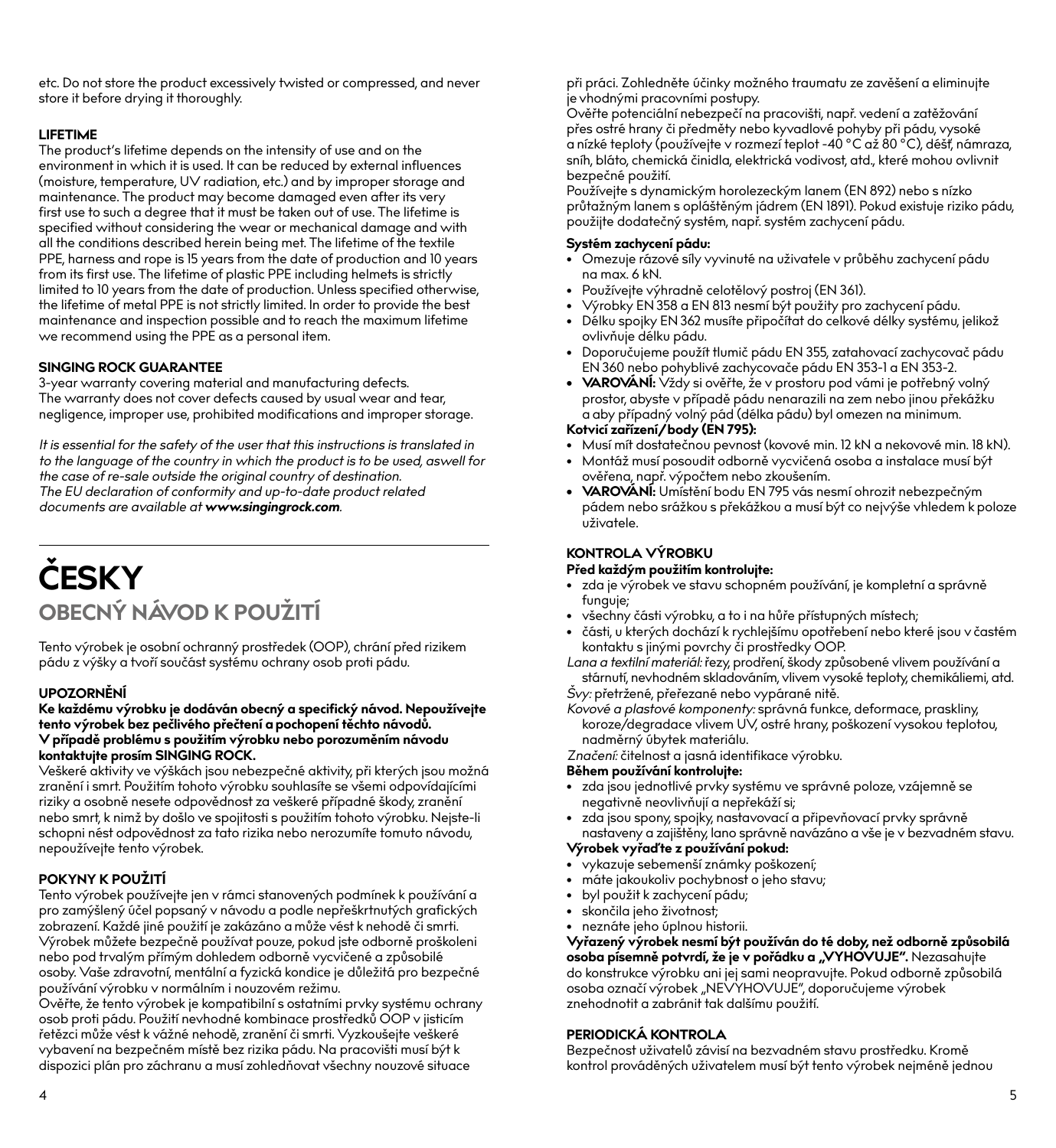etc. Do not store the product excessively twisted or compressed, and never store it before drying it thoroughly.

#### **LIFETIME**

The product's lifetime depends on the intensity of use and on the environment in which it is used. It can be reduced by external influences (moisture, temperature, UV radiation, etc.) and by improper storage and maintenance. The product may become damaged even after its very first use to such a degree that it must be taken out of use. The lifetime is specified without considering the wear or mechanical damage and with all the conditions described herein being met. The lifetime of the textile PPE, harness and rope is 15 years from the date of production and 10 years from its first use. The lifetime of plastic PPE including helmets is strictly limited to 10 years from the date of production. Unless specified otherwise, the lifetime of metal PPE is not strictly limited. In order to provide the best maintenance and inspection possible and to reach the maximum lifetime we recommend using the PPE as a personal item.

#### **SINGING ROCK GUARANTEE**

3-year warranty covering material and manufacturing defects. The warranty does not cover defects caused by usual wear and tear, negligence, improper use, prohibited modifications and improper storage.

*It is essential for the safety of the user that this instructions is translated in to the language of the country in which the product is to be used, aswell for the case of re-sale outside the original country of destination. The EU declaration of conformity and up-to-date product related documents are available at www.singingrock.com.*

# **ČESKY OBECNÝ NÁVOD K POUŽITÍ**

Tento výrobek je osobní ochranný prostředek (OOP), chrání před rizikem pádu z výšky a tvoří součást systému ochrany osob proti pádu.

#### **UPOZORNĚNÍ**

#### **Ke každému výrobku je dodáván obecný a specifický návod. Nepoužívejte tento výrobek bez pečlivého přečtení a pochopení těchto návodů. V případě problému s použitím výrobku nebo porozuměním návodu kontaktujte prosím SINGING ROCK.**

Veškeré aktivity ve výškách jsou nebezpečné aktivity, při kterých jsou možná zranění i smrt. Použitím tohoto výrobku souhlasíte se všemi odpovídajícími riziky a osobně nesete odpovědnost za veškeré případné škody, zranění nebo smrt, k nimž by došlo ve spojitosti s použitím tohoto výrobku. Nejste-li schopni nést odpovědnost za tato rizika nebo nerozumíte tomuto návodu, nepoužívejte tento výrobek.

#### **POKYNY K POUŽITÍ**

Tento výrobek používejte jen v rámci stanovených podmínek k používání a pro zamýšlený účel popsaný v návodu a podle nepřeškrtnutých grafických zobrazení. Každé jiné použití je zakázáno a může vést k nehodě či smrti. Výrobek můžete bezpečně používat pouze, pokud jste odborně proškoleni nebo pod trvalým přímým dohledem odborně vycvičené a způsobilé osoby. Vaše zdravotní, mentální a fyzická kondice je důležitá pro bezpečné používání výrobku v normálním i nouzovém režimu.

Ověřte, že tento výrobek je kompatibilní s ostatními prvky systému ochrany osob proti pádu. Použití nevhodné kombinace prostředků OOP v jisticím řetězci může vést k vážné nehodě, zranění či smrti. Vyzkoušejte veškeré vybavení na bezpečném místě bez rizika pádu. Na pracovišti musí být k dispozici plán pro záchranu a musí zohledňovat všechny nouzové situace

při práci. Zohledněte účinky možného traumatu ze zavěšení a eliminujte je vhodnými pracovními postupy.

Ověřte potenciální nebezpečí na pracovišti, např. vedení a zatěžování přes ostré hrany či předměty nebo kyvadlové pohyby při pádu, vysoké a nízké teploty (používejte v rozmezí teplot -40 °C až 80 °C), déšť, námraza, sníh, bláto, chemická činidla, elektrická vodivost, atd., které mohou ovlivnit bezpečné použití.

Používejte s dynamickým horolezeckým lanem (EN 892) nebo s nízko průtažným lanem s opláštěným jádrem (EN 1891). Pokud existuje riziko pádu, použijte dodatečný systém, např. systém zachycení pádu.

#### **Systém zachycení pádu:**

- Omezuje rázové síly vyvinuté na uživatele v průběhu zachycení pádu na max. 6 kN.
- Používejte výhradně celotělový postroj (EN 361).
- Výrobky EN 358 a EN 813 nesmí být použity pro zachycení pádu.
- · Délku spojky EN 362 musíte připočítat do celkové délky systému, jelikož ovlivňuje délku pádu.
- Doporučujeme použít tlumič pádu EN 355, zatahovací zachycovač pádu EN 360 nebo pohyblivé zachycovače pádu EN 353-1 a EN 353-2.
- **• VAROVÁNÍ:** Vždy si ověřte, že v prostoru pod vámi je potřebný volný prostor, abyste v případě pádu nenarazili na zem nebo jinou překážku a aby případný volný pád (délka pádu) byl omezen na minimum.

#### **Kotvicí zařízení/body (EN 795):**

- Musí mít dostatečnou pevnost (kovové min. 12 kN a nekovové min. 18 kN).
- Montáž musí posoudit odborně vycvičená osoba a instalace musí být ověřena, např. výpočtem nebo zkoušením.
- **• VAROVÁNÍ:** Umístění bodu EN 795 vás nesmí ohrozit nebezpečným pádem nebo srážkou s překážkou a musí být co nejvýše vhledem k poloze uživatele.

#### **KONTROLA VÝROBKU**

#### **Před každým použitím kontrolujte:**

- zda je výrobek ve stavu schopném používání, je kompletní a správně funguje;
- všechny části výrobku, a to i na hůře přístupných místech;
- části, u kterých dochází k rychlejšímu opotřebení nebo které jsou v častém kontaktu s jinými povrchy či prostředky OOP.

*Lana a textilní materiál:* řezy, prodření, škody způsobené vlivem používání a stárnutí, nevhodném skladováním, vlivem vysoké teploty, chemikáliemi, atd.

*Švy:* přetržené, přeřezané nebo vypárané nitě.

*Kovové a plastové komponenty:* správná funkce, deformace, praskliny, koroze/degradace vlivem UV, ostré hrany, poškození vysokou teplotou, nadměrný úbytek materiálu.

*Značení:* čitelnost a jasná identifikace výrobku.

#### **Během používání kontrolujte:**

- zda jsou jednotlivé prvky systému ve správné poloze, vzájemně se negativně neovlivňují a nepřekáží si;
- zda jsou spony, spojky, nastavovací a připevňovací prvky správně nastaveny a zajištěny, lano správně navázáno a vše je v bezvadném stavu.

#### **Výrobek vyřaď te z používání pokud:**

- vykazuje sebemenší známky poškození;
- máte jakoukoliv pochybnost o jeho stavu;
- byl použit k zachycení pádu;
- skončila jeho životnost;
- neznáte jeho úplnou historii.

**Vyřazený výrobek nesmí být používán do té doby, než odborně způsobilá**  osoba písemně potvrdí, že je v pořádku a "VYHOVUJE". Nezasahujte

do konstrukce výrobku ani jej sami neopravujte. Pokud odborně způsobilá<br>osoba označí výrobek "NEVYHOVUJE", doporučujeme výrobek znehodnotit a zabránit tak dalšímu použití.

#### **PERIODICKÁ KONTROLA**

Bezpečnost uživatelů závisí na bezvadném stavu prostředku. Kromě kontrol prováděných uživatelem musí být tento výrobek nejméně jednou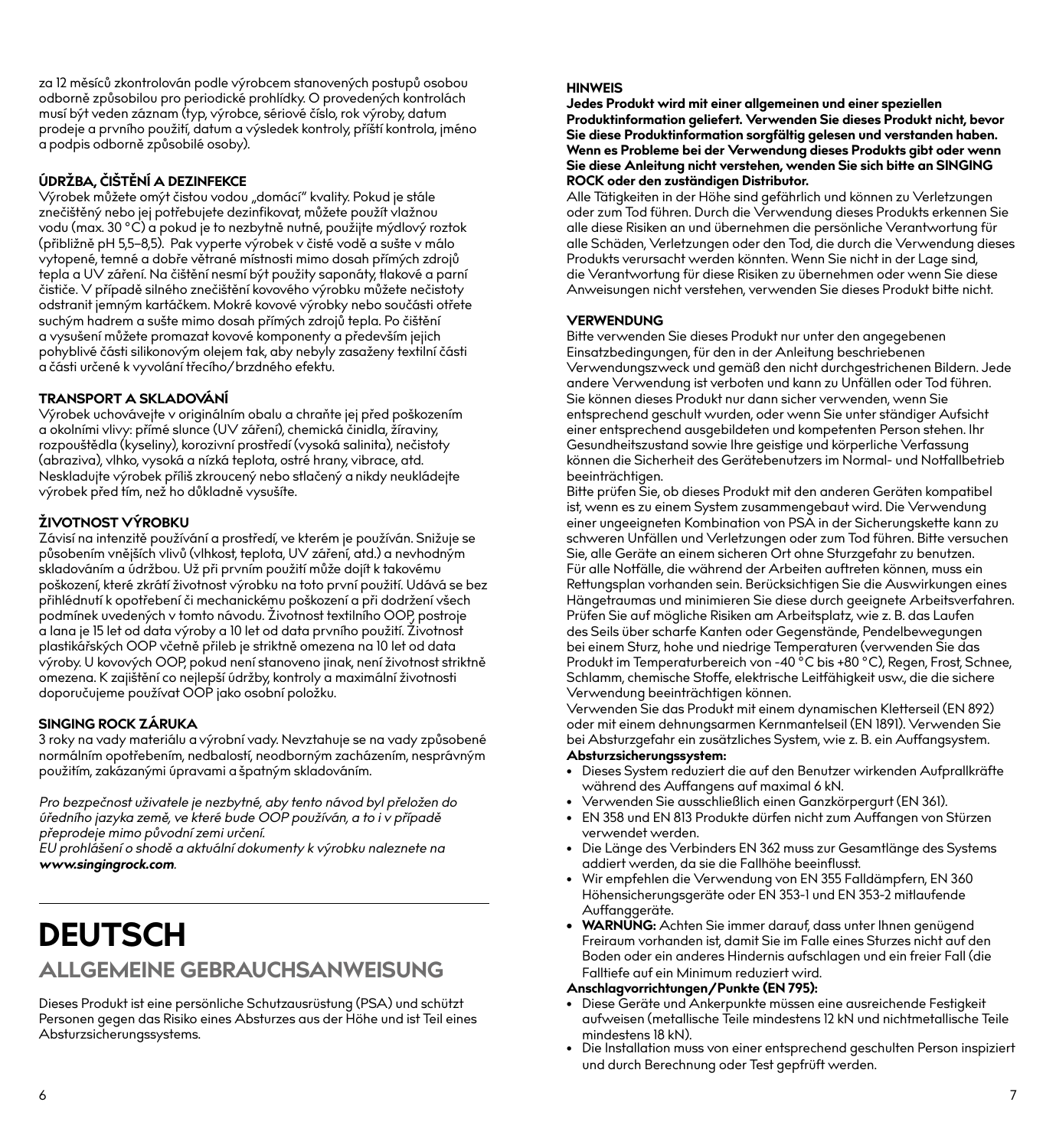za 12 měsíců zkontrolován podle výrobcem stanovených postupů osobou odborně způsobilou pro periodické prohlídky. O provedených kontrolách musí být veden záznam (typ, výrobce, sériové číslo, rok výroby, datum prodeje a prvního použití, datum a výsledek kontroly, příští kontrola, jméno a podpis odborně způsobilé osoby).

### **ÚDRŽBA, ČIŠTĚNÍ A DEZINFEKCE**

Výrobek můžete omýt čistou vodou "domácí" kvality. Pokud je stále znečištěný nebo jej potřebujete dezinfikovat, můžete použít vlažnou vodu (max. 30 °C) a pokud je to nezbytně nutné, použijte mýdlový roztok (přibližně pH 5,5–8,5). Pak vyperte výrobek v čisté vodě a sušte v málo vytopené, temné a dobře větrané místnosti mimo dosah přímých zdrojů tepla a UV záření. Na čištění nesmí být použity saponáty, tlakové a parní čističe. V případě silného znečištění kovového výrobku můžete nečistoty odstranit jemným kartáčkem. Mokré kovové výrobky nebo součásti otřete suchým hadrem a sušte mimo dosah přímých zdrojů tepla. Po čištění a vysušení můžete promazat kovové komponenty a především jejich pohyblivé části silikonovým olejem tak, aby nebyly zasaženy textilní části a části určené k vyvolání třecího/brzdného efektu.

#### **TRANSPORT A SKLADOVÁNÍ**

Výrobek uchovávejte v originálním obalu a chraňte jej před poškozením a okolními vlivy: přímé slunce (UV záření), chemická činidla, žíraviny, rozpouštědla (kyseliny), korozivní prostředí (vysoká salinita), nečistoty (abraziva), vlhko, vysoká a nízká teplota, ostré hrany, vibrace, atd. Neskladujte výrobek příliš zkroucený nebo stlačený a nikdy neukládejte výrobek před tím, než ho důkladně vysušíte.

#### **ŽIVOTNOST VÝROBKU**

Závisí na intenzitě používání a prostředí, ve kterém je používán. Snižuje se působením vnějších vlivů (vlhkost, teplota, UV záření, atd.) a nevhodným skladováním a údržbou. Už při prvním použití může dojít k takovému poškození, které zkrátí životnost výrobku na toto první použití. Udává se bez přihlédnutí k opotřebení či mechanickému poškození a při dodržení všech podmínek uvedených v tomto návodu. Životnost textilního OOP, postroje a lana je 15 let od data výroby a 10 let od data prvního použití. Životnost plastikářských OOP včetně přileb je striktně omezena na 10 let od data výroby. U kovových OOP, pokud není stanoveno jinak, není životnost striktně omezena. K zajištění co nejlepší údržby, kontroly a maximální životnosti doporučujeme používat OOP jako osobní položku.

#### **SINGING ROCK ZÁRUKA**

3 roky na vady materiálu a výrobní vady. Nevztahuje se na vady způsobené normálním opotřebením, nedbalostí, neodborným zacházením, nesprávným použitím, zakázanými úpravami a špatným skladováním.

*Pro bezpečnost uživatele je nezbytné, aby tento návod byl přeložen do úředního jazyka země, ve které bude OOP používán, a to i v případě* 

*přeprodeje mimo původní zemi určení. EU prohlášení o shodě a aktuální dokumenty k výrobku naleznete na www.singingrock.com.*

## **DEUTSCH ALLGEMEINE GEBRAUCHSANWEISUNG**

Dieses Produkt ist eine persönliche Schutzausrüstung (PSA) und schützt Personen gegen das Risiko eines Absturzes aus der Höhe und ist Teil eines Absturzsicherungssystems.

#### **HINWEIS**

**Jedes Produkt wird mit einer allgemeinen und einer speziellen Produktinformation geliefert. Verwenden Sie dieses Produkt nicht, bevor Sie diese Produktinformation sorgfältig gelesen und verstanden haben. Wenn es Probleme bei der Verwendung dieses Produkts gibt oder wenn Sie diese Anleitung nicht verstehen, wenden Sie sich bitte an SINGING ROCK oder den zuständigen Distributor.**

Alle Tätigkeiten in der Höhe sind gefährlich und können zu Verletzungen oder zum Tod führen. Durch die Verwendung dieses Produkts erkennen Sie alle diese Risiken an und übernehmen die persönliche Verantwortung für alle Schäden, Verletzungen oder den Tod, die durch die Verwendung dieses Produkts verursacht werden könnten. Wenn Sie nicht in der Lage sind, die Verantwortung für diese Risiken zu übernehmen oder wenn Sie diese Anweisungen nicht verstehen, verwenden Sie dieses Produkt bitte nicht.

#### **VERWENDUNG**

Bitte verwenden Sie dieses Produkt nur unter den angegebenen Einsatzbedingungen, für den in der Anleitung beschriebenen Verwendungszweck und gemäß den nicht durchgestrichenen Bildern. Jede andere Verwendung ist verboten und kann zu Unfällen oder Tod führen. Sie können dieses Produkt nur dann sicher verwenden, wenn Sie entsprechend geschult wurden, oder wenn Sie unter ständiger Aufsicht einer entsprechend ausgebildeten und kompetenten Person stehen. Ihr Gesundheitszustand sowie Ihre geistige und körperliche Verfassung können die Sicherheit des Gerätebenutzers im Normal- und Notfallbetrieb beeinträchtigen.

Bitte prüfen Sie, ob dieses Produkt mit den anderen Geräten kompatibel ist, wenn es zu einem System zusammengebaut wird. Die Verwendung einer ungeeigneten Kombination von PSA in der Sicherungskette kann zu schweren Unfällen und Verletzungen oder zum Tod führen. Bitte versuchen Sie, alle Geräte an einem sicheren Ort ohne Sturzgefahr zu benutzen. Für alle Notfälle, die während der Arbeiten auftreten können, muss ein Rettungsplan vorhanden sein. Berücksichtigen Sie die Auswirkungen eines Hängetraumas und minimieren Sie diese durch geeignete Arbeitsverfahren. Prüfen Sie auf mögliche Risiken am Arbeitsplatz, wie z. B. das Laufen des Seils über scharfe Kanten oder Gegenstände, Pendelbewegungen bei einem Sturz, hohe und niedrige Temperaturen (verwenden Sie das Produkt im Temperaturbereich von -40 °C bis +80 °C), Regen, Frost, Schnee, Schlamm, chemische Stoffe, elektrische Leitfähigkeit usw., die die sichere Verwendung beeinträchtigen können.

Verwenden Sie das Produkt mit einem dynamischen Kletterseil (EN 892) oder mit einem dehnungsarmen Kernmantelseil (EN 1891). Verwenden Sie bei Absturzgefahr ein zusätzliches System, wie z. B. ein Auffangsystem.

#### **Absturzsicherungssystem:**

- Dieses System reduziert die auf den Benutzer wirkenden Aufprallkräfte während des Auffangens auf maximal 6 kN.
- Verwenden Sie ausschließlich einen Ganzkörpergurt (EN 361).
- EN 358 und EN 813 Produkte dürfen nicht zum Auffangen von Stürzen verwendet werden.
- Die Länge des Verbinders EN 362 muss zur Gesamtlänge des Systems addiert werden, da sie die Fallhöhe beeinflusst.
- Wir empfehlen die Verwendung von EN 355 Falldämpfern, EN 360 Höhensicherungsgeräte oder EN 353-1 und EN 353-2 mitlaufende Auffanggeräte.
- **• WARNUNG:** Achten Sie immer darauf, dass unter Ihnen genügend Freiraum vorhanden ist, damit Sie im Falle eines Sturzes nicht auf den Boden oder ein anderes Hindernis aufschlagen und ein freier Fall (die Falltiefe auf ein Minimum reduziert wird.

#### **Anschlagvorrichtungen/Punkte (EN 795):**

- Diese Geräte und Ankerpunkte müssen eine ausreichende Festigkeit aufweisen (metallische Teile mindestens 12 kN und nichtmetallische Teile mindestens 18 kN).
- Die Installation muss von einer entsprechend geschulten Person inspiziert und durch Berechnung oder Test gepfrüft werden.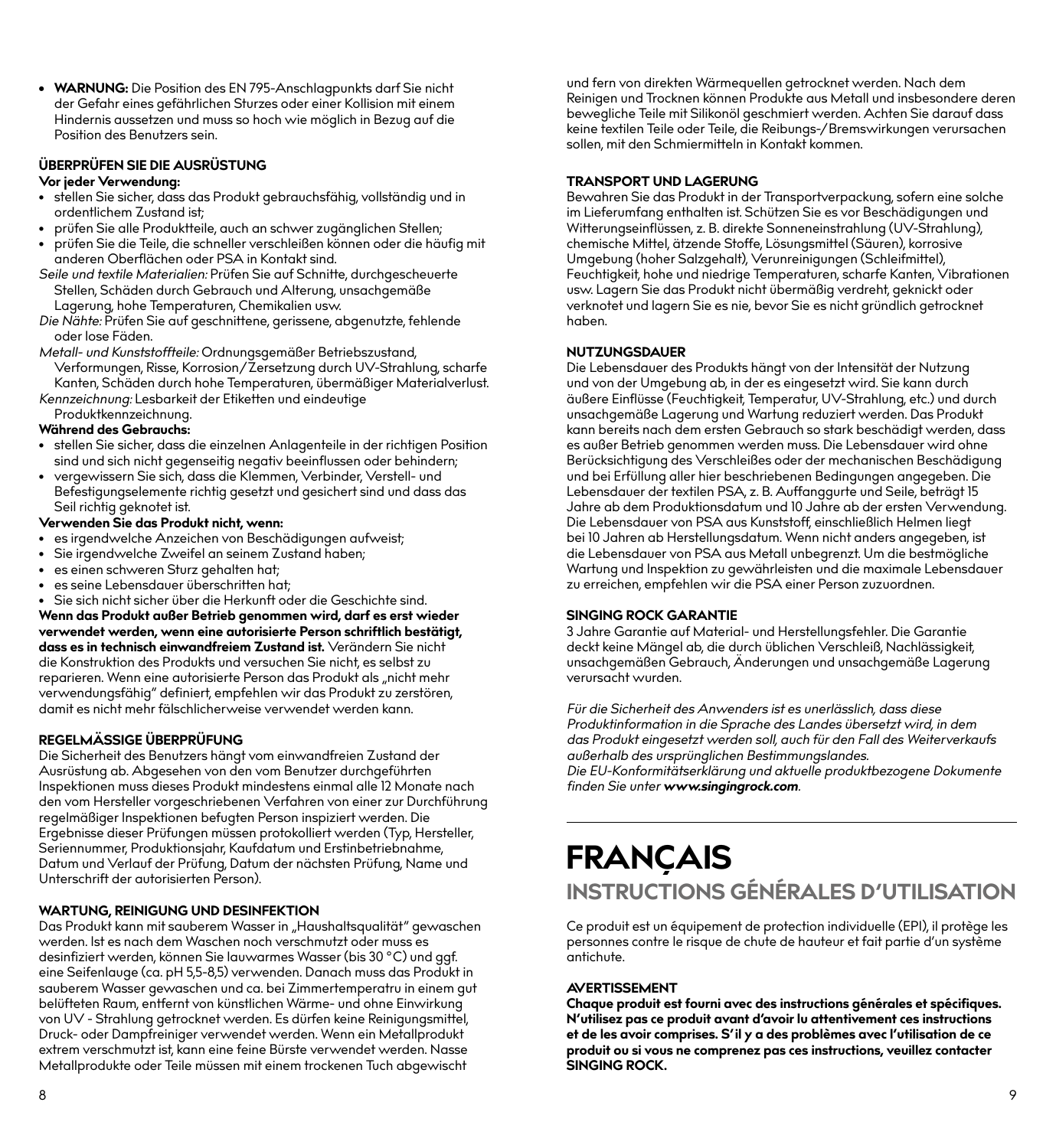**• WARNUNG:** Die Position des EN 795-Anschlagpunkts darf Sie nicht der Gefahr eines gefährlichen Sturzes oder einer Kollision mit einem Hindernis aussetzen und muss so hoch wie möglich in Bezug auf die Position des Benutzers sein.

#### **ÜBERPRÜFEN SIE DIE AUSRÜSTUNG**

#### **Vor jeder Verwendung:**

- stellen Sie sicher, dass das Produkt gebrauchsfähig, vollständig und in ordentlichem Zustand ist;
- prüfen Sie alle Produktteile, auch an schwer zugänglichen Stellen;
- prüfen Sie die Teile, die schneller verschleißen können oder die häufig mit anderen Oberflächen oder PSA in Kontakt sind.
- *Seile und textile Materialien:* Prüfen Sie auf Schnitte, durchgescheuerte Stellen, Schäden durch Gebrauch und Alterung, unsachgemäße Lagerung, hohe Temperaturen, Chemikalien usw.
- *Die Nähte:* Prüfen Sie auf geschnittene, gerissene, abgenutzte, fehlende oder lose Fäden.
- *Metall- und Kunststoffteile:* Ordnungsgemäßer Betriebszustand, Verformungen, Risse, Korrosion/Zersetzung durch UV-Strahlung, scharfe Kanten, Schäden durch hohe Temperaturen, übermäßiger Materialverlust.
- *Kennzeichnung:* Lesbarkeit der Etiketten und eindeutige Produktkennzeichnung.

#### **Während des Gebrauchs:**

- stellen Sie sicher, dass die einzelnen Anlagenteile in der richtigen Position sind und sich nicht gegenseitig negativ beeinflussen oder behindern;
- vergewissern Sie sich, dass die Klemmen, Verbinder, Verstell- und Befestigungselemente richtig gesetzt und gesichert sind und dass das Seil richtig geknotet ist.

#### **Verwenden Sie das Produkt nicht, wenn:**

- es irgendwelche Anzeichen von Beschädigungen aufweist;
- Sie irgendwelche Zweifel an seinem Zustand haben;
- es einen schweren Sturz gehalten hat;
- es seine Lebensdauer überschritten hat:
- Sie sich nicht sicher über die Herkunft oder die Geschichte sind.

**Wenn das Produkt außer Betrieb genommen wird, darf es erst wieder verwendet werden, wenn eine autorisierte Person schriftlich bestätigt, dass es in technisch einwandfreiem Zustand ist.** Verändern Sie nicht die Konstruktion des Produkts und versuchen Sie nicht, es selbst zu reparieren. Wenn eine autorisierte Person das Produkt als "nicht mehr verwendungsfähig" definiert, empfehlen wir das Produkt zu zerstören, damit es nicht mehr fälschlicherweise verwendet werden kann.

#### **REGELMÄSSIGE ÜBERPRÜFUNG**

Die Sicherheit des Benutzers hängt vom einwandfreien Zustand der Ausrüstung ab. Abgesehen von den vom Benutzer durchgeführten Inspektionen muss dieses Produkt mindestens einmal alle 12 Monate nach den vom Hersteller vorgeschriebenen Verfahren von einer zur Durchführung regelmäßiger Inspektionen befugten Person inspiziert werden. Die Ergebnisse dieser Prüfungen müssen protokolliert werden (Typ, Hersteller, Seriennummer, Produktionsjahr, Kaufdatum und Erstinbetriebnahme, Datum und Verlauf der Prüfung, Datum der nächsten Prüfung, Name und Unterschrift der autorisierten Person).

#### **WARTUNG, REINIGUNG UND DESINFEKTION**

Das Produkt kann mit sauberem Wasser in "Haushaltsqualität" gewaschen werden. Ist es nach dem Waschen noch verschmutzt oder muss es desinfiziert werden, können Sie lauwarmes Wasser (bis 30 °C) und ggf. eine Seifenlauge (ca. pH 5,5-8,5) verwenden. Danach muss das Produkt in sauberem Wasser gewaschen und ca. bei Zimmertemperatru in einem gut belüfteten Raum, entfernt von künstlichen Wärme- und ohne Einwirkung von UV - Strahlung getrocknet werden. Es dürfen keine Reinigungsmittel, Druck- oder Dampfreiniger verwendet werden. Wenn ein Metallprodukt extrem verschmutzt ist, kann eine feine Bürste verwendet werden. Nasse Metallprodukte oder Teile müssen mit einem trockenen Tuch abgewischt

und fern von direkten Wärmequellen getrocknet werden. Nach dem Reinigen und Trocknen können Produkte aus Metall und insbesondere deren bewegliche Teile mit Silikonöl geschmiert werden. Achten Sie darauf dass keine textilen Teile oder Teile, die Reibungs-/Bremswirkungen verursachen sollen, mit den Schmiermitteln in Kontakt kommen.

#### **TRANSPORT UND LAGERUNG**

Bewahren Sie das Produkt in der Transportverpackung, sofern eine solche im Lieferumfang enthalten ist. Schützen Sie es vor Beschädigungen und Witterungseinflüssen, z. B. direkte Sonneneinstrahlung (UV-Strahlung), chemische Mittel, ätzende Stoffe, Lösungsmittel (Säuren), korrosive Umgebung (hoher Salzgehalt), Verunreinigungen (Schleifmittel), Feuchtigkeit, hohe und niedrige Temperaturen, scharfe Kanten, Vibrationen usw. Lagern Sie das Produkt nicht übermäßig verdreht, geknickt oder verknotet und lagern Sie es nie, bevor Sie es nicht gründlich getrocknet haben.

#### **NUTZUNGSDAUER**

Die Lebensdauer des Produkts hängt von der Intensität der Nutzung und von der Umgebung ab, in der es eingesetzt wird. Sie kann durch äußere Einflüsse (Feuchtigkeit, Temperatur, UV-Strahlung, etc.) und durch unsachgemäße Lagerung und Wartung reduziert werden. Das Produkt kann bereits nach dem ersten Gebrauch so stark beschädigt werden, dass es außer Betrieb genommen werden muss. Die Lebensdauer wird ohne Berücksichtigung des Verschleißes oder der mechanischen Beschädigung und bei Erfüllung aller hier beschriebenen Bedingungen angegeben. Die Lebensdauer der textilen PSA, z. B. Auffanggurte und Seile, beträgt 15 Jahre ab dem Produktionsdatum und 10 Jahre ab der ersten Verwendung. Die Lebensdauer von PSA aus Kunststoff, einschließlich Helmen liegt bei 10 Jahren ab Herstellungsdatum. Wenn nicht anders angegeben, ist die Lebensdauer von PSA aus Metall unbegrenzt. Um die bestmögliche Wartung und Inspektion zu gewährleisten und die maximale Lebensdauer zu erreichen, empfehlen wir die PSA einer Person zuzuordnen.

#### **SINGING ROCK GARANTIE**

3 Jahre Garantie auf Material- und Herstellungsfehler. Die Garantie deckt keine Mängel ab, die durch üblichen Verschleiß, Nachlässigkeit, unsachgemäßen Gebrauch, Änderungen und unsachgemäße Lagerung verursacht wurden.

*Für die Sicherheit des Anwenders ist es unerlässlich, dass diese Produktinformation in die Sprache des Landes übersetzt wird, in dem das Produkt eingesetzt werden soll, auch für den Fall des Weiterverkaufs außerhalb des ursprünglichen Bestimmungslandes. Die EU-Konformitätserklärung und aktuelle produktbezogene Dokumente* 

*finden Sie unter www.singingrock.com.*

## **FRANÇAIS INSTRUCTIONS GÉNÉRALES D'UTILISATION**

Ce produit est un équipement de protection individuelle (EPI), il protège les personnes contre le risque de chute de hauteur et fait partie d'un système .<br>antichute.

#### **AVERTISSEMENT**

**Chaque produit est fourni avec des instructions générales et spécifiques. N'utilisez pas ce produit avant d'avoir lu attentivement ces instructions et de les avoir comprises. S'il y a des problèmes avec l'utilisation de ce produit ou si vous ne comprenez pas ces instructions, veuillez contacter SINGING ROCK.**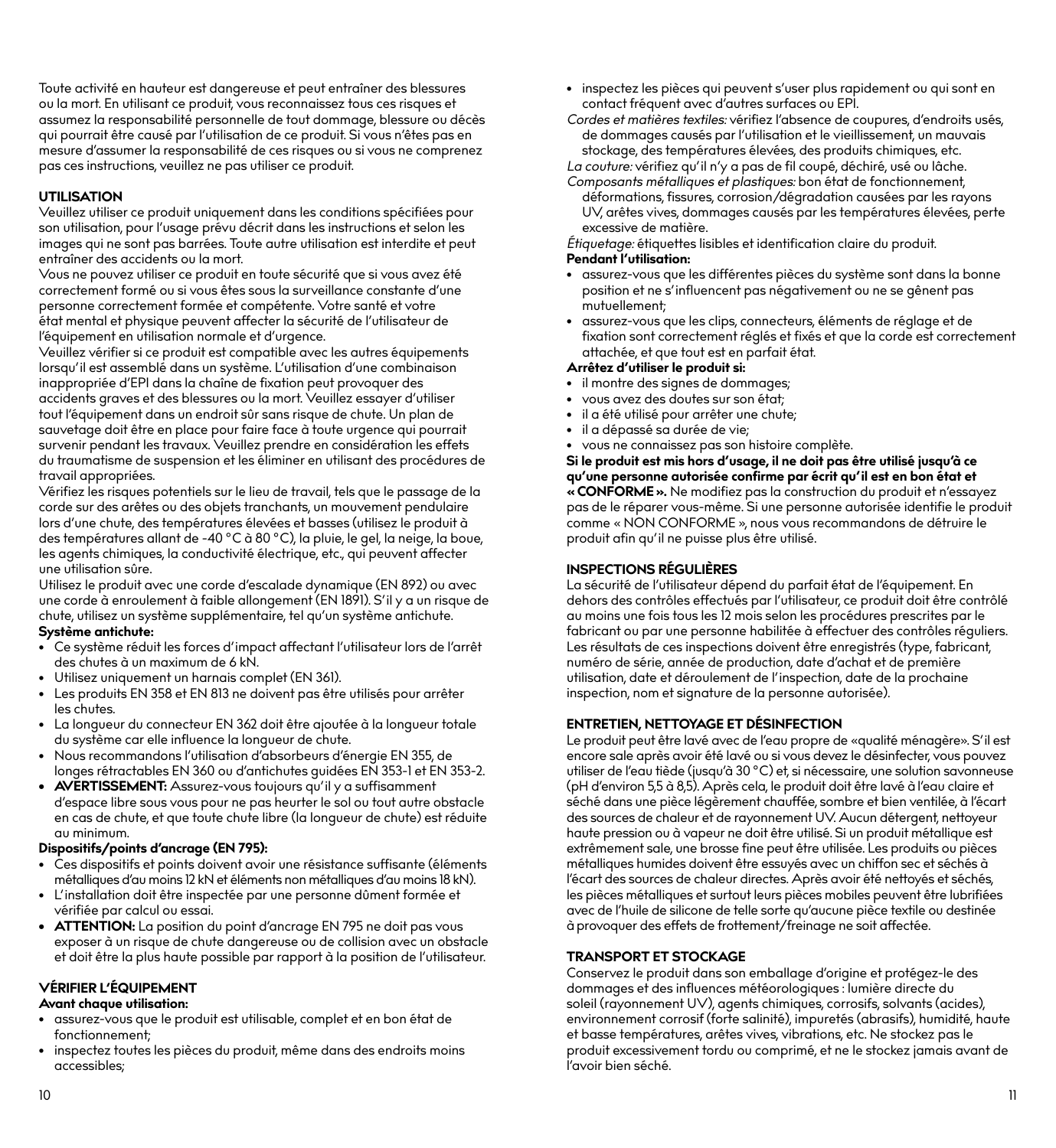Toute activité en hauteur est dangereuse et peut entraîner des blessures ou la mort. En utilisant ce produit, vous reconnaissez tous ces risques et assumez la responsabilité personnelle de tout dommage, blessure ou décès qui pourrait être causé par l'utilisation de ce produit. Si vous n'êtes pas en mesure d'assumer la responsabilité de ces risques ou si vous ne comprenez pas ces instructions, veuillez ne pas utiliser ce produit.

#### **UTILISATION**

Veuillez utiliser ce produit uniquement dans les conditions spécifiées pour son utilisation, pour l'usage prévu décrit dans les instructions et selon les images qui ne sont pas barrées. Toute autre utilisation est interdite et peut entraîner des accidents ou la mort.

Vous ne pouvez utiliser ce produit en toute sécurité que si vous avez été correctement formé ou si vous êtes sous la surveillance constante d'une personne correctement formée et compétente. Votre santé et votre état mental et physique peuvent affecter la sécurité de l'utilisateur de l'équipement en utilisation normale et d'urgence.

Veuillez vérifier si ce produit est compatible avec les autres équipements lorsqu'il est assemblé dans un système. L'utilisation d'une combinaison inappropriée d'EPI dans la chaîne de fixation peut provoquer des accidents graves et des blessures ou la mort. Veuillez essayer d'utiliser tout l'équipement dans un endroit sûr sans risque de chute. Un plan de sauvetage doit être en place pour faire face à toute urgence qui pourrait survenir pendant les travaux. Veuillez prendre en considération les effets du traumatisme de suspension et les éliminer en utilisant des procédures de travail appropriées.

Vérifiez les risques potentiels sur le lieu de travail, tels que le passage de la corde sur des arêtes ou des objets tranchants, un mouvement pendulaire lors d'une chute, des températures élevées et basses (utilisez le produit à des températures allant de -40 °C à 80 °C), la pluie, le gel, la neige, la boue, les agents chimiques, la conductivité électrique, etc., qui peuvent affecter une utilisation sûre.

Utilisez le produit avec une corde d'escalade dynamique (EN 892) ou avec une corde à enroulement à faible allongement (EN 1891). S'il y a un risque de chute, utilisez un système supplémentaire, tel qu'un système antichute. **Système antichute:**

- Ce système réduit les forces d'impact affectant l'utilisateur lors de l'arrêt des chutes à un maximum de 6 kN.
- Utilisez uniquement un harnais complet (EN 361).
- Les produits EN 358 et EN 813 ne doivent pas être utilisés pour arrêter les chutes.
- La longueur du connecteur EN 362 doit être ajoutée à la longueur totale du système car elle influence la longueur de chute.
- Nous recommandons l'utilisation d'absorbeurs d'énergie EN 355, de longes rétractables EN 360 ou d'antichutes guidées EN 353-1 et EN 353-2.
- **• AVERTISSEMENT:** Assurez-vous toujours qu'il y a suffisamment d'espace libre sous vous pour ne pas heurter le sol ou tout autre obstacle en cas de chute, et que toute chute libre (la longueur de chute) est réduite au minimum.

#### **Dispositifs/points d'ancrage (EN 795):**

- Ces dispositifs et points doivent avoir une résistance suffisante (éléments métalliques d'au moins 12 kN et éléments non métalliques d'au moins 18 kN).
- L'installation doit être inspectée par une personne dûment formée et vérifiée par calcul ou essai.
- **• ATTENTION:** La position du point d'ancrage EN 795 ne doit pas vous exposer à un risque de chute dangereuse ou de collision avec un obstacle et doit être la plus haute possible par rapport à la position de l'utilisateur.

#### **VÉRIFIER L'ÉQUIPEMENT**

## **Avant chaque utilisation:**

- assurez-vous que le produit est utilisable, complet et en bon état de fonctionnement;
- inspectez toutes les pièces du produit, même dans des endroits moins accessibles;
- inspectez les pièces qui peuvent s'user plus rapidement ou qui sont en contact fréquent avec d'autres surfaces ou EPI.
- *Cordes et matières textiles:* vérifiez l'absence de coupures, d'endroits usés, de dommages causés par l'utilisation et le vieillissement, un mauvais stockage, des températures élevées, des produits chimiques, etc.

*La couture:* vérifiez qu'il n'y a pas de fil coupé, déchiré, usé ou lâche.

*Composants métalliques et plastiques:* bon état de fonctionnement, déformations, fissures, corrosion/dégradation causées par les rayons UV, arêtes vives, dommages causés par les températures élevées, perte excessive de matière.

*Étiquetage:* étiquettes lisibles et identification claire du produit.

#### **Pendant l'utilisation:**

- assurez-vous que les différentes pièces du système sont dans la bonne position et ne s'influencent pas négativement ou ne se gênent pas mutuellement;
- assurez-vous que les clips, connecteurs, éléments de réglage et de fixation sont correctement réglés et fixés et que la corde est correctement attachée, et que tout est en parfait état.

#### **Arrêtez d'utiliser le produit si:**

- il montre des signes de dommages;
- vous avez des doutes sur son état;
- il a été utilisé pour arrêter une chute;
- il a dépassé sa durée de vie;
- vous ne connaissez pas son histoire complète.

**Si le produit est mis hors d'usage, il ne doit pas être utilisé jusqu'à ce qu'une personne autorisée confirme par écrit qu'il est en bon état et « CONFORME ».** Ne modifiez pas la construction du produit et n'essayez pas de le réparer vous-même. Si une personne autorisée identifie le produit comme « NON CONFORME », nous vous recommandons de détruire le produit afin qu'il ne puisse plus être utilisé.

#### **INSPECTIONS RÉGULIÈRES**

La sécurité de l'utilisateur dépend du parfait état de l'équipement. En dehors des contrôles effectués par l'utilisateur, ce produit doit être contrôlé au moins une fois tous les 12 mois selon les procédures prescrites par le fabricant ou par une personne habilitée à effectuer des contrôles réguliers. Les résultats de ces inspections doivent être enregistrés (type, fabricant, numéro de série, année de production, date d'achat et de première utilisation, date et déroulement de l'inspection, date de la prochaine inspection, nom et signature de la personne autorisée).

#### **ENTRETIEN, NETTOYAGE ET DÉSINFECTION**

Le produit peut être lavé avec de l'eau propre de «qualité ménagère». S'il est encore sale après avoir été lavé ou si vous devez le désinfecter, vous pouvez utiliser de l'eau tiède (jusqu'à 30 °C) et, si nécessaire, une solution savonneuse (pH d'environ 5,5 à 8,5). Après cela, le produit doit être lavé à l'eau claire et séché dans une pièce légèrement chauffée, sombre et bien ventilée, à l'écart des sources de chaleur et de rayonnement UV. Aucun détergent, nettoyeur haute pression ou à vapeur ne doit être utilisé. Si un produit métallique est extrêmement sale, une brosse fine peut être utilisée. Les produits ou pièces métalliques humides doivent être essuyés avec un chiffon sec et séchés à l'écart des sources de chaleur directes. Après avoir été nettoyés et séchés, les pièces métalliques et surtout leurs pièces mobiles peuvent être lubrifiées avec de l'huile de silicone de telle sorte qu'aucune pièce textile ou destinée à provoquer des effets de frottement/freinage ne soit affectée.

#### **TRANSPORT ET STOCKAGE**

Conservez le produit dans son emballage d'origine et protégez-le des dommages et des influences météorologiques : lumière directe du soleil (rayonnement UV), agents chimiques, corrosifs, solvants (acides), environnement corrosif (forte salinité), impuretés (abrasifs), humidité, haute et basse températures, arêtes vives, vibrations, etc. Ne stockez pas le produit excessivement tordu ou comprimé, et ne le stockez jamais avant de l'avoir bien séché.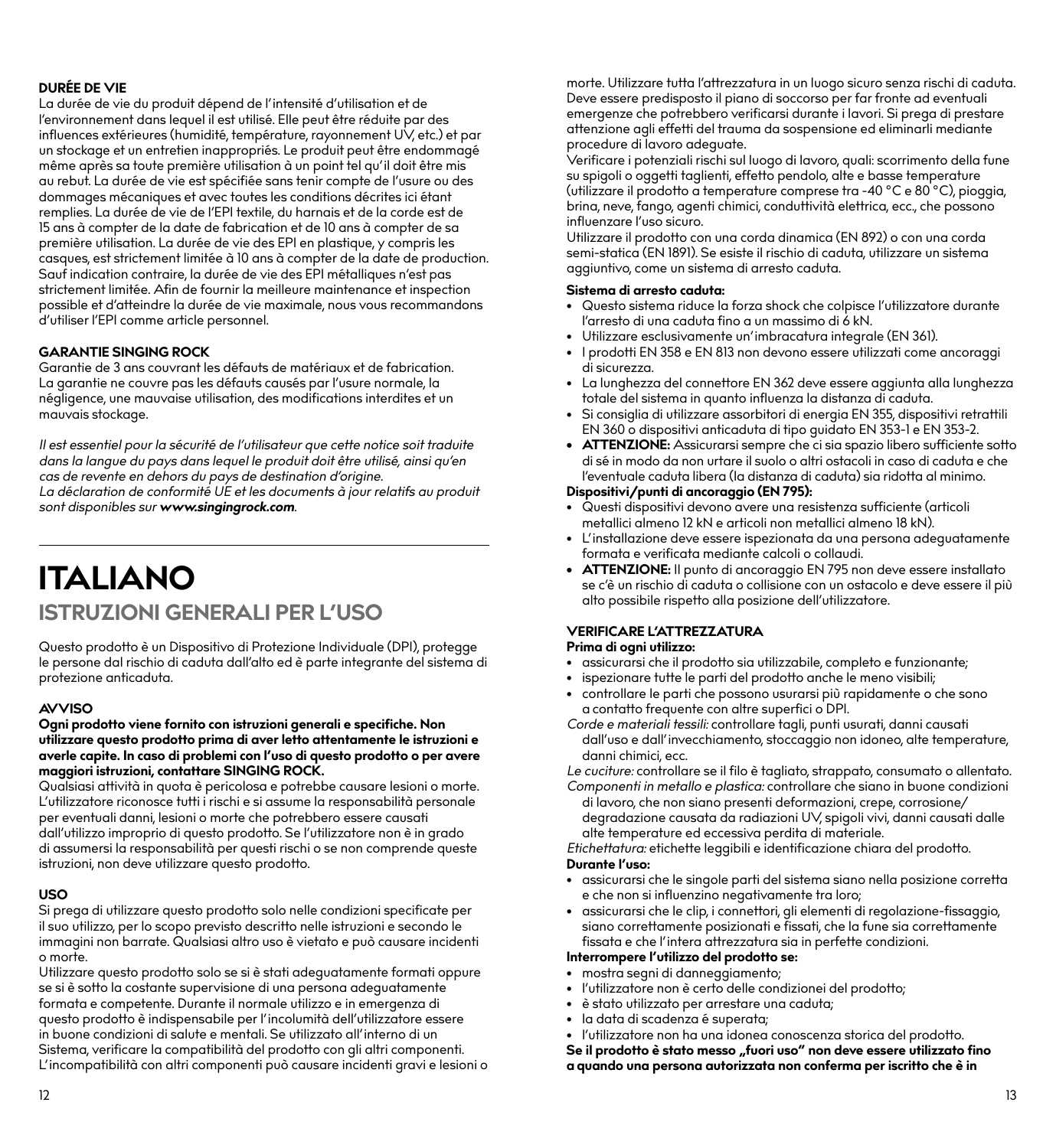#### **DURÉE DE VIE**

La durée de vie du produit dépend de l'intensité d'utilisation et de l'environnement dans lequel il est utilisé. Elle peut être réduite par des influences extérieures (humidité, température, rayonnement UV, etc.) et par un stockage et un entretien inappropriés. Le produit peut être endommagé même après sa toute première utilisation à un point tel qu'il doit être mis au rebut. La durée de vie est spécifiée sans tenir compte de l'usure ou des dommages mécaniques et avec toutes les conditions décrites ici étant remplies. La durée de vie de l'EPI textile, du harnais et de la corde est de 15 ans à compter de la date de fabrication et de 10 ans à compter de sa première utilisation. La durée de vie des EPI en plastique, y compris les casques, est strictement limitée à 10 ans à compter de la date de production. Sauf indication contraire, la durée de vie des EPI métalliques n'est pas strictement limitée. Afin de fournir la meilleure maintenance et inspection possible et d'atteindre la durée de vie maximale, nous vous recommandons d'utiliser l'EPI comme article personnel.

#### **GARANTIE SINGING ROCK**

Garantie de 3 ans couvrant les défauts de matériaux et de fabrication. La garantie ne couvre pas les défauts causés par l'usure normale, la négligence, une mauvaise utilisation, des modifications interdites et un mauvais stockage.

*Il est essentiel pour la sécurité de l'utilisateur que cette notice soit traduite dans la langue du pays dans lequel le produit doit être utilisé, ainsi qu'en cas de revente en dehors du pays de destination d'origine. La déclaration de conformité UE et les documents à jour relatifs au produit sont disponibles sur www.singingrock.com.*

## **ITALIANO ISTRUZIONI GENERALI PER L'USO**

Questo prodotto è un Dispositivo di Protezione Individuale (DPI), protegge le persone dal rischio di caduta dall'alto ed è parte integrante del sistema di protezione anticaduta.

#### **AVVISO**

#### **Ogni prodotto viene fornito con istruzioni generali e specifiche. Non utilizzare questo prodotto prima di aver letto attentamente le istruzioni e averle capite. In caso di problemi con l'uso di questo prodotto o per avere maggiori istruzioni, contattare SINGING ROCK.**

Qualsiasi attività in quota è pericolosa e potrebbe causare lesioni o morte. L'utilizzatore riconosce tutti i rischi e si assume la responsabilità personale per eventuali danni, lesioni o morte che potrebbero essere causati dall'utilizzo improprio di questo prodotto. Se l'utilizzatore non è in grado di assumersi la responsabilità per questi rischi o se non comprende queste istruzioni, non deve utilizzare questo prodotto.

#### **USO**

Si prega di utilizzare questo prodotto solo nelle condizioni specificate per il suo utilizzo, per lo scopo previsto descritto nelle istruzioni e secondo le immagini non barrate. Qualsiasi altro uso è vietato e può causare incidenti o morte.

Utilizzare questo prodotto solo se si è stati adeguatamente formati oppure se si è sotto la costante supervisione di una persona adeguatamente formata e competente. Durante il normale utilizzo e in emergenza di questo prodotto è indispensabile per l'incolumità dell'utilizzatore essere in buone condizioni di salute e mentali. Se utilizzato all'interno di un Sistema, verificare la compatibilità del prodotto con gli altri componenti. L'incompatibilità con altri componenti può causare incidenti gravi e lesioni o morte. Utilizzare tutta l'attrezzatura in un luogo sicuro senza rischi di caduta. Deve essere predisposto il piano di soccorso per far fronte ad eventuali emergenze che potrebbero verificarsi durante i lavori. Si prega di prestare attenzione agli effetti del trauma da sospensione ed eliminarli mediante procedure di lavoro adeguate.

Verificare i potenziali rischi sul luogo di lavoro, quali: scorrimento della fune su spigoli o oggetti taglienti, effetto pendolo, alte e basse temperature (utilizzare il prodotto a temperature comprese tra -40 °C e 80 °C), pioggia, brina, neve, fango, agenti chimici, conduttività elettrica, ecc., che possono influenzare l'uso sicuro.

Utilizzare il prodotto con una corda dinamica (EN 892) o con una corda semi-statica (EN 1891). Se esiste il rischio di caduta, utilizzare un sistema aggiuntivo, come un sistema di arresto caduta.

#### **Sistema di arresto caduta:**

- Questo sistema riduce la forza shock che colpisce l'utilizzatore durante l'arresto di una caduta fino a un massimo di 6 kN.
- Utilizzare esclusivamente un'imbracatura integrale (EN 361).
- I prodotti EN 358 e EN 813 non devono essere utilizzati come ancoraggi di sicurezza.
- La lunghezza del connettore EN 362 deve essere aggiunta alla lunghezza totale del sistema in quanto influenza la distanza di caduta.
- Si consiglia di utilizzare assorbitori di energia EN 355, dispositivi retrattili EN 360 o dispositivi anticaduta di tipo guidato EN 353-1 e EN 353-2.
- **• ATTENZIONE:** Assicurarsi sempre che ci sia spazio libero sufficiente sotto di sé in modo da non urtare il suolo o altri ostacoli in caso di caduta e che l'eventuale caduta libera (la distanza di caduta) sia ridotta al minimo.

#### **Dispositivi/punti di ancoraggio (EN 795):**

- Questi dispositivi devono avere una resistenza sufficiente (articoli metallici almeno 12 kN e articoli non metallici almeno 18 kN).
- L'installazione deve essere ispezionata da una persona adeguatamente formata e verificata mediante calcoli o collaudi.
- **• ATTENZIONE:** Il punto di ancoraggio EN 795 non deve essere installato se c'è un rischio di caduta o collisione con un ostacolo e deve essere il più alto possibile rispetto alla posizione dell'utilizzatore.

#### **VERIFICARE L'ATTREZZATURA**

#### **Prima di ogni utilizzo:**

- assicurarsi che il prodotto sia utilizzabile, completo e funzionante;
- ispezionare tutte le parti del prodotto anche le meno visibili;
- controllare le parti che possono usurarsi più rapidamente o che sono a contatto frequente con altre superfici o DPI.
- *Corde e materiali tessili:* controllare tagli, punti usurati, danni causati dall'uso e dall'invecchiamento, stoccaggio non idoneo, alte temperature, danni chimici, ecc.

*Le cuciture:* controllare se il filo è tagliato, strappato, consumato o allentato.

*Componenti in metallo e plastica:* controllare che siano in buone condizioni di lavoro, che non siano presenti deformazioni, crepe, corrosione/ degradazione causata da radiazioni UV, spigoli vivi, danni causati dalle alte temperature ed eccessiva perdita di materiale.

*Etichettatura:* etichette leggibili e identificazione chiara del prodotto. **Durante l'uso:**

- assicurarsi che le singole parti del sistema siano nella posizione corretta e che non si influenzino negativamente tra loro;
- assicurarsi che le clip, i connettori, gli elementi di regolazione-fissaggio, siano correttamente posizionati e fissati, che la fune sia correttamente fissata e che l'intera attrezzatura sia in perfette condizioni.

#### **Interrompere l'utilizzo del prodotto se:**

- mostra segni di danneggiamento;
- l'utilizzatore non è certo delle condizionei del prodotto;
- è stato utilizzato per arrestare una caduta;
- la data di scadenza é superata;
- l'utilizzatore non ha una idonea conoscenza storica del prodotto.

Se il prodotto è stato messo "fuori uso" non deve essere utilizzato fino **a quando una persona autorizzata non conferma per iscritto che è in**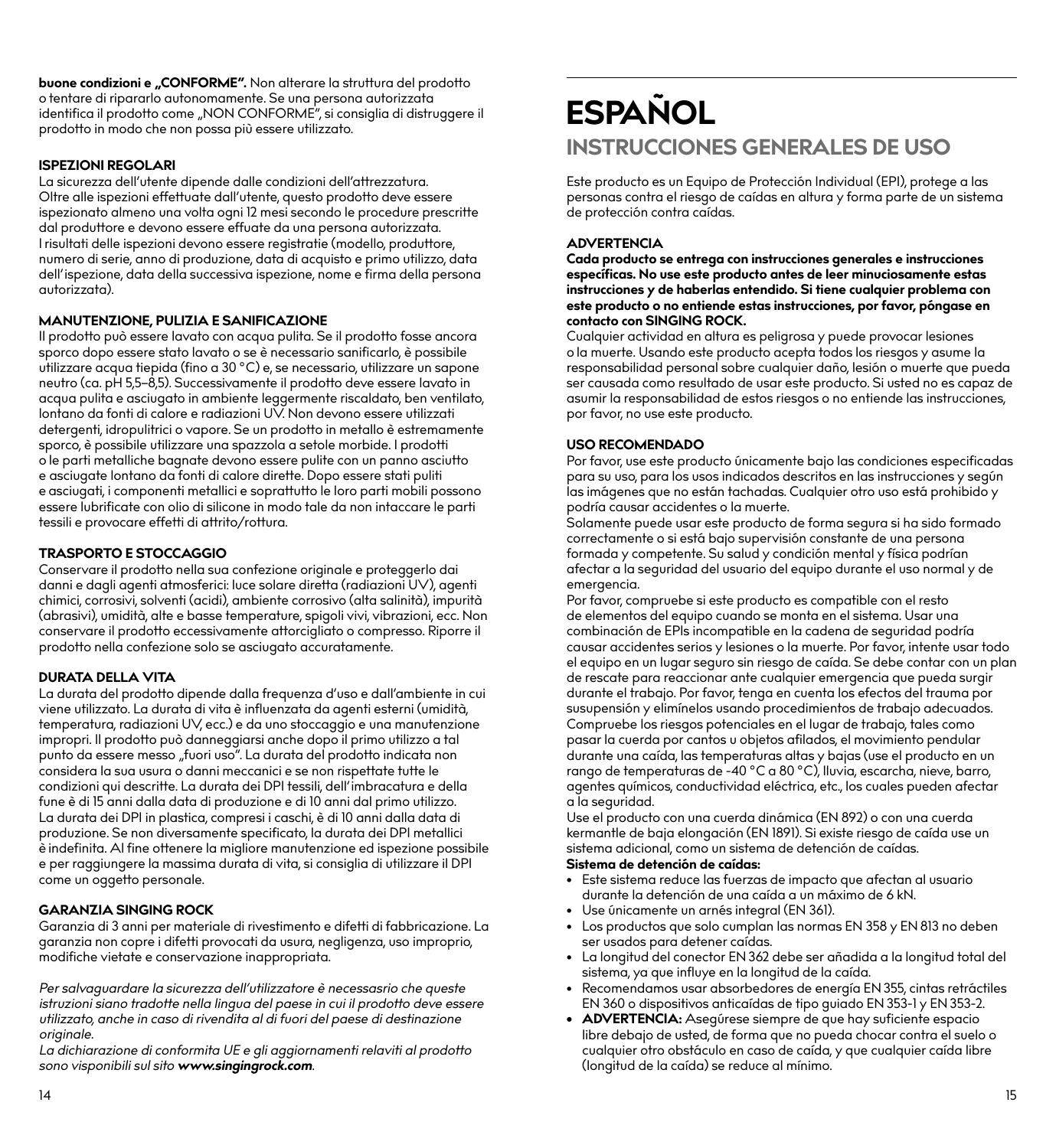**buone condizioni e "CONFORME".** Non alterare la struttura del prodotto o tentare di ripararlo autonomamente. Se una persona autorizzata identifica il prodotto come "NON CONFORME", si consiglia di distruggere il prodotto in modo che non possa più essere utilizzato.

#### **ISPEZIONI REGOLARI**

La sicurezza dell'utente dipende dalle condizioni dell'attrezzatura. Oltre alle ispezioni effettuate dall'utente, questo prodotto deve essere ispezionato almeno una volta ogni 12 mesi secondo le procedure prescritte dal produttore e devono essere effuate da una persona autorizzata. I risultati delle ispezioni devono essere registratie (modello, produttore, numero di serie, anno di produzione, data di acquisto e primo utilizzo, data dell'ispezione, data della successiva ispezione, nome e firma della persona autorizzata).

#### **MANUTENZIONE, PULIZIA E SANIFICAZIONE**

Il prodotto può essere lavato con acqua pulita. Se il prodotto fosse ancora sporco dopo essere stato lavato o se è necessario sanificarlo, è possibile utilizzare acqua tiepida (fino a 30 °C) e, se necessario, utilizzare un sapone neutro (ca. pH 5,5–8,5). Successivamente il prodotto deve essere lavato in acqua pulita e asciugato in ambiente leggermente riscaldato, ben ventilato, lontano da fonti di calore e radiazioni UV. Non devono essere utilizzati detergenti, idropulitrici o vapore. Se un prodotto in metallo è estremamente sporco, è possibile utilizzare una spazzola a setole morbide. I prodotti o le parti metalliche bagnate devono essere pulite con un panno asciutto e asciugate lontano da fonti di calore dirette. Dopo essere stati puliti e asciugati, i componenti metallici e soprattutto le loro parti mobili possono essere lubrificate con olio di silicone in modo tale da non intaccare le parti tessili e provocare effetti di attrito/rottura.

#### **TRASPORTO E STOCCAGGIO**

Conservare il prodotto nella sua confezione originale e proteggerlo dai danni e dagli agenti atmosferici: luce solare diretta (radiazioni UV), agenti chimici, corrosivi, solventi (acidi), ambiente corrosivo (alta salinità), impurità (abrasivi), umidità, alte e basse temperature, spigoli vivi, vibrazioni, ecc. Non conservare il prodotto eccessivamente attorcigliato o compresso. Riporre il prodotto nella confezione solo se asciugato accuratamente.

#### **DURATA DELLA VITA**

La durata del prodotto dipende dalla frequenza d'uso e dall'ambiente in cui viene utilizzato. La durata di vita è influenzata da agenti esterni (umidità, temperatura, radiazioni UV, ecc.) e da uno stoccaggio e una manutenzione impropri. Il prodotto può danneggiarsi anche dopo il primo utilizzo a tal punto da essere messo "fuori uso". La durata del prodotto indicata non considera la sua usura o danni meccanici e se non rispettate tutte le condizioni qui descritte. La durata dei DPI tessili, dell'imbracatura e della fune è di 15 anni dalla data di produzione e di 10 anni dal primo utilizzo. La durata dei DPI in plastica, compresi i caschi, è di 10 anni dalla data di produzione. Se non diversamente specificato, la durata dei DPI metallici è indefinita. Al fine ottenere la migliore manutenzione ed ispezione possibile e per raggiungere la massima durata di vita, si consiglia di utilizzare il DPI come un oggetto personale.

#### **GARANZIA SINGING ROCK**

Garanzia di 3 anni per materiale di rivestimento e difetti di fabbricazione. La garanzia non copre i difetti provocati da usura, negligenza, uso improprio, modifiche vietate e conservazione inappropriata.

*Per salvaguardare la sicurezza dell'utilizzatore è necessasrio che queste istruzioni siano tradotte nella lingua del paese in cui il prodotto deve essere utilizzato, anche in caso di rivendita al di fuori del paese di destinazione originale.*

*La dichiarazione di conformita UE e gli aggiornamenti relaviti al prodotto sono visponibili sul sito www.singingrock.com.*

## **ESPAÑOL INSTRUCCIONES GENERALES DE USO**

Este producto es un Equipo de Protección Individual (EPI), protege a las personas contra el riesgo de caídas en altura y forma parte de un sistema de protección contra caídas.

#### **ADVERTENCIA**

**Cada producto se entrega con instrucciones generales e instrucciones específicas. No use este producto antes de leer minuciosamente estas instrucciones y de haberlas entendido. Si tiene cualquier problema con este producto o no entiende estas instrucciones, por favor, póngase en contacto con SINGING ROCK.**

Cualquier actividad en altura es peligrosa y puede provocar lesiones o la muerte. Usando este producto acepta todos los riesgos y asume la responsabilidad personal sobre cualquier daño, lesión o muerte que pueda ser causada como resultado de usar este producto. Si usted no es capaz de asumir la responsabilidad de estos riesgos o no entiende las instrucciones, por favor, no use este producto.

#### **USO RECOMENDADO**

Por favor, use este producto únicamente bajo las condiciones especificadas para su uso, para los usos indicados descritos en las instrucciones y según las imágenes que no están tachadas. Cualquier otro uso está prohibido y podría causar accidentes o la muerte.

Solamente puede usar este producto de forma segura si ha sido formado correctamente o si está bajo supervisión constante de una persona formada y competente. Su salud y condición mental y física podrían afectar a la seguridad del usuario del equipo durante el uso normal y de emergencia.

Por favor, compruebe si este producto es compatible con el resto de elementos del equipo cuando se monta en el sistema. Usar una combinación de EPIs incompatible en la cadena de seguridad podría causar accidentes serios y lesiones o la muerte. Por favor, intente usar todo el equipo en un lugar seguro sin riesgo de caída. Se debe contar con un plan de rescate para reaccionar ante cualquier emergencia que pueda surgir durante el trabajo. Por favor, tenga en cuenta los efectos del trauma por susupensión y elimínelos usando procedimientos de trabajo adecuados. Compruebe los riesgos potenciales en el lugar de trabajo, tales como pasar la cuerda por cantos u objetos afilados, el movimiento pendular durante una caída, las temperaturas altas y bajas (use el producto en un rango de temperaturas de -40 °C a 80 °C), lluvia, escarcha, nieve, barro, agentes químicos, conductividad eléctrica, etc., los cuales pueden afectar a la seguridad.

Use el producto con una cuerda dinámica (EN 892) o con una cuerda kermantle de baja elongación (EN 1891). Si existe riesgo de caída use un sistema adicional, como un sistema de detención de caídas.

#### **Sistema de detención de caídas:**

- Este sistema reduce las fuerzas de impacto que afectan al usuario durante la detención de una caída a un máximo de 6 kN.
- Use únicamente un arnés integral (EN 361).
- Los productos que solo cumplan las normas EN 358 y EN 813 no deben ser usados para detener caídas.
- La longitud del conector EN 362 debe ser añadida a la longitud total del sistema, ya que influye en la longitud de la caída.
- Recomendamos usar absorbedores de energía EN 355, cintas retráctiles EN 360 o dispositivos anticaídas de tipo guiado EN 353-1 y EN 353-2.
- **• ADVERTENCIA:** Asegúrese siempre de que hay suficiente espacio libre debajo de usted, de forma que no pueda chocar contra el suelo o cualquier otro obstáculo en caso de caída, y que cualquier caída libre (longitud de la caída) se reduce al mínimo.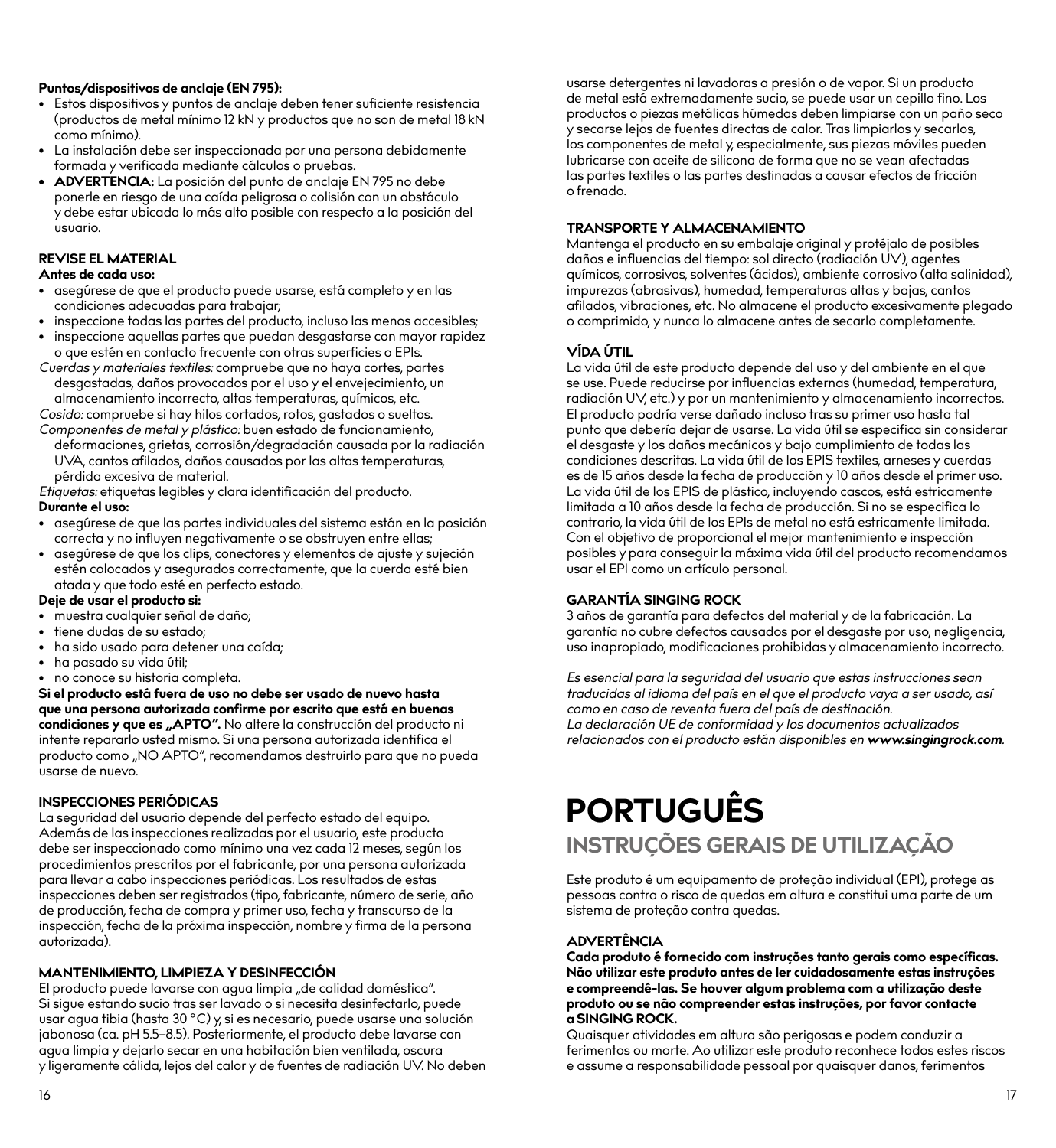#### **Puntos/dispositivos de anclaje (EN 795):**

- Estos dispositivos y puntos de anclaje deben tener suficiente resistencia (productos de metal mínimo 12 kN y productos que no son de metal 18 kN como mínimo).
- La instalación debe ser inspeccionada por una persona debidamente formada y verificada mediante cálculos o pruebas.
- **• ADVERTENCIA:** La posición del punto de anclaje EN 795 no debe ponerle en riesgo de una caída peligrosa o colisión con un obstáculo y debe estar ubicada lo más alto posible con respecto a la posición del usuario.

#### **REVISE EL MATERIAL Antes de cada uso:**

- asegúrese de que el producto puede usarse, está completo y en las condiciones adecuadas para trabajar;
- inspeccione todas las partes del producto, incluso las menos accesibles;
- inspeccione aquellas partes que puedan desgastarse con mayor rapidez o que estén en contacto frecuente con otras superficies o EPIs.
- *Cuerdas y materiales textiles:* compruebe que no haya cortes, partes desgastadas, daños provocados por el uso y el envejecimiento, un almacenamiento incorrecto, altas temperaturas, químicos, etc.

*Cosido:* compruebe si hay hilos cortados, rotos, gastados o sueltos. *Componentes de metal y plástico:* buen estado de funcionamiento, deformaciones, grietas, corrosión/degradación causada por la radiación

UVA, cantos afilados, daños causados por las altas temperaturas, pérdida excesiva de material.

*Etiquetas:* etiquetas legibles y clara identificación del producto.

#### **Durante el uso:**

- asegúrese de que las partes individuales del sistema están en la posición correcta y no influyen negativamente o se obstruyen entre ellas;
- asegúrese de que los clips, conectores y elementos de ajuste y sujeción estén colocados y asegurados correctamente, que la cuerda esté bien atada y que todo esté en perfecto estado.

#### **Deje de usar el producto si:**

- muestra cualquier señal de daño;
- tiene dudas de su estado;
- ha sido usado para detener una caída;
- ha pasado su vida útil;
- no conoce su historia completa.

**Si el producto está fuera de uso no debe ser usado de nuevo hasta que una persona autorizada confirme por escrito que está en buenas**  condiciones y que es "APTO". No altere la construcción del producto ni intente repararlo usted mismo. Si una persona autorizada identifica el producto como "NO APTO", recomendamos destruirlo para que no pueda usarse de nuevo.

#### **INSPECCIONES PERIÓDICAS**

La seguridad del usuario depende del perfecto estado del equipo. Además de las inspecciones realizadas por el usuario, este producto debe ser inspeccionado como mínimo una vez cada 12 meses, según los procedimientos prescritos por el fabricante, por una persona autorizada para llevar a cabo inspecciones periódicas. Los resultados de estas inspecciones deben ser registrados (tipo, fabricante, número de serie, año de producción, fecha de compra y primer uso, fecha y transcurso de la inspección, fecha de la próxima inspección, nombre y firma de la persona autorizada).

#### **MANTENIMIENTO, LIMPIEZA Y DESINFECCIÓN**

El producto puede lavarse con aqua limpia "de calidad doméstica". Si sigue estando sucio tras ser lavado o si necesita desinfectarlo, puede usar agua tibia (hasta 30 °C) y, si es necesario, puede usarse una solución jabonosa (ca. pH 5.5–8.5). Posteriormente, el producto debe lavarse con agua limpia y dejarlo secar en una habitación bien ventilada, oscura y ligeramente cálida, lejos del calor y de fuentes de radiación UV. No deben usarse detergentes ni lavadoras a presión o de vapor. Si un producto de metal está extremadamente sucio, se puede usar un cepillo fino. Los productos o piezas metálicas húmedas deben limpiarse con un paño seco y secarse lejos de fuentes directas de calor. Tras limpiarlos y secarlos, los componentes de metal y, especialmente, sus piezas móviles pueden lubricarse con aceite de silicona de forma que no se vean afectadas las partes textiles o las partes destinadas a causar efectos de fricción o frenado.

#### **TRANSPORTE Y ALMACENAMIENTO**

Mantenga el producto en su embalaje original y protéjalo de posibles daños e influencias del tiempo: sol directo (radiación UV), agentes químicos, corrosivos, solventes (ácidos), ambiente corrosivo (alta salinidad), impurezas (abrasivas), humedad, temperaturas altas y bajas, cantos afilados, vibraciones, etc. No almacene el producto excesivamente plegado o comprimido, y nunca lo almacene antes de secarlo completamente.

#### **VÍDA ÚTIL**

La vida útil de este producto depende del uso y del ambiente en el que se use. Puede reducirse por influencias externas (humedad, temperatura, radiación UV, etc.) y por un mantenimiento y almacenamiento incorrectos. El producto podría verse dañado incluso tras su primer uso hasta tal punto que debería dejar de usarse. La vida útil se especifica sin considerar el desgaste y los daños mecánicos y bajo cumplimiento de todas las condiciones descritas. La vida útil de los EPIS textiles, arneses y cuerdas es de 15 años desde la fecha de producción y 10 años desde el primer uso. La vida útil de los EPIS de plástico, incluyendo cascos, está estricamente limitada a 10 años desde la fecha de producción. Si no se especifica lo contrario, la vida útil de los EPIs de metal no está estricamente limitada. Con el objetivo de proporcional el mejor mantenimiento e inspección posibles y para conseguir la máxima vida útil del producto recomendamos usar el EPI como un artículo personal.

#### **GARANTÍA SINGING ROCK**

3 años de garantía para defectos del material y de la fabricación. La garantía no cubre defectos causados por el desgaste por uso, negligencia, uso inapropiado, modificaciones prohibidas y almacenamiento incorrecto.

*Es esencial para la seguridad del usuario que estas instrucciones sean traducidas al idioma del país en el que el producto vaya a ser usado, así como en caso de reventa fuera del país de destinación. La declaración UE de conformidad y los documentos actualizados relacionados con el producto están disponibles en www.singingrock.com.*

# **PORTUGUÊS INSTRUÇÕES GERAIS DE UTILIZAÇÃO**

Este produto é um equipamento de proteção individual (EPI), protege as pessoas contra o risco de quedas em altura e constitui uma parte de um sistema de proteção contra quedas.

#### **ADVERTÊNCIA**

**Cada produto é fornecido com instruções tanto gerais como específicas. Não utilizar este produto antes de ler cuidadosamente estas instruções e compreendê-las. Se houver algum problema com a utilização deste produto ou se não compreender estas instruções, por favor contacte a SINGING ROCK.**

Quaisquer atividades em altura são perigosas e podem conduzir a ferimentos ou morte. Ao utilizar este produto reconhece todos estes riscos e assume a responsabilidade pessoal por quaisquer danos, ferimentos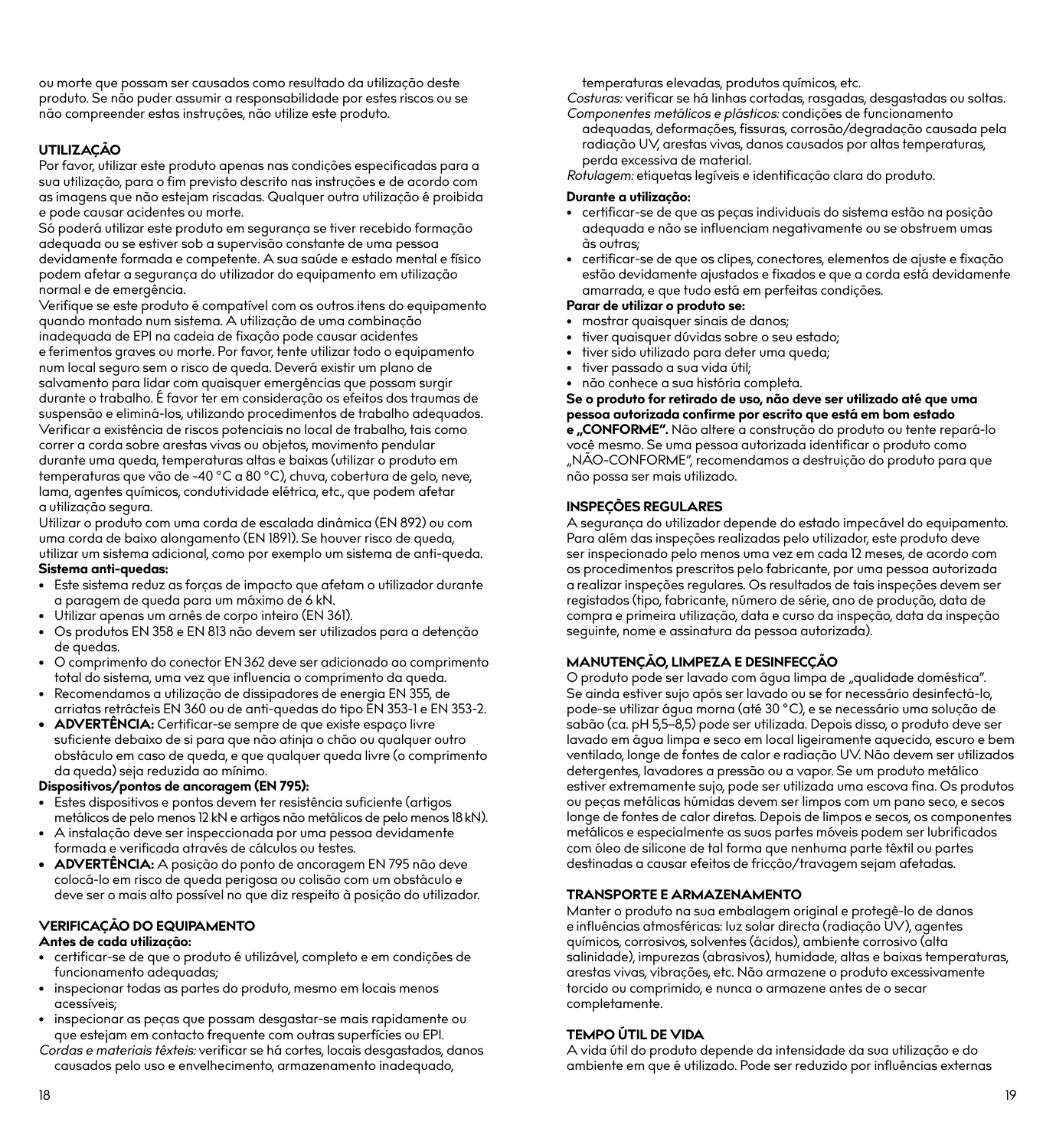ou morte que possam ser causados como resultado da utilização deste produto. Se não puder assumir a responsabilidade por estes riscos ou se não compreender estas instruções, não utilize este produto.

#### **UTILIZAÇÃO**

Por favor, utilizar este produto apenas nas condições especificadas para a sua utilização, para o fim previsto descrito nas instruções e de acordo com as imagens que não estejam riscadas. Qualquer outra utilização é proibida e pode causar acidentes ou morte.

Só poderá utilizar este produto em segurança se tiver recebido formação adequada ou se estiver sob a supervisão constante de uma pessoa devidamente formada e competente. A sua saúde e estado mental e físico podem afetar a segurança do utilizador do equipamento em utilização normal e de emergência.

Verifique se este produto é compatível com os outros itens do equipamento quando montado num sistema. A utilização de uma combinação inadequada de EPI na cadeia de fixação pode causar acidentes e ferimentos graves ou morte. Por favor, tente utilizar todo o equipamento num local seguro sem o risco de queda. Deverá existir um plano de salvamento para lidar com quaisquer emergências que possam surgir durante o trabalho. É favor ter em consideração os efeitos dos traumas de suspensão e eliminá-los, utilizando procedimentos de trabalho adequados. Verificar a existência de riscos potenciais no local de trabalho, tais como correr a corda sobre arestas vivas ou objetos, movimento pendular durante uma queda, temperaturas altas e baixas (utilizar o produto em temperaturas que vão de -40 °C a 80 °C), chuva, cobertura de gelo, neve, lama, agentes químicos, condutividade elétrica, etc., que podem afetar a utilização segura.

Utilizar o produto com uma corda de escalada dinâmica (EN 892) ou com uma corda de baixo alongamento (EN 1891). Se houver risco de queda, utilizar um sistema adicional, como por exemplo um sistema de anti-queda.

#### **Sistema anti-quedas:**

- Este sistema reduz as forças de impacto que afetam o utilizador durante a paragem de queda para um máximo de 6 kN.
- Utilizar apenas um arnês de corpo inteiro (EN 361).
- Os produtos EN 358 e EN 813 não devem ser utilizados para a detenção de quedas.
- O comprimento do conector EN 362 deve ser adicionado ao comprimento total do sistema, uma vez que influencia o comprimento da queda.
- Recomendamos a utilização de dissipadores de energia EN 355, de arriatas retrácteis EN 360 ou de anti-quedas do tipo EN 353-1 e EN 353-2.
- **• ADVERTÊNCIA:** Certificar-se sempre de que existe espaço livre suficiente debaixo de si para que não atinja o chão ou qualquer outro obstáculo em caso de queda, e que qualquer queda livre (o comprimento da queda) seja reduzida ao mínimo.

#### **Dispositivos/pontos de ancoragem (EN 795):**

- Estes dispositivos e pontos devem ter resistência suficiente (artigos metálicos de pelo menos 12 kN e artigos não metálicos de pelo menos 18 kN).
- A instalação deve ser inspeccionada por uma pessoa devidamente formada e verificada através de cálculos ou testes.
- **• ADVERTÊNCIA:** A posição do ponto de ancoragem EN 795 não deve colocá-lo em risco de queda perigosa ou colisão com um obstáculo e deve ser o mais alto possível no que diz respeito à posição do utilizador.

#### **VERIFICAÇÃO DO EQUIPAMENTO**

#### **Antes de cada utilização:**

- certificar-se de que o produto é utilizável, completo e em condições de funcionamento adequadas;
- inspecionar todas as partes do produto, mesmo em locais menos acessíveis;
- inspecionar as peças que possam desgastar-se mais rapidamente ou que estejam em contacto frequente com outras superfícies ou EPI.
- *Cordas e materiais têxteis:* verificar se há cortes, locais desgastados, danos causados pelo uso e envelhecimento, armazenamento inadequado,

temperaturas elevadas, produtos químicos, etc.

*Costuras:* verificar se há linhas cortadas, rasgadas, desgastadas ou soltas. *Componentes metálicos e plásticos:* condições de funcionamento

adequadas, deformações, fissuras, corrosão/degradação causada pela radiação UV, arestas vivas, danos causados por altas temperaturas, perda excessiva de material.

*Rotulagem:* etiquetas legíveis e identificação clara do produto.

#### **Durante a utilização:**

- certificar-se de que as peças individuais do sistema estão na posição adequada e não se influenciam negativamente ou se obstruem umas às outras;
- certificar-se de que os clipes, conectores, elementos de ajuste e fixação estão devidamente ajustados e fixados e que a corda está devidamente amarrada, e que tudo está em perfeitas condições.

#### **Parar de utilizar o produto se:**

- mostrar quaisquer sinais de danos;
- tiver quaisquer dúvidas sobre o seu estado;
- tiver sido utilizado para deter uma queda;
- tiver passado a sua vida útil;
- não conhece a sua história completa.

**Se o produto for retirado de uso, não deve ser utilizado até que uma pessoa autorizada confirme por escrito que está em bom estado** 

**e "CONFORME".** Não altere a construção do produto ou tente repará-lo você mesmo. Se uma pessoa autorizada identificar o produto como "NÃO-CONFORME", recomendamos a destruição do produto para que não possa ser mais utilizado.

#### **INSPEÇÕES REGULARES**

A segurança do utilizador depende do estado impecável do equipamento. Para além das inspeções realizadas pelo utilizador, este produto deve ser inspecionado pelo menos uma vez em cada 12 meses, de acordo com os procedimentos prescritos pelo fabricante, por uma pessoa autorizada a realizar inspeções regulares. Os resultados de tais inspeções devem ser registados (tipo, fabricante, número de série, ano de produção, data de compra e primeira utilização, data e curso da inspeção, data da inspeção seguinte, nome e assinatura da pessoa autorizada).

#### **MANUTENÇÃO, LIMPEZA E DESINFECÇÃO**

O produto pode ser lavado com água limpa de "qualidade doméstica". Se ainda estiver sujo após ser lavado ou se for necessário desinfectá-lo, pode-se utilizar água morna (até 30 °C), e se necessário uma solução de sabão (ca. pH 5,5–8,5) pode ser utilizada. Depois disso, o produto deve ser lavado em água limpa e seco em local ligeiramente aquecido, escuro e bem ventilado, longe de fontes de calor e radiação UV. Não devem ser utilizados detergentes, lavadores a pressão ou a vapor. Se um produto metálico estiver extremamente sujo, pode ser utilizada uma escova fina. Os produtos ou peças metálicas húmidas devem ser limpos com um pano seco, e secos longe de fontes de calor diretas. Depois de limpos e secos, os componentes metálicos e especialmente as suas partes móveis podem ser lubrificados com óleo de silicone de tal forma que nenhuma parte têxtil ou partes destinadas a causar efeitos de fricção/travagem sejam afetadas.

#### **TRANSPORTE E ARMAZENAMENTO**

Manter o produto na sua embalagem original e protegê-lo de danos e influências atmosféricas: luz solar directa (radiação UV), agentes químicos, corrosivos, solventes (ácidos), ambiente corrosivo (alta salinidade), impurezas (abrasivos), humidade, altas e baixas temperaturas, arestas vivas, vibrações, etc. Não armazene o produto excessivamente torcido ou comprimido, e nunca o armazene antes de o secar completamente.

#### **TEMPO ÚTIL DE VIDA**

A vida útil do produto depende da intensidade da sua utilização e do ambiente em que é utilizado. Pode ser reduzido por influências externas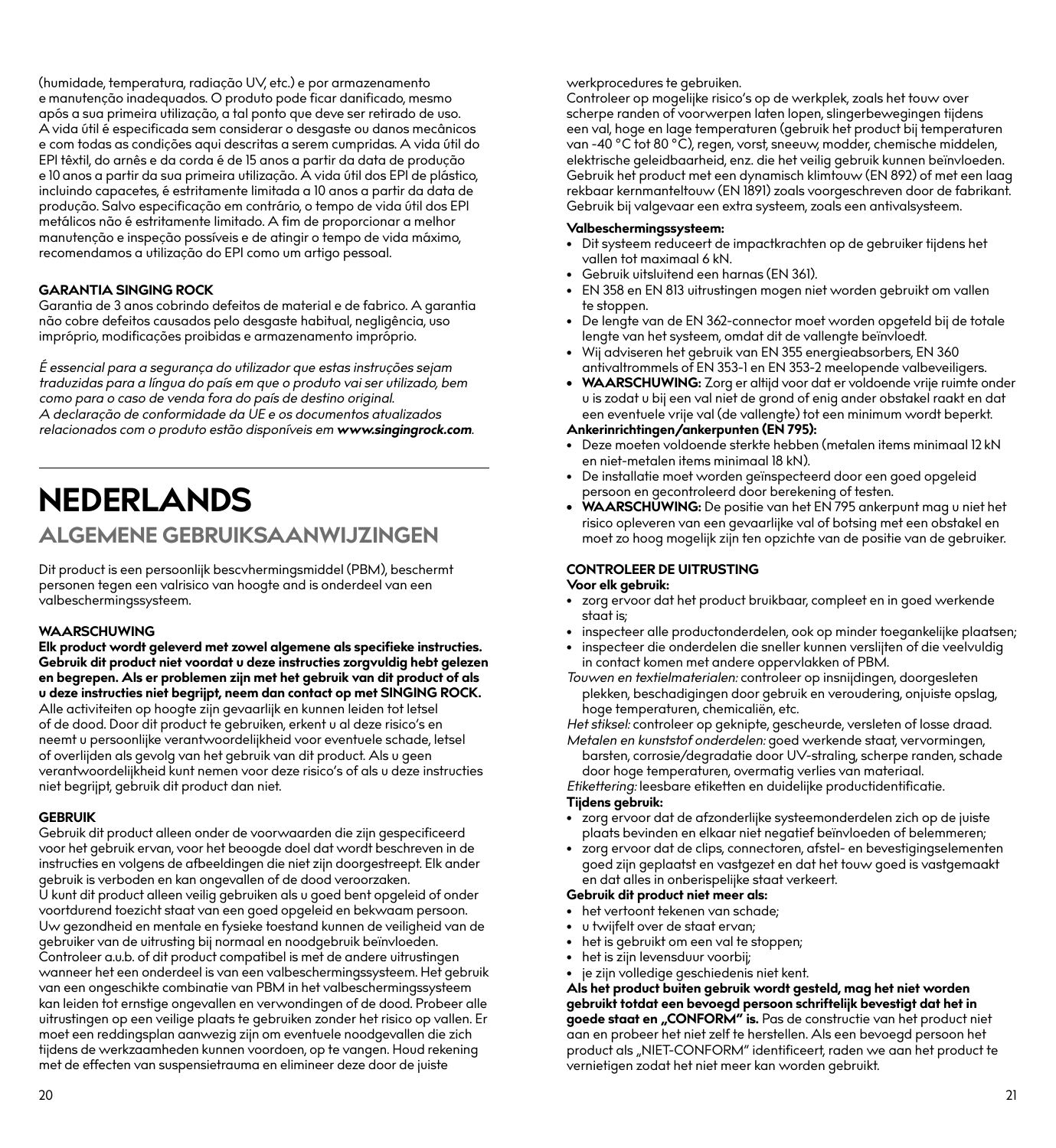(humidade, temperatura, radiação UV, etc.) e por armazenamento e manutenção inadequados. O produto pode ficar danificado, mesmo após a sua primeira utilização, a tal ponto que deve ser retirado de uso. A vida útil é especificada sem considerar o desgaste ou danos mecânicos e com todas as condições aqui descritas a serem cumpridas. A vida útil do EPI têxtil, do arnês e da corda é de 15 anos a partir da data de produção e 10 anos a partir da sua primeira utilização. A vida útil dos EPI de plástico, incluindo capacetes, é estritamente limitada a 10 anos a partir da data de produção. Salvo especificação em contrário, o tempo de vida útil dos EPI metálicos não é estritamente limitado. A fim de proporcionar a melhor manutenção e inspeção possíveis e de atingir o tempo de vida máximo, recomendamos a utilização do EPI como um artigo pessoal.

#### **GARANTIA SINGING ROCK**

Garantia de 3 anos cobrindo defeitos de material e de fabrico. A garantia não cobre defeitos causados pelo desgaste habitual, negligência, uso impróprio, modificações proibidas e armazenamento impróprio.

*É essencial para a segurança do utilizador que estas instruções sejam traduzidas para a língua do país em que o produto vai ser utilizado, bem como para o caso de venda fora do país de destino original. A declaração de conformidade da UE e os documentos atualizados relacionados com o produto estão disponíveis em www.singingrock.com.*

## **NEDERLANDS ALGEMENE GEBRUIKSAANWIJZINGEN**

Dit product is een persoonlijk bescvhermingsmiddel (PBM), beschermt personen tegen een valrisico van hoogte and is onderdeel van een valbeschermingssysteem.

#### **WAARSCHUWING**

**Elk product wordt geleverd met zowel algemene als specifieke instructies. Gebruik dit product niet voordat u deze instructies zorgvuldig hebt gelezen en begrepen. Als er problemen zijn met het gebruik van dit product of als u deze instructies niet begrijpt, neem dan contact op met SINGING ROCK.** Alle activiteiten op hoogte zijn gevaarlijk en kunnen leiden tot letsel of de dood. Door dit product te gebruiken, erkent u al deze risico's en neemt u persoonlijke verantwoordelijkheid voor eventuele schade, letsel of overlijden als gevolg van het gebruik van dit product. Als u geen verantwoordelijkheid kunt nemen voor deze risico's of als u deze instructies niet begrijpt, gebruik dit product dan niet.

#### **GEBRUIK**

Gebruik dit product alleen onder de voorwaarden die zijn gespecificeerd voor het gebruik ervan, voor het beoogde doel dat wordt beschreven in de instructies en volgens de afbeeldingen die niet zijn doorgestreept. Elk ander gebruik is verboden en kan ongevallen of de dood veroorzaken. U kunt dit product alleen veilig gebruiken als u goed bent opgeleid of onder voortdurend toezicht staat van een goed opgeleid en bekwaam persoon. Uw gezondheid en mentale en fysieke toestand kunnen de veiligheid van de gebruiker van de uitrusting bij normaal en noodgebruik beïnvloeden. Controleer a.u.b. of dit product compatibel is met de andere uitrustingen wanneer het een onderdeel is van een valbeschermingssysteem. Het gebruik van een ongeschikte combinatie van PBM in het valbeschermingssysteem kan leiden tot ernstige ongevallen en verwondingen of de dood. Probeer alle uitrustingen op een veilige plaats te gebruiken zonder het risico op vallen. Er moet een reddingsplan aanwezig zijn om eventuele noodgevallen die zich tijdens de werkzaamheden kunnen voordoen, op te vangen. Houd rekening met de effecten van suspensietrauma en elimineer deze door de juiste

werkprocedures te gebruiken.

Controleer op mogelijke risico's op de werkplek, zoals het touw over scherpe randen of voorwerpen laten lopen, slingerbewegingen tijdens een val, hoge en lage temperaturen (gebruik het product bij temperaturen van -40 °C tot 80 °C), regen, vorst, sneeuw, modder, chemische middelen, elektrische geleidbaarheid, enz. die het veilig gebruik kunnen beïnvloeden. Gebruik het product met een dynamisch klimtouw (EN 892) of met een laag rekbaar kernmanteltouw (EN 1891) zoals voorgeschreven door de fabrikant. Gebruik bij valgevaar een extra systeem, zoals een antivalsysteem.

- **Valbeschermingssysteem:** Dit systeem reduceert de impactkrachten op de gebruiker tijdens het vallen tot maximaal 6 kN.
- Gebruik uitsluitend een harnas (EN 361).
- EN 358 en EN 813 uitrustingen mogen niet worden gebruikt om vallen te stoppen.
- De lengte van de EN 362-connector moet worden opgeteld bij de totale lengte van het systeem, omdat dit de vallengte beïnvloedt.
- Wij adviseren het gebruik van EN 355 energieabsorbers, EN 360 antivaltrommels of EN 353-1 en EN 353-2 meelopende valbeveiligers.
- **• WAARSCHUWING:** Zorg er altijd voor dat er voldoende vrije ruimte onder u is zodat u bij een val niet de grond of enig ander obstakel raakt en dat een eventuele vrije val (de vallengte) tot een minimum wordt beperkt.

#### **Ankerinrichtingen/ankerpunten (EN 795):**

- Deze moeten voldoende sterkte hebben (metalen items minimaal 12 kN en niet-metalen items minimaal 18 kN).
- De installatie moet worden geïnspecteerd door een goed opgeleid persoon en gecontroleerd door berekening of testen.
- **• WAARSCHUWING:** De positie van het EN 795 ankerpunt mag u niet het risico opleveren van een gevaarlijke val of botsing met een obstakel en moet zo hoog mogelijk zijn ten opzichte van de positie van de gebruiker.

#### **CONTROLEER DE UITRUSTING**

#### **Voor elk gebruik:**

- zorg ervoor dat het product bruikbaar, compleet en in goed werkende staat is;
- inspecteer alle productonderdelen, ook op minder toegankelijke plaatsen;
- inspecteer die onderdelen die sneller kunnen verslijten of die veelvuldig in contact komen met andere oppervlakken of PBM.

*Touwen en textielmaterialen:* controleer op insnijdingen, doorgesleten plekken, beschadigingen door gebruik en veroudering, onjuiste opslag, hoge temperaturen, chemicaliën, etc.

*Het stiksel:* controleer op geknipte, gescheurde, versleten of losse draad. *Metalen en kunststof onderdelen:* goed werkende staat, vervormingen,

barsten, corrosie/degradatie door UV-straling, scherpe randen, schade door hoge temperaturen, overmatig verlies van materiaal.

*Etikettering:* leesbare etiketten en duidelijke productidentificatie. **Tijdens gebruik:**

- zorg ervoor dat de afzonderlijke systeemonderdelen zich op de juiste plaats bevinden en elkaar niet negatief beïnvloeden of belemmeren;
- zorg ervoor dat de clips, connectoren, afstel- en bevestigingselementen goed zijn geplaatst en vastgezet en dat het touw goed is vastgemaakt en dat alles in onberispelijke staat verkeert.

#### **Gebruik dit product niet meer als:**

- het vertoont tekenen van schade;
- u twijfelt over de staat ervan;
- het is gebruikt om een val te stoppen;
- het is zijn levensduur voorbij;
- je zijn volledige geschiedenis niet kent.

**Als het product buiten gebruik wordt gesteld, mag het niet worden gebruikt totdat een bevoegd persoon schriftelijk bevestigt dat het in<br><b>goede staat en "CONFORM" is.** Pas de constructie van het product niet aan en probeer het niet zelf te herstellen. Als een bevoegd persoon het product als "NIET-CONFORM" identificeert, raden we aan het product te vernietigen zodat het niet meer kan worden gebruikt.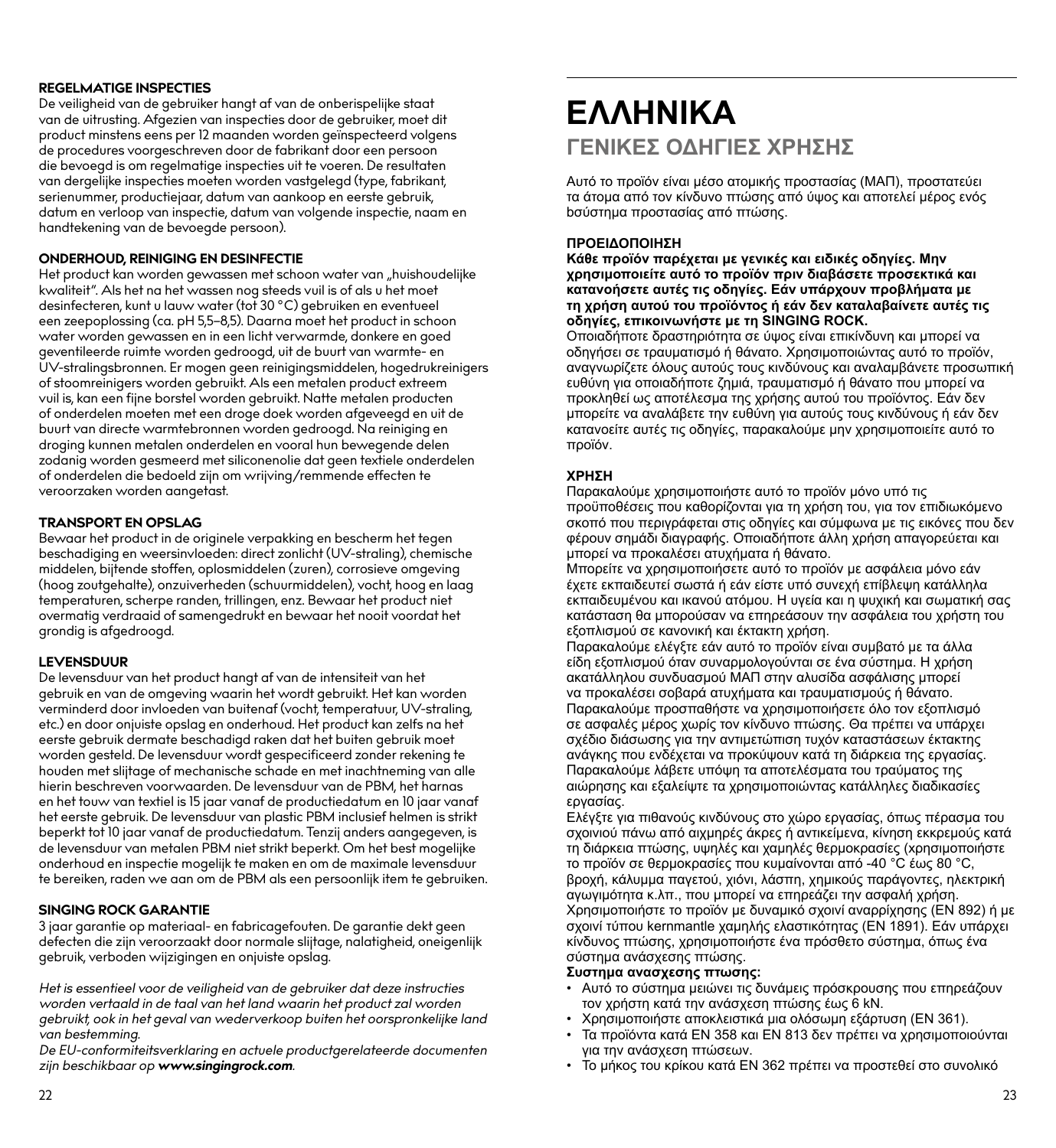#### **REGELMATIGE INSPECTIES**

De veiligheid van de gebruiker hangt af van de onberispelijke staat van de uitrusting. Afgezien van inspecties door de gebruiker, moet dit product minstens eens per 12 maanden worden geïnspecteerd volgens de procedures voorgeschreven door de fabrikant door een persoon die bevoegd is om regelmatige inspecties uit te voeren. De resultaten van dergelijke inspecties moeten worden vastgelegd (type, fabrikant, serienummer, productiejaar, datum van aankoop en eerste gebruik, datum en verloop van inspectie, datum van volgende inspectie, naam en handtekening van de bevoegde persoon).

#### **ONDERHOUD, REINIGING EN DESINFECTIE**

Het product kan worden gewassen met schoon water van "huishoudelijke kwaliteit". Als het na het wassen nog steeds vuil is of als u het moet desinfecteren, kunt u lauw water (tot 30 °C) gebruiken en eventueel een zeepoplossing (ca. pH 5,5–8,5). Daarna moet het product in schoon water worden gewassen en in een licht verwarmde, donkere en goed geventileerde ruimte worden gedroogd, uit de buurt van warmte- en UV-stralingsbronnen. Er mogen geen reinigingsmiddelen, hogedrukreinigers of stoomreinigers worden gebruikt. Als een metalen product extreem vuil is, kan een fijne borstel worden gebruikt. Natte metalen producten of onderdelen moeten met een droge doek worden afgeveegd en uit de buurt van directe warmtebronnen worden gedroogd. Na reiniging en droging kunnen metalen onderdelen en vooral hun bewegende delen zodanig worden gesmeerd met siliconenolie dat geen textiele onderdelen of onderdelen die bedoeld zijn om wrijving/remmende effecten te veroorzaken worden aangetast.

#### **TRANSPORT EN OPSLAG**

Bewaar het product in de originele verpakking en bescherm het tegen beschadiging en weersinvloeden: direct zonlicht (UV-straling), chemische middelen, bijtende stoffen, oplosmiddelen (zuren), corrosieve omgeving (hoog zoutgehalte), onzuiverheden (schuurmiddelen), vocht, hoog en laag temperaturen, scherpe randen, trillingen, enz. Bewaar het product niet overmatig verdraaid of samengedrukt en bewaar het nooit voordat het grondig is afgedroogd.

#### **LEVENSDUUR**

De levensduur van het product hangt af van de intensiteit van het gebruik en van de omgeving waarin het wordt gebruikt. Het kan worden verminderd door invloeden van buitenaf (vocht, temperatuur, UV-straling, etc.) en door onjuiste opslag en onderhoud. Het product kan zelfs na het eerste gebruik dermate beschadigd raken dat het buiten gebruik moet worden gesteld. De levensduur wordt gespecificeerd zonder rekening te houden met slijtage of mechanische schade en met inachtneming van alle hierin beschreven voorwaarden. De levensduur van de PBM, het harnas en het touw van textiel is 15 jaar vanaf de productiedatum en 10 jaar vanaf het eerste gebruik. De levensduur van plastic PBM inclusief helmen is strikt beperkt tot 10 jaar vanaf de productiedatum. Tenzij anders aangegeven, is de levensduur van metalen PBM niet strikt beperkt. Om het best mogelijke onderhoud en inspectie mogelijk te maken en om de maximale levensduur te bereiken, raden we aan om de PBM als een persoonlijk item te gebruiken.

#### **SINGING ROCK GARANTIE**

3 jaar garantie op materiaal- en fabricagefouten. De garantie dekt geen defecten die zijn veroorzaakt door normale slijtage, nalatigheid, oneigenlijk gebruik, verboden wijzigingen en onjuiste opslag.

*Het is essentieel voor de veiligheid van de gebruiker dat deze instructies worden vertaald in de taal van het land waarin het product zal worden gebruikt, ook in het geval van wederverkoop buiten het oorspronkelijke land van bestemming.*

*De EU-conformiteitsverklaring en actuele productgerelateerde documenten zijn beschikbaar op www.singingrock.com.*

## **ΕΛΛΗΝΙΚΑ ΓΕΝΙΚΕΣ ΟΔΗΓΙΕΣ ΧΡΗΣΗΣ**

Αυτό το προϊόν είναι μέσο ατομικής προστασίας (ΜΑΠ), προστατεύει τα άτομα από τον κίνδυνο πτώσης από ύψος και αποτελεί μέρος ενός bσύστημα προστασίας από πτώσης.

#### **ΠΡΟΕΙΔΟΠΟΙΗΣΗ**

**Κάθε προϊόν παρέχεται με γενικές και ειδικές οδηγίες. Μην χρησιμοποιείτε αυτό το προϊόν πριν διαβάσετε προσεκτικά και κατανοήσετε αυτές τις οδηγίες. Εάν υπάρχουν προβλήματα με τη χρήση αυτού του προϊόντος ή εάν δεν καταλαβαίνετε αυτές τις οδηγίες, επικοινωνήστε με τη SINGING ROCK.**

Οποιαδήποτε δραστηριότητα σε ύψος είναι επικίνδυνη και μπορεί να οδηγήσει σε τραυματισμό ή θάνατο. Χρησιμοποιώντας αυτό το προϊόν, αναγνωρίζετε όλους αυτούς τους κινδύνους και αναλαμβάνετε προσωπική ευθύνη για οποιαδήποτε ζημιά, τραυματισμό ή θάνατο που μπορεί να προκληθεί ως αποτέλεσμα της χρήσης αυτού του προϊόντος. Εάν δεν μπορείτε να αναλάβετε την ευθύνη για αυτούς τους κινδύνους ή εάν δεν κατανοείτε αυτές τις οδηγίες, παρακαλούμε μην χρησιμοποιείτε αυτό το προϊόν.

#### **ΧΡΗΣΗ**

Παρακαλούμε χρησιμοποιήστε αυτό το προϊόν μόνο υπό τις προϋποθέσεις που καθορίζονται για τη χρήση του, για τον επιδιωκόμενο σκοπό που περιγράφεται στις οδηγίες και σύμφωνα με τις εικόνες που δεν φέρουν σημάδι διαγραφής. Οποιαδήποτε άλλη χρήση απαγορεύεται και μπορεί να προκαλέσει ατυχήματα ή θάνατο.

Μπορείτε να χρησιμοποιήσετε αυτό το προϊόν με ασφάλεια μόνο εάν έχετε εκπαιδευτεί σωστά ή εάν είστε υπό συνεχή επίβλεψη κατάλληλα εκπαιδευμένου και ικανού ατόμου. Η υγεία και η ψυχική και σωματική σας κατάσταση θα μπορούσαν να επηρεάσουν την ασφάλεια του χρήστη του εξοπλισμού σε κανονική και έκτακτη χρήση.

Παρακαλούμε ελέγξτε εάν αυτό το προϊόν είναι συμβατό με τα άλλα είδη εξοπλισμού όταν συναρμολογούνται σε ένα σύστημα. Η χρήση ακατάλληλου συνδυασμού ΜΑΠ στην αλυσίδα ασφάλισης μπορεί να προκαλέσει σοβαρά ατυχήματα και τραυματισμούς ή θάνατο. Παρακαλούμε προσπαθήστε να χρησιμοποιήσετε όλο τον εξοπλισμό σε ασφαλές μέρος χωρίς τον κίνδυνο πτώσης. Θα πρέπει να υπάρχει σχέδιο διάσωσης για την αντιμετώπιση τυχόν καταστάσεων έκτακτης ανάγκης που ενδέχεται να προκύψουν κατά τη διάρκεια της εργασίας. Παρακαλούμε λάβετε υπόψη τα αποτελέσματα του τραύματος της αιώρησης και εξαλείψτε τα χρησιμοποιώντας κατάλληλες διαδικασίες εργασίας.

Ελέγξτε για πιθανούς κινδύνους στο χώρο εργασίας, όπως πέρασμα του σχοινιού πάνω από αιχμηρές άκρες ή αντικείμενα, κίνηση εκκρεμούς κατά τη διάρκεια πτώσης, υψηλές και χαμηλές θερμοκρασίες (xρησιμοποιήστε το προϊόν σε θερμοκρασίες που κυμαίνονται από -40 °C έως 80 °C, βροχή, κάλυμμα παγετού, χιόνι, λάσπη, χημικούς παράγοντες, ηλεκτρική αγωγιμότητα κ.λπ., που μπορεί να επηρεάζει την ασφαλή χρήση. Χρησιμοποιήστε το προϊόν με δυναμικό σχοινί αναρρίχησης (EN 892) ή με σχοινί τύπου kernmantle χαμηλής ελαστικότητας (EN 1891). Εάν υπάρχει κίνδυνος πτώσης, χρησιμοποιήστε ένα πρόσθετο σύστημα, όπως ένα σύστημα ανάσχεσης πτώσης.

#### **Συστημα ανασχεσης πτωσης:**

- Αυτό το σύστημα μειώνει τις δυνάμεις πρόσκρουσης που επηρεάζουν τον χρήστη κατά την ανάσχεση πτώσης έως 6 kN.
- Χρησιμοποιήστε αποκλειστικά μια ολόσωμη εξάρτυση (EN 361).
- Τα προϊόντα κατά EN 358 και EN 813 δεν πρέπει να χρησιμοποιούνται για την ανάσχεση πτώσεων.
- Το μήκος του κρίκου κατά EN 362 πρέπει να προστεθεί στο συνολικό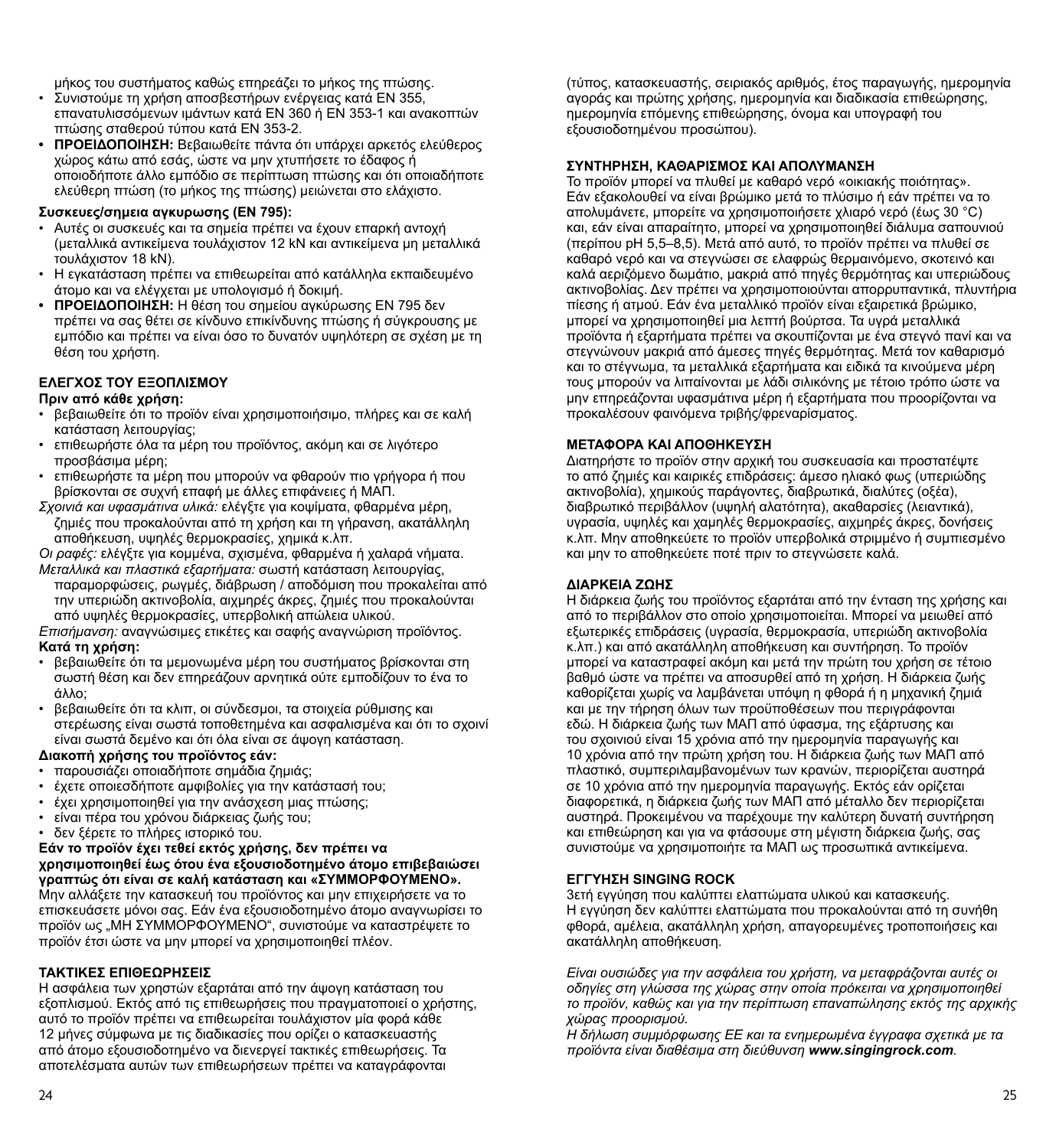μήκος του συστήματος καθώς επηρεάζει το μήκος της πτώσης.

- Συνιστούμε τη χρήση αποσβεστήρων ενέργειας κατά EN 355, επανατυλισσόμενων ιμάντων κατά EN 360 ή EN 353-1 και ανακοπτών πτώσης σταθερού τύπου κατά EN 353-2.
- **• ΠΡΟΕΙΔΟΠΟΙΗΣΗ:** Βεβαιωθείτε πάντα ότι υπάρχει αρκετός ελεύθερος χώρος κάτω από εσάς, ώστε να μην χτυπήσετε το έδαφος ή οποιοδήποτε άλλο εμπόδιο σε περίπτωση πτώσης και ότι οποιαδήποτε ελεύθερη πτώση (το μήκος της πτώσης) μειώνεται στο ελάχιστο.

#### **Συσκευες/σημεια αγκυρωσης (EN 795):**

- Αυτές οι συσκευές και τα σημεία πρέπει να έχουν επαρκή αντοχή (μεταλλικά αντικείμενα τουλάχιστον 12 kN και αντικείμενα μη μεταλλικά τουλάχιστον 18 kN).
- Η εγκατάσταση πρέπει να επιθεωρείται από κατάλληλα εκπαιδευμένο άτομο και να ελέγχεται με υπολογισμό ή δοκιμή.
- **• ΠΡΟΕΙΔΟΠΟΙΗΣΗ:** Η θέση του σημείου αγκύρωσης EN 795 δεν πρέπει να σας θέτει σε κίνδυνο επικίνδυνης πτώσης ή σύγκρουσης με εμπόδιο και πρέπει να είναι όσο το δυνατόν υψηλότερη σε σχέση με τη θέση του χρήστη.

#### **ΕΛΕΓΧΟΣ ΤΟΥ ΕΞΟΠΛΙΣΜΟΥ**

#### **Πριν από κάθε χρήση:**

- βεβαιωθείτε ότι το προϊόν είναι χρησιμοποιήσιμο, πλήρες και σε καλή κατάσταση λειτουργίας;
- επιθεωρήστε όλα τα μέρη του προϊόντος, ακόμη και σε λιγότερο προσβάσιμα μέρη;
- επιθεωρήστε τα μέρη που μπορούν να φθαρούν πιο γρήγορα ή που βρίσκονται σε συχνή επαφή με άλλες επιφάνειες ή ΜΑΠ.
- *Σχοινιά και υφασμάτινα υλικά:* ελέγξτε για κοψίματα, φθαρμένα μέρη, ζημιές που προκαλούνται από τη χρήση και τη γήρανση, ακατάλληλη αποθήκευση, υψηλές θερμοκρασίες, χημικά κ.λπ.

*Οι ραφές:* ελέγξτε για κομμένα, σχισμένα, φθαρμένα ή χαλαρά νήματα. *Μεταλλικά και πλαστικά εξαρτήματα:* σωστή κατάσταση λειτουργίας,

παραμορφώσεις, ρωγμές, διάβρωση / αποδόμιση που προκαλείται από την υπεριώδη ακτινοβολία, αιχμηρές άκρες, ζημιές που προκαλούνται από υψηλές θερμοκρασίες, υπερβολική απώλεια υλικού.

*Επισήμανση:* αναγνώσιμες ετικέτες και σαφής αναγνώριση προϊόντος. **Κατά τη χρήση:**

- βεβαιωθείτε ότι τα μεμονωμένα μέρη του συστήματος βρίσκονται στη σωστή θέση και δεν επηρεάζουν αρνητικά ούτε εμποδίζουν το ένα το άλλο;
- βεβαιωθείτε ότι τα κλιπ, οι σύνδεσμοι, τα στοιχεία ρύθμισης και στερέωσης είναι σωστά τοποθετημένα και ασφαλισμένα και ότι το σχοινί είναι σωστά δεμένο και ότι όλα είναι σε άψογη κατάσταση.

#### **Διακοπή χρήσης του προϊόντος εάν:**

- παρουσιάζει οποιαδήποτε σημάδια ζημιάς;
- έχετε οποιεσδήποτε αμφιβολίες για την κατάστασή του;
- έχει χρησιμοποιηθεί για την ανάσχεση μιας πτώσης;
- είναι πέρα του χρόνου διάρκειας ζωής του;

• δεν ξέρετε το πλήρες ιστορικό του.

#### **Εάν το προϊόν έχει τεθεί εκτός χρήσης, δεν πρέπει να χρησιμοποιηθεί έως ότου ένα εξουσιοδοτημένο άτομο επιβεβαιώσει γραπτώς ότι είναι σε καλή κατάσταση και «ΣΥΜΜΟΡΦΟΥΜΕΝΟ».**  Μην αλλάξετε την κατασκευή του προϊόντος και μην επιχειρήσετε να το

επισκευάσετε μόνοι σας. Εάν ένα εξουσιοδοτημένο άτομο αναγνωρίσει το προϊόν ως "ΜΗ ΣΥΜΜΟΡΦΟΥΜΕΝΟ", συνιστούμε να καταστρέψετε το προϊόν έτσι ώστε να μην μπορεί να χρησιμοποιηθεί πλέον.

#### **ΤΑΚΤΙΚΕΣ ΕΠΙΘΕΩΡΗΣΕΙΣ**

Η ασφάλεια των χρηστών εξαρτάται από την άψογη κατάσταση του εξοπλισμού. Εκτός από τις επιθεωρήσεις που πραγματοποιεί ο χρήστης, αυτό το προϊόν πρέπει να επιθεωρείται τουλάχιστον μία φορά κάθε 12 μήνες σύμφωνα με τις διαδικασίες που ορίζει ο κατασκευαστής από άτομο εξουσιοδοτημένο να διενεργεί τακτικές επιθεωρήσεις. Τα αποτελέσματα αυτών των επιθεωρήσεων πρέπει να καταγράφονται

(τύπος, κατασκευαστής, σειριακός αριθμός, έτος παραγωγής, ημερομηνία αγοράς και πρώτης χρήσης, ημερομηνία και διαδικασία επιθεώρησης, ημερομηνία επόμενης επιθεώρησης, όνομα και υπογραφή του εξουσιοδοτημένου προσώπου).

#### **ΣΥΝΤΗΡΗΣΗ, ΚΑΘΑΡΙΣΜΟΣ ΚΑΙ ΑΠΟΛΥΜΑΝΣΗ**

Το προϊόν μπορεί να πλυθεί με καθαρό νερό «οικιακής ποιότητας». Εάν εξακολουθεί να είναι βρώμικο μετά το πλύσιμο ή εάν πρέπει να το απολυμάνετε, μπορείτε να χρησιμοποιήσετε χλιαρό νερό (έως 30 °C) και, εάν είναι απαραίτητο, μπορεί να χρησιμοποιηθεί διάλυμα σαπουνιού (περίπου pH 5,5–8,5). Μετά από αυτό, το προϊόν πρέπει να πλυθεί σε καθαρό νερό και να στεγνώσει σε ελαφρώς θερμαινόμενο, σκοτεινό και καλά αεριζόμενο δωμάτιο, μακριά από πηγές θερμότητας και υπεριώδους ακτινοβολίας. Δεν πρέπει να χρησιμοποιούνται απορρυπαντικά, πλυντήρια πίεσης ή ατμού. Εάν ένα μεταλλικό προϊόν είναι εξαιρετικά βρώμικο, μπορεί να χρησιμοποιηθεί μια λεπτή βούρτσα. Τα υγρά μεταλλικά προϊόντα ή εξαρτήματα πρέπει να σκουπίζονται με ένα στεγνό πανί και να στεγνώνουν μακριά από άμεσες πηγές θερμότητας. Μετά τον καθαρισμό και το στέγνωμα, τα μεταλλικά εξαρτήματα και ειδικά τα κινούμενα μέρη τους μπορούν να λιπαίνονται με λάδι σιλικόνης με τέτοιο τρόπο ώστε να μην επηρεάζονται υφασμάτινα μέρη ή εξαρτήματα που προορίζονται να προκαλέσουν φαινόμενα τριβής/φρεναρίσματος.

#### **ΜΕΤΑΦΟΡΑ ΚΑΙ ΑΠΟΘΗΚΕΥΣΗ**

Διατηρήστε το προϊόν στην αρχική του συσκευασία και προστατέψτε το από ζημιές και καιρικές επιδράσεις: άμεσο ηλιακό φως (υπεριώδης ακτινοβολία), χημικούς παράγοντες, διαβρωτικά, διαλύτες (οξέα), διαβρωτικό περιβάλλον (υψηλή αλατότητα), ακαθαρσίες (λειαντικά), υγρασία, υψηλές και χαμηλές θερμοκρασίες, αιχμηρές άκρες, δονήσεις κ.λπ. Μην αποθηκεύετε το προϊόν υπερβολικά στριμμένο ή συμπιεσμένο και μην το αποθηκεύετε ποτέ πριν το στεγνώσετε καλά.

#### **ΔΙΑΡΚΕΙΑ ΖΩΗΣ**

Η διάρκεια ζωής του προϊόντος εξαρτάται από την ένταση της χρήσης και από το περιβάλλον στο οποίο χρησιμοποιείται. Μπορεί να μειωθεί από εξωτερικές επιδράσεις (υγρασία, θερμοκρασία, υπεριώδη ακτινοβολία κ.λπ.) και από ακατάλληλη αποθήκευση και συντήρηση. Το προϊόν μπορεί να καταστραφεί ακόμη και μετά την πρώτη του χρήση σε τέτοιο βαθμό ώστε να πρέπει να αποσυρθεί από τη χρήση. Η διάρκεια ζωής καθορίζεται χωρίς να λαμβάνεται υπόψη η φθορά ή η μηχανική ζημιά και με την τήρηση όλων των προϋποθέσεων που περιγράφονται εδώ. Η διάρκεια ζωής των ΜΑΠ από ύφασμα, της εξάρτυσης και του σχοινιού είναι 15 χρόνια από την ημερομηνία παραγωγής και 10 χρόνια από την πρώτη χρήση του. Η διάρκεια ζωής των ΜΑΠ από πλαστικό, συμπεριλαμβανομένων των κρανών, περιορίζεται αυστηρά σε 10 χρόνια από την ημερομηνία παραγωγής. Εκτός εάν ορίζεται διαφορετικά, η διάρκεια ζωής των ΜΑΠ από μέταλλο δεν περιορίζεται αυστηρά. Προκειμένου να παρέχουμε την καλύτερη δυνατή συντήρηση και επιθεώρηση και για να φτάσουμε στη μέγιστη διάρκεια ζωής, σας συνιστούμε να χρησιμοποιήτε τα ΜΑΠ ως προσωπικά αντικείμενα.

#### **ΕΓΓΥΗΣΗ SINGING ROCK**

3ετή εγγύηση που καλύπτει ελαττώματα υλικού και κατασκευής. Η εγγύηση δεν καλύπτει ελαττώματα που προκαλούνται από τη συνήθη φθορά, αμέλεια, ακατάλληλη χρήση, απαγορευμένες τροποποιήσεις και ακατάλληλη αποθήκευση.

*Είναι ουσιώδες για την ασφάλεια του χρήστη, να μεταφράζονται αυτές οι οδηγίες στη γλώσσα της χώρας στην οποία πρόκειται να χρησιμοποιηθεί το προϊόν, καθώς και για την περίπτωση επαναπώλησης εκτός της αρχικής χώρας προορισμού.*

*Η δήλωση συμμόρφωσης ΕΕ και τα ενημερωμένα έγγραφα σχετικά με τα προϊόντα είναι διαθέσιμα στη διεύθυνση www.singingrock.com.*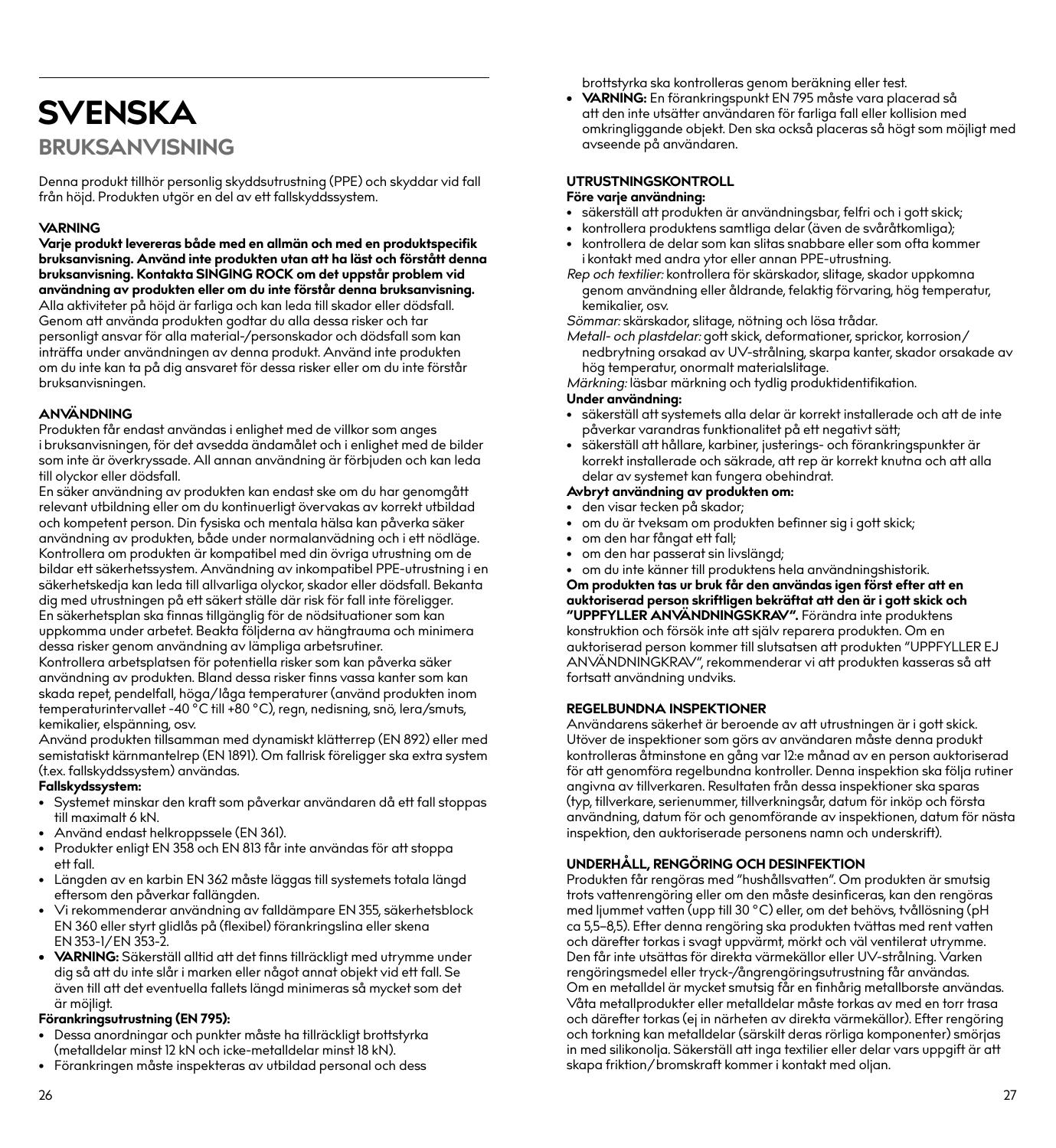## **SVENSKA BRUKSANVISNING**

Denna produkt tillhör personlig skyddsutrustning (PPE) och skyddar vid fall från höjd. Produkten utgör en del av ett fallskyddssystem.

#### **VARNING**

**Varje produkt levereras både med en allmän och med en produktspecifik bruksanvisning. Använd inte produkten utan att ha läst och förstått denna bruksanvisning. Kontakta SINGING ROCK om det uppstår problem vid användning av produkten eller om du inte förstår denna bruksanvisning.** Alla aktiviteter på höjd är farliga och kan leda till skador eller dödsfall. Genom att använda produkten godtar du alla dessa risker och tar personligt ansvar för alla material-/personskador och dödsfall som kan inträffa under användningen av denna produkt. Använd inte produkten om du inte kan ta på dig ansvaret för dessa risker eller om du inte förstår bruksanvisningen.

#### **ANVÄNDNING**

Produkten får endast användas i enlighet med de villkor som anges i bruksanvisningen, för det avsedda ändamålet och i enlighet med de bilder som inte är överkryssade. All annan användning är förbjuden och kan leda till olyckor eller dödsfall.

En säker användning av produkten kan endast ske om du har genomgått relevant utbildning eller om du kontinuerligt övervakas av korrekt utbildad och kompetent person. Din fysiska och mentala hälsa kan påverka säker användning av produkten, både under normalanvädning och i ett nödläge. Kontrollera om produkten är kompatibel med din övriga utrustning om de bildar ett säkerhetssystem. Användning av inkompatibel PPE-utrustning i en säkerhetskedja kan leda till allvarliga olyckor, skador eller dödsfall. Bekanta dig med utrustningen på ett säkert ställe där risk för fall inte föreligger. En säkerhetsplan ska finnas tillgänglig för de nödsituationer som kan uppkomma under arbetet. Beakta följderna av hängtrauma och minimera dessa risker genom användning av lämpliga arbetsrutiner. Kontrollera arbetsplatsen för potentiella risker som kan påverka säker

användning av produkten. Bland dessa risker finns vassa kanter som kan skada repet, pendelfall, höga/låga temperaturer (använd produkten inom temperaturintervallet -40 °C till +80 °C), regn, nedisning, snö, lera/smuts, kemikalier, elspänning, osv.

Använd produkten tillsamman med dynamiskt klätterrep (EN 892) eller med semistatiskt kärnmantelrep (EN 1891). Om fallrisk föreligger ska extra system (t.ex. fallskyddssystem) användas.

#### **Fallskydssystem:**

- Systemet minskar den kraft som påverkar användaren då ett fall stoppas till maximalt 6 kN.
- Använd endast helkroppssele (EN 361).
- Produkter enligt EN 358 och EN 813 får inte användas för att stoppa ett fall.
- Längden av en karbin EN 362 måste läggas till systemets totala längd eftersom den påverkar fallängden.
- Vi rekommenderar användning av falldämpare EN 355, säkerhetsblock EN 360 eller styrt glidlås på (flexibel) förankringslina eller skena EN 353-1/EN 353-2.
- **• VARNING:** Säkerställ alltid att det finns tillräckligt med utrymme under dig så att du inte slår i marken eller något annat objekt vid ett fall. Se även till att det eventuella fallets längd minimeras så mycket som det är möjligt.

#### **Förankringsutrustning (EN 795):**

- Dessa anordningar och punkter måste ha tillräckligt brottstyrka (metalldelar minst 12 kN och icke-metalldelar minst 18 kN).
- Förankringen måste inspekteras av utbildad personal och dess

brottstyrka ska kontrolleras genom beräkning eller test.

**• VARNING:** En förankringspunkt EN 795 måste vara placerad så att den inte utsätter användaren för farliga fall eller kollision med omkringliggande objekt. Den ska också placeras så högt som möjligt med avseende på användaren.

## **UTRUSTNINGSKONTROLL**

#### **Före varje användning:**

- säkerställ att produkten är användningsbar, felfri och i gott skick;
- kontrollera produktens samtliga delar (även de svåråtkomliga);
- kontrollera de delar som kan slitas snabbare eller som ofta kommer i kontakt med andra ytor eller annan PPE-utrustning.
- *Rep och textilier:* kontrollera för skärskador, slitage, skador uppkomna genom användning eller åldrande, felaktig förvaring, hög temperatur, kemikalier, osv.

*Sömmar:* skärskador, slitage, nötning och lösa trådar.

*Metall- och plastdelar:* gott skick, deformationer, sprickor, korrosion/ nedbrytning orsakad av UV-strålning, skarpa kanter, skador orsakade av hög temperatur, onormalt materialslitage.

*Märkning:* läsbar märkning och tydlig produktidentifikation.

#### **Under användning:**

- säkerställ att systemets alla delar är korrekt installerade och att de inte påverkar varandras funktionalitet på ett negativt sätt;
- säkerställ att hållare, karbiner, justerings- och förankringspunkter är korrekt installerade och säkrade, att rep är korrekt knutna och att alla delar av systemet kan fungera obehindrat.

#### **Avbryt användning av produkten om:**

- den visar tecken på skador;
- om du är tveksam om produkten befinner sig i gott skick;
- om den har fångat ett fall;
- om den har passerat sin livslängd;
- om du inte känner till produktens hela användningshistorik.

**Om produkten tas ur bruk får den användas igen först efter att en auktoriserad person skriftligen bekräftat att den är i gott skick och "UPPFYLLER ANVÄNDNINGSKRAV".** Förändra inte produktens konstruktion och försök inte att själv reparera produkten. Om en auktoriserad person kommer till slutsatsen att produkten "UPPFYLLER EJ ANVÄNDNINGKRAV", rekommenderar vi att produkten kasseras så att fortsatt användning undviks.

#### **REGELBUNDNA INSPEKTIONER**

Användarens säkerhet är beroende av att utrustningen är i gott skick. Utöver de inspektioner som görs av användaren måste denna produkt kontrolleras åtminstone en gång var 12:e månad av en person auktoriserad för att genomföra regelbundna kontroller. Denna inspektion ska följa rutiner angivna av tillverkaren. Resultaten från dessa inspektioner ska sparas (typ, tillverkare, serienummer, tillverkningsår, datum för inköp och första användning, datum för och genomförande av inspektionen, datum för nästa inspektion, den auktoriserade personens namn och underskrift).

#### **UNDERHÅLL, RENGÖRING OCH DESINFEKTION**

Produkten får rengöras med "hushållsvatten". Om produkten är smutsig trots vattenrengöring eller om den måste desinficeras, kan den rengöras med ljummet vatten (upp till 30 °C) eller, om det behövs, tvållösning (pH ca 5,5–8,5). Efter denna rengöring ska produkten tvättas med rent vatten och därefter torkas i svagt uppvärmt, mörkt och väl ventilerat utrymme. Den får inte utsättas för direkta värmekällor eller UV-strålning. Varken rengöringsmedel eller tryck-/ångrengöringsutrustning får användas. Om en metalldel är mycket smutsig får en finhårig metallborste användas. Våta metallprodukter eller metalldelar måste torkas av med en torr trasa och därefter torkas (ej in närheten av direkta värmekällor). Efter rengöring och torkning kan metalldelar (särskilt deras rörliga komponenter) smörjas in med silikonolja. Säkerställ att inga textilier eller delar vars uppgift är att skapa friktion/bromskraft kommer i kontakt med oljan.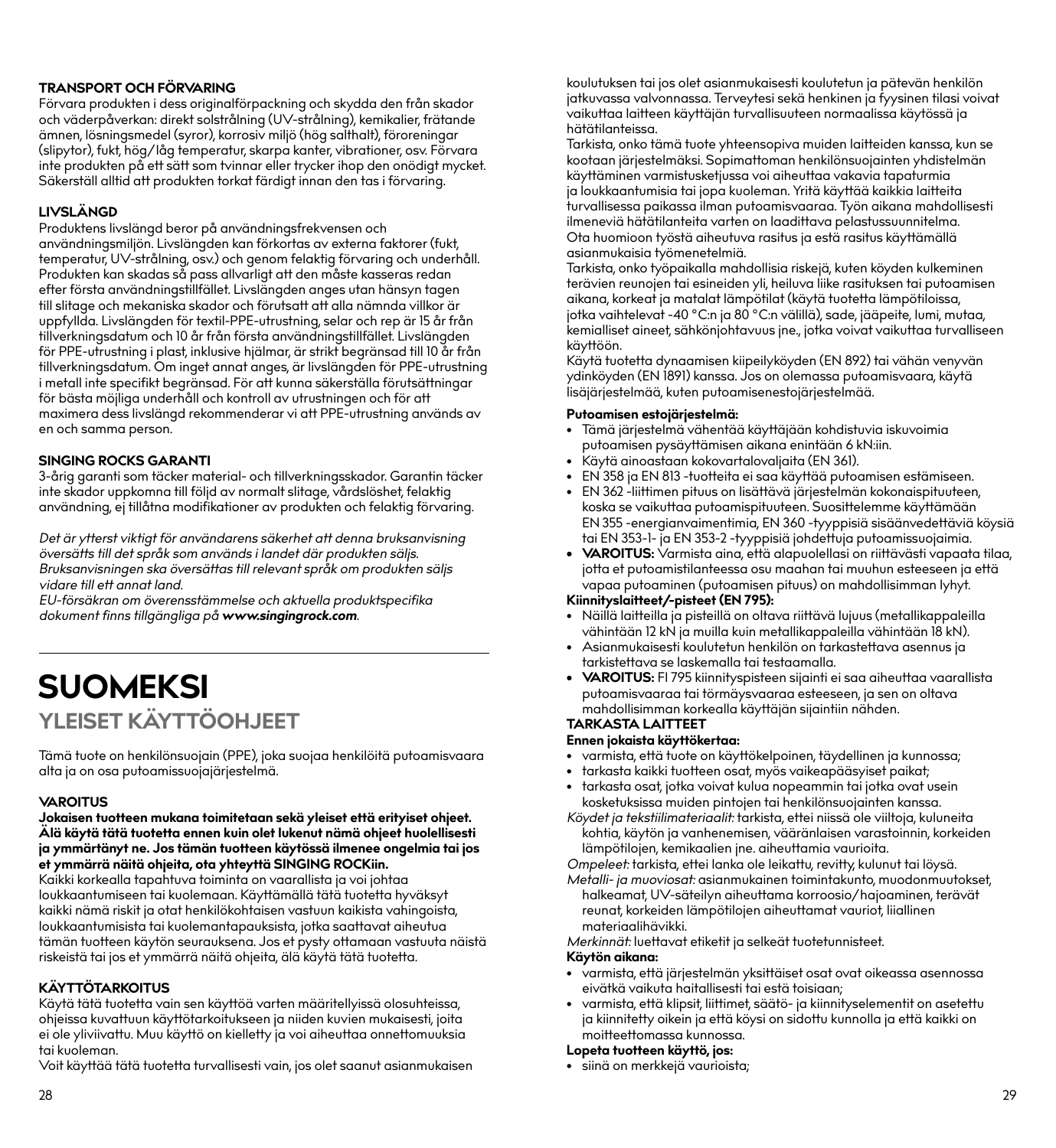#### **TRANSPORT OCH FÖRVARING**

Förvara produkten i dess originalförpackning och skydda den från skador och väderpåverkan: direkt solstrålning (UV-strålning), kemikalier, frätande ämnen, lösningsmedel (syror), korrosiv miljö (hög salthalt), föroreningar (slipytor), fukt, hög/låg temperatur, skarpa kanter, vibrationer, osv. Förvara inte produkten på ett sätt som tvinnar eller trycker ihop den onödigt mycket. Säkerställ alltid att produkten torkat färdigt innan den tas i förvaring.

#### **LIVSLÄNGD**

Produktens livslängd beror på användningsfrekvensen och användningsmiljön. Livslängden kan förkortas av externa faktorer (fukt, temperatur, UV-strålning, osv.) och genom felaktig förvaring och underhåll. Produkten kan skadas så pass allvarligt att den måste kasseras redan efter första användningstillfället. Livslängden anges utan hänsyn tagen till slitage och mekaniska skador och förutsatt att alla nämnda villkor är uppfyllda. Livslängden för textil-PPE-utrustning, selar och rep är 15 år från tillverkningsdatum och 10 år från första användningstillfället. Livslängden för PPE-utrustning i plast, inklusive hjälmar, är strikt begränsad till 10 år från tillverkningsdatum. Om inget annat anges, är livslängden för PPE-utrustning i metall inte specifikt begränsad. För att kunna säkerställa förutsättningar för bästa möjliga underhåll och kontroll av utrustningen och för att maximera dess livslängd rekommenderar vi att PPE-utrustning används av en och samma person.

#### **SINGING ROCKS GARANTI**

3-årig garanti som täcker material- och tillverkningsskador. Garantin täcker inte skador uppkomna till följd av normalt slitage, vårdslöshet, felaktig användning, ej tillåtna modifikationer av produkten och felaktig förvaring.

*Det är ytterst viktigt för användarens säkerhet att denna bruksanvisning översätts till det språk som används i landet där produkten säljs. Bruksanvisningen ska översättas till relevant språk om produkten säljs vidare till ett annat land.*

*EU-försäkran om överensstämmelse och aktuella produktspecifika dokument finns tillgängliga på www.singingrock.com.*

## **SUOMEKSI YLEISET KÄYTTÖOHJEET**

Tämä tuote on henkilönsuojain (PPE), joka suojaa henkilöitä putoamisvaara alta ja on osa putoamissuojajärjestelmä.

#### **VAROITUS**

**Jokaisen tuotteen mukana toimitetaan sekä yleiset että erityiset ohjeet. Älä käytä tätä tuotetta ennen kuin olet lukenut nämä ohjeet huolellisesti ja ymmärtänyt ne. Jos tämän tuotteen käytössä ilmenee ongelmia tai jos et ymmärrä näitä ohjeita, ota yhteyttä SINGING ROCKiin.**

Kaikki korkealla tapahtuva toiminta on vaarallista ja voi johtaa loukkaantumiseen tai kuolemaan. Käyttämällä tätä tuotetta hyväksyt kaikki nämä riskit ja otat henkilökohtaisen vastuun kaikista vahingoista, loukkaantumisista tai kuolemantapauksista, jotka saattavat aiheutua tämän tuotteen käytön seurauksena. Jos et pysty ottamaan vastuuta näistä riskeistä tai jos et ymmärrä näitä ohjeita, älä käytä tätä tuotetta.

#### **KÄYTTÖTARKOITUS**

Käytä tätä tuotetta vain sen käyttöä varten määritellyissä olosuhteissa, ohjeissa kuvattuun käyttötarkoitukseen ja niiden kuvien mukaisesti, joita ei ole yliviivattu. Muu käyttö on kielletty ja voi aiheuttaa onnettomuuksia tai kuoleman.

Voit käyttää tätä tuotetta turvallisesti vain, jos olet saanut asianmukaisen

koulutuksen tai jos olet asianmukaisesti koulutetun ja pätevän henkilön jatkuvassa valvonnassa. Terveytesi sekä henkinen ja fyysinen tilasi voivat .<br>vaikuttaa laitteen käyttäjän turvallisuuteen normaalissa käytössä ja hätätilanteissa.

Tarkista, onko tämä tuote yhteensopiva muiden laitteiden kanssa, kun se kootaan järjestelmäksi. Sopimattoman henkilönsuojainten yhdistelmän käyttäminen varmistusketjussa voi aiheuttaa vakavia tapaturmia ja loukkaantumisia tai jopa kuoleman. Yritä käyttää kaikkia laitteita turvallisessa paikassa ilman putoamisvaaraa. Työn aikana mahdollisesti ilmeneviä hätätilanteita varten on laadittava pelastussuunnitelma. Ota huomioon työstä aiheutuva rasitus ja estä rasitus käyttämällä asianmukaisia työmenetelmiä.

Tarkista, onko työpaikalla mahdollisia riskejä, kuten köyden kulkeminen terävien reunojen tai esineiden yli, heiluva liike rasituksen tai putoamisen aikana, korkeat ja matalat lämpötilat (käytä tuotetta lämpötiloissa, jotka vaihtelevat -40 °C:n ja 80 °C:n välillä), sade, jääpeite, lumi, mutaa, kemialliset aineet, sähkönjohtavuus jne., jotka voivat vaikuttaa turvalliseen käyttöön.

Käytä tuotetta dynaamisen kiipeilyköyden (EN 892) tai vähän venyvän ydinköyden (EN 1891) kanssa. Jos on olemassa putoamisvaara, käytä lisäjärjestelmää, kuten putoamisenestojärjestelmää.

#### **Putoamisen estojärjestelmä:**

- Tämä järjestelmä vähentää käyttäjään kohdistuvia iskuvoimia putoamisen pysäyttämisen aikana enintään 6 kN:iin.
- Käytä ainoastaan kokovartalovaljaita (EN 361).
- EN 358 ja EN 813 -tuotteita ei saa käyttää putoamisen estämiseen.
- EN 362 -liittimen pituus on lisättävä järjestelmän kokonaispituuteen, koska se vaikuttaa putoamispituuteen. Suosittelemme käyttämään EN 355 -energianvaimentimia, EN 360 -tyyppisiä sisäänvedettäviä köysiä tai EN 353-1- ja EN 353-2 -tyyppisiä johdettuja putoamissuojaimia.
- **• VAROITUS:** Varmista aina, että alapuolellasi on riittävästi vapaata tilaa, jotta et putoamistilanteessa osu maahan tai muuhun esteeseen ja että vapaa putoaminen (putoamisen pituus) on mahdollisimman lyhyt.

#### **Kiinnityslaitteet/-pisteet (EN 795):**

- Näillä laitteilla ja pisteillä on oltava riittävä lujuus (metallikappaleilla vähintään 12 kN ja muilla kuin metallikappaleilla vähintään 18 kN).
- Asianmukaisesti koulutetun henkilön on tarkastettava asennus ja tarkistettava se laskemalla tai testaamalla.
- **• VAROITUS:** FI 795 kiinnityspisteen sijainti ei saa aiheuttaa vaarallista putoamisvaaraa tai törmäysvaaraa esteeseen, ja sen on oltava mahdollisimman korkealla käyttäjän sijaintiin nähden.

#### **TARKASTA LAITTEET**

#### **Ennen jokaista käyttökertaa:**

- varmista, että tuote on käyttökelpoinen, täydellinen ja kunnossa;
- tarkasta kaikki tuotteen osat, myös vaikeapääsyiset paikat;
- tarkasta osat, jotka voivat kulua nopeammin tai jotka ovat usein kosketuksissa muiden pintojen tai henkilönsuojainten kanssa.

*Köydet ja tekstiilimateriaalit:* tarkista, ettei niissä ole viiltoja, kuluneita kohtia, käytön ja vanhenemisen, vääränlaisen varastoinnin, korkeiden lämpötilojen, kemikaalien jne. aiheuttamia vaurioita.

*Ompeleet:* tarkista, ettei lanka ole leikattu, revitty, kulunut tai löysä. *Metalli- ja muoviosat:* asianmukainen toimintakunto, muodonmuutokset,

halkeamat, UV-säteilyn aiheuttama korroosio/hajoaminen, terävät reunat, korkeiden lämpötilojen aiheuttamat vauriot, liiallinen materiaalihävikki.

*Merkinnät:* luettavat etiketit ja selkeät tuotetunnisteet. **Käytön aikana:**

- varmista, että järjestelmän yksittäiset osat ovat oikeassa asennossa eivätkä vaikuta haitallisesti tai estä toisiaan;
- varmista, että klipsit, liittimet, säätö- ja kiinnityselementit on asetettu ja kiinnitetty oikein ja että köysi on sidottu kunnolla ja että kaikki on moitteettomassa kunnossa.

#### **Lopeta tuotteen käyttö, jos:**

• siinä on merkkejä vaurioista;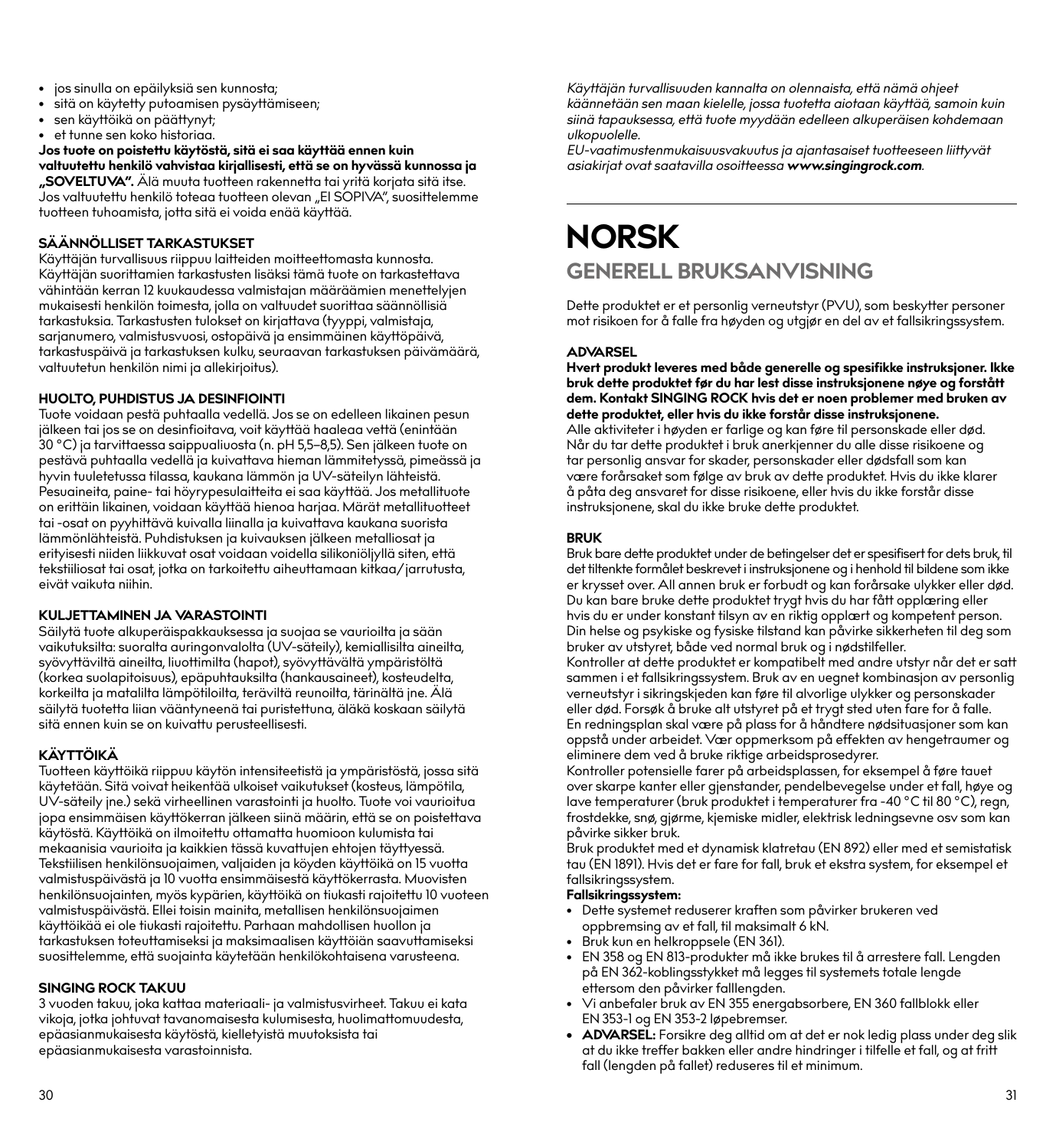- jos sinulla on epäilyksiä sen kunnosta;
- sitä on käytetty putoamisen pysäyttämiseen;
- sen käyttöikä on päättynyt;
- et tunne sen koko historiaa.

**Jos tuote on poistettu käytöstä, sitä ei saa käyttää ennen kuin valtuutettu henkilö vahvistaa kirjallisesti, että se on hyvässä kunnossa ja "SOVELTUVA".** Älä muuta tuotteen rakennetta tai yritä korjata sitä itse. Jos valtuutettu henkilö toteaa tuotteen olevan "EI SOPIVA", suosittelemme

tuotteen tuhoamista, jotta sitä ei voida enää käyttää.

#### **SÄÄNNÖLLISET TARKASTUKSET**

Käyttäjän turvallisuus riippuu laitteiden moitteettomasta kunnosta. Käyttäjän suorittamien tarkastusten lisäksi tämä tuote on tarkastettava vähintään kerran 12 kuukaudessa valmistajan määräämien menettelyjen mukaisesti henkilön toimesta, jolla on valtuudet suorittaa säännöllisiä tarkastuksia. Tarkastusten tulokset on kirjattava (tyyppi, valmistaja, sarjanumero, valmistusvuosi, ostopäivä ja ensimmäinen käyttöpäivä, tarkastuspäivä ja tarkastuksen kulku, seuraavan tarkastuksen päivämäärä, valtuutetun henkilön nimi ja allekirjoitus).

#### **HUOLTO, PUHDISTUS JA DESINFIOINTI**

Tuote voidaan pestä puhtaalla vedellä. Jos se on edelleen likainen pesun jälkeen tai jos se on desinfioitava, voit käyttää haaleaa vettä (enintään 30 °C) ja tarvittaessa saippualiuosta (n. pH 5,5–8,5). Sen jälkeen tuote on pestävä puhtaalla vedellä ja kuivattava hieman lämmitetyssä, pimeässä ja hyvin tuuletetussa tilassa, kaukana lämmön ja UV-säteilyn lähteistä. Pesuaineita, paine- tai höyrypesulaitteita ei saa käyttää. Jos metallituote on erittäin likainen, voidaan käyttää hienoa harjaa. Märät metallituotteet tai -osat on pyyhittävä kuivalla liinalla ja kuivattava kaukana suorista lämmönlähteistä. Puhdistuksen ja kuivauksen jälkeen metalliosat ja erityisesti niiden liikkuvat osat voidaan voidella silikoniöljyllä siten, että tekstiiliosat tai osat, jotka on tarkoitettu aiheuttamaan kitkaa/jarrutusta, eivät vaikuta niihin.

#### **KULJETTAMINEN JA VARASTOINTI**

Säilytä tuote alkuperäispakkauksessa ja suojaa se vaurioilta ja sään vaikutuksilta: suoralta auringonvalolta (UV-säteily), kemiallisilta aineilta, syövyttäviltä aineilta, liuottimilta (hapot), syövyttävältä ympäristöltä (korkea suolapitoisuus), epäpuhtauksilta (hankausaineet), kosteudelta, korkeilta ja matalilta lämpötiloilta, teräviltä reunoilta, tärinältä jne. Älä säilytä tuotetta liian vääntyneenä tai puristettuna, äläkä koskaan säilytä sitä ennen kuin se on kuivattu perusteellisesti.

#### **KÄYTTÖIKÄ**

Tuotteen käyttöikä riippuu käytön intensiteetistä ja ympäristöstä, jossa sitä käytetään. Sitä voivat heikentää ulkoiset vaikutukset (kosteus, lämpötila, UV-säteily jne.) sekä virheellinen varastointi ja huolto. Tuote voi vaurioitua jopa ensimmäisen käyttökerran jälkeen siinä määrin, että se on poistettava käytöstä. Käyttöikä on ilmoitettu ottamatta huomioon kulumista tai mekaanisia vaurioita ja kaikkien tässä kuvattujen ehtojen täyttyessä. Tekstiilisen henkilönsuojaimen, valjaiden ja köyden käyttöikä on 15 vuotta valmistuspäivästä ja 10 vuotta ensimmäisestä käyttökerrasta. Muovisten henkilönsuojainten, myös kypärien, käyttöikä on tiukasti rajoitettu 10 vuoteen valmistuspäivästä. Ellei toisin mainita, metallisen henkilönsuojaimen käyttöikää ei ole tiukasti rajoitettu. Parhaan mahdollisen huollon ja tarkastuksen toteuttamiseksi ja maksimaalisen käyttöiän saavuttamiseksi suosittelemme, että suojainta käytetään henkilökohtaisena varusteena.

#### **SINGING ROCK TAKUU**

3 vuoden takuu, joka kattaa materiaali- ja valmistusvirheet. Takuu ei kata vikoja, jotka johtuvat tavanomaisesta kulumisesta, huolimattomuudesta, epäasianmukaisesta käytöstä, kielletyistä muutoksista tai epäasianmukaisesta varastoinnista.

*Käyttäjän turvallisuuden kannalta on olennaista, että nämä ohjeet käännetään sen maan kielelle, jossa tuotetta aiotaan käyttää, samoin kuin siinä tapauksessa, että tuote myydään edelleen alkuperäisen kohdemaan ulkopuolelle.*

*EU-vaatimustenmukaisuusvakuutus ja ajantasaiset tuotteeseen liittyvät asiakirjat ovat saatavilla osoitteessa www.singingrock.com.*

## **NORSK GENERELL BRUKSANVISNING**

Dette produktet er et personlig verneutstyr (PVU), som beskytter personer mot risikoen for å falle fra høyden og utgjør en del av et fallsikringssystem.

#### **ADVARSEL**

**Hvert produkt leveres med både generelle og spesifikke instruksjoner. Ikke bruk dette produktet før du har lest disse instruksjonene nøye og forstått dem. Kontakt SINGING ROCK hvis det er noen problemer med bruken av dette produktet, eller hvis du ikke forstår disse instruksjonene.**

Alle aktiviteter i høyden er farlige og kan føre til personskade eller død. Når du tar dette produktet i bruk anerkjenner du alle disse risikoene og tar personlig ansvar for skader, personskader eller dødsfall som kan være forårsaket som følge av bruk av dette produktet. Hvis du ikke klarer å påta deg ansvaret for disse risikoene, eller hvis du ikke forstår disse instruksjonene, skal du ikke bruke dette produktet.

#### **BRUK**

Bruk bare dette produktet under de betingelser det er spesifisert for dets bruk, til det tiltenkte formålet beskrevet i instruksjonene og i henhold til bildene som ikke er krysset over. All annen bruk er forbudt og kan forårsake ulykker eller død. Du kan bare bruke dette produktet trygt hvis du har fått opplæring eller hvis du er under konstant tilsyn av en riktig opplært og kompetent person. Din helse og psykiske og fysiske tilstand kan påvirke sikkerheten til deg som bruker av utstyret, både ved normal bruk og i nødstilfeller.

Kontroller at dette produktet er kompatibelt med andre utstyr når det er satt sammen i et fallsikringssystem. Bruk av en uegnet kombinasjon av personlig verneutstyr i sikringskjeden kan føre til alvorlige ulykker og personskader eller død. Forsøk å bruke alt utstyret på et trygt sted uten fare for å falle. En redningsplan skal være på plass for å håndtere nødsituasjoner som kan oppstå under arbeidet. Vær oppmerksom på effekten av hengetraumer og eliminere dem ved å bruke riktige arbeidsprosedyrer.

Kontroller potensielle farer på arbeidsplassen, for eksempel å føre tauet over skarpe kanter eller gjenstander, pendelbevegelse under et fall, høye og lave temperaturer (bruk produktet i temperaturer fra -40 °C til 80 °C), regn, frostdekke, snø, gjørme, kjemiske midler, elektrisk ledningsevne osv som kan påvirke sikker bruk.

Bruk produktet med et dynamisk klatretau (EN 892) eller med et semistatisk tau (EN 1891). Hvis det er fare for fall, bruk et ekstra system, for eksempel et fallsikringssystem.

#### **Fallsikringssystem:**

- Dette systemet reduserer kraften som påvirker brukeren ved oppbremsing av et fall, til maksimalt 6 kN.
- Bruk kun en helkroppsele (EN 361).
- EN 358 og EN 813-produkter må ikke brukes til å arrestere fall. Lengden på EN 362-koblingsstykket må legges til systemets totale lengde ettersom den påvirker falllengden.
- Vi anbefaler bruk av EN 355 energabsorbere, EN 360 fallblokk eller EN 353-1 og EN 353-2 løpebremser.
- **• ADVARSEL:** Forsikre deg alltid om at det er nok ledig plass under deg slik at du ikke treffer bakken eller andre hindringer i tilfelle et fall, og at fritt fall (lengden på fallet) reduseres til et minimum.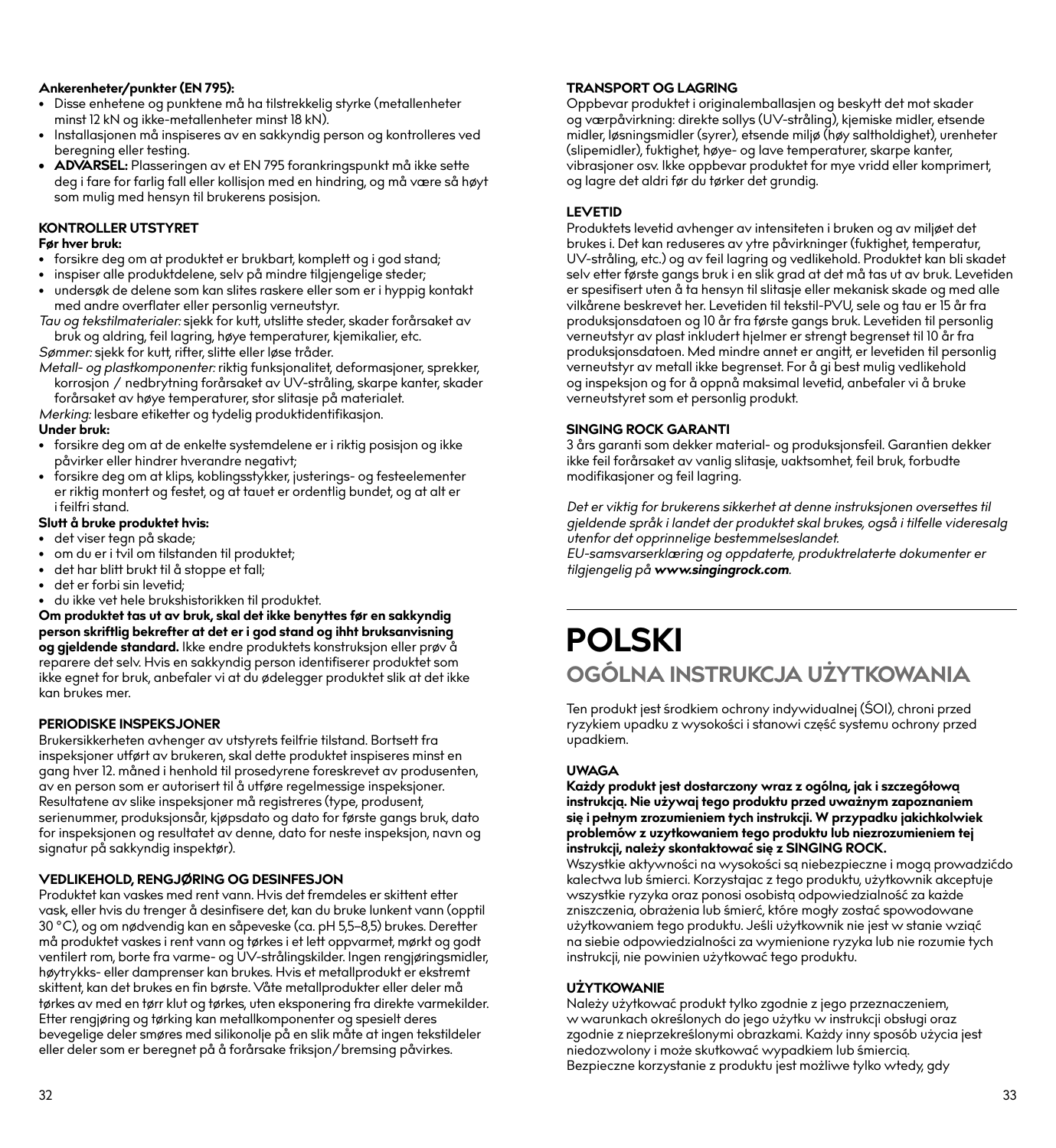#### **Ankerenheter/punkter (EN 795):**

- Disse enhetene og punktene må ha tilstrekkelig styrke (metallenheter minst 12 kN og ikke-metallenheter minst 18 kN).
- Installasjonen må inspiseres av en sakkyndig person og kontrolleres ved beregning eller testing.
- **• ADVARSEL:** Plasseringen av et EN 795 forankringspunkt må ikke sette deg i fare for farlig fall eller kollisjon med en hindring, og må være så høyt som mulig med hensyn til brukerens posisjon.

#### **KONTROLLER UTSTYRET**

#### **Før hver bruk:**

- forsikre deg om at produktet er brukbart, komplett og i god stand;
- inspiser alle produktdelene, selv på mindre tilgjengelige steder;
- undersøk de delene som kan slites raskere eller som er i hyppig kontakt med andre overflater eller personlig verneutstyr.
- *Tau og tekstilmaterialer:* sjekk for kutt, utslitte steder, skader forårsaket av bruk og aldring, feil lagring, høye temperaturer, kjemikalier, etc.

*Sømmer:* sjekk for kutt, rifter, slitte eller løse tråder.

*Metall- og plastkomponenter:* riktig funksjonalitet, deformasjoner, sprekker, korrosjon / nedbrytning forårsaket av UV-stråling, skarpe kanter, skader forårsaket av høye temperaturer, stor slitasje på materialet.

*Merking:* lesbare etiketter og tydelig produktidentifikasjon.

#### **Under bruk:**

- forsikre deg om at de enkelte systemdelene er i riktig posisjon og ikke påvirker eller hindrer hverandre negativt;
- forsikre deg om at klips, koblingsstykker, justerings- og festeelementer er riktig montert og festet, og at tauet er ordentlig bundet, og at alt er i feilfri stand.

#### **Slutt å bruke produktet hvis:**

- det viser tegn på skade;
- om du er i tvil om tilstanden til produktet;
- det har blitt brukt til å stoppe et fall;
- det er forbi sin levetid;
- du ikke vet hele brukshistorikken til produktet.

**Om produktet tas ut av bruk, skal det ikke benyttes før en sakkyndig person skriftlig bekrefter at det er i god stand og ihht bruksanvisning og gjeldende standard.** Ikke endre produktets konstruksjon eller prøv å reparere det selv. Hvis en sakkyndig person identifiserer produktet som ikke egnet for bruk, anbefaler vi at du ødelegger produktet slik at det ikke kan brukes mer.

#### **PERIODISKE INSPEKSJONER**

Brukersikkerheten avhenger av utstyrets feilfrie tilstand. Bortsett fra inspeksjoner utført av brukeren, skal dette produktet inspiseres minst en gang hver 12. måned i henhold til prosedyrene foreskrevet av produsenten, av en person som er autorisert til å utføre regelmessige inspeksjoner. Resultatene av slike inspeksjoner må registreres (type, produsent, serienummer, produksjonsår, kjøpsdato og dato for første gangs bruk, dato for inspeksjonen og resultatet av denne, dato for neste inspeksjon, navn og signatur på sakkyndig inspektør).

#### **VEDLIKEHOLD, RENGJØRING OG DESINFESJON**

Produktet kan vaskes med rent vann. Hvis det fremdeles er skittent etter vask, eller hvis du trenger å desinfisere det, kan du bruke lunkent vann (opptil 30 °C), og om nødvendig kan en såpeveske (ca. pH 5,5–8,5) brukes. Deretter må produktet vaskes i rent vann og tørkes i et lett oppvarmet, mørkt og godt ventilert rom, borte fra varme- og UV-strålingskilder. Ingen rengjøringsmidler, høytrykks- eller damprenser kan brukes. Hvis et metallprodukt er ekstremt skittent, kan det brukes en fin børste. Våte metallprodukter eller deler må tørkes av med en tørr klut og tørkes, uten eksponering fra direkte varmekilder. Etter rengjøring og tørking kan metallkomponenter og spesielt deres bevegelige deler smøres med silikonolje på en slik måte at ingen tekstildeler eller deler som er beregnet på å forårsake friksjon/bremsing påvirkes.

#### **TRANSPORT OG LAGRING**

Oppbevar produktet i originalemballasjen og beskytt det mot skader og værpåvirkning: direkte sollys (UV-stråling), kjemiske midler, etsende midler, løsningsmidler (syrer), etsende miljø (høy saltholdighet), urenheter (slipemidler), fuktighet, høye- og lave temperaturer, skarpe kanter, vibrasjoner osv. Ikke oppbevar produktet for mye vridd eller komprimert, og lagre det aldri før du tørker det grundig.

#### **LEVETID**

Produktets levetid avhenger av intensiteten i bruken og av miljøet det brukes i. Det kan reduseres av ytre påvirkninger (fuktighet, temperatur, UV-stråling, etc.) og av feil lagring og vedlikehold. Produktet kan bli skadet selv etter første gangs bruk i en slik grad at det må tas ut av bruk. Levetiden er spesifisert uten å ta hensyn til slitasje eller mekanisk skade og med alle vilkårene beskrevet her. Levetiden til tekstil-PVU, sele og tau er 15 år fra produksjonsdatoen og 10 år fra første gangs bruk. Levetiden til personlig verneutstyr av plast inkludert hjelmer er strengt begrenset til 10 år fra produksjonsdatoen. Med mindre annet er angitt, er levetiden til personlig verneutstyr av metall ikke begrenset. For å gi best mulig vedlikehold og inspeksjon og for å oppnå maksimal levetid, anbefaler vi å bruke verneutstyret som et personlig produkt.

#### **SINGING ROCK GARANTI**

3 års garanti som dekker material- og produksjonsfeil. Garantien dekker ikke feil forårsaket av vanlig slitasje, uaktsomhet, feil bruk, forbudte modifikasjoner og feil lagring.

*Det er viktig for brukerens sikkerhet at denne instruksjonen oversettes til gjeldende språk i landet der produktet skal brukes, også i tilfelle videresalg utenfor det opprinnelige bestemmelseslandet.*

*EU-samsvarserklæring og oppdaterte, produktrelaterte dokumenter er tilgjengelig på www.singingrock.com.*

## **POLSKI OGÓLNA INSTRUKCJA UŻYTKOWANIA**

Ten produkt jest środkiem ochrony indywidualnej (ŚOI), chroni przed ryzykiem upadku z wysokości i stanowi część systemu ochrony przed upadkiem.

#### **UWAGA**

**Każdy produkt jest dostarczony wraz z ogólną, jak i szczegółową instrukcją. Nie używaj tego produktu przed uważnym zapoznaniem się i pełnym zrozumieniem tych instrukcji. W przypadku jakichkolwiek problemów z uzytkowaniem tego produktu lub niezrozumieniem tej instrukcji, należy skontaktować się z SINGING ROCK.**

Wszystkie aktywności na wysokości są niebezpieczne i mogą prowadzićdo kalectwa lub śmierci. Korzystajac z tego produktu, użytkownik akceptuje wszystkie ryzyka oraz ponosi osobistą odpowiedzialność za każde zniszczenia, obrażenia lub śmierć, które mogły zostać spowodowane użytkowaniem tego produktu. Jeśli użytkownik nie jest w stanie wziać na siebie odpowiedzialności za wymienione ryzyka lub nie rozumie tych instrukcji, nie powinien użytkować tego produktu.

#### **UŻYTKOWANIE**

Należy użytkować produkt tylko zgodnie z jego przeznaczeniem, w warunkach określonych do jego użytku w instrukcji obsługi oraz zgodnie z nieprzekreślonymi obrazkami. Każdy inny sposób użycia jest niedozwolony i może skutkować wypadkiem lub śmiercią. Bezpieczne korzystanie z produktu jest możliwe tylko wtedy, gdy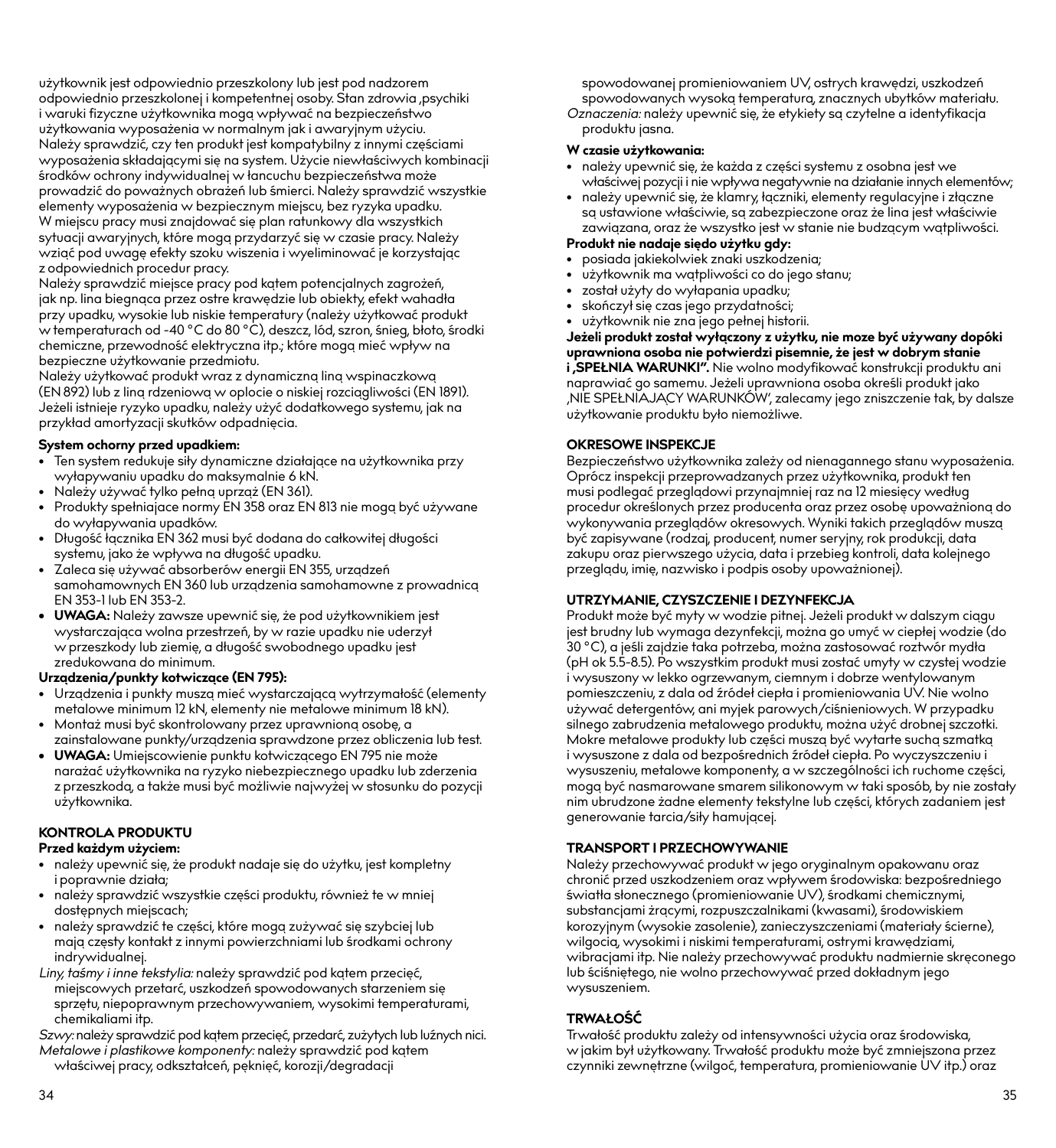użytkownik jest odpowiednio przeszkolony lub jest pod nadzorem odpowiednio przeszkolonej i kompetentnej osoby. Stan zdrowia ,psychiki i waruki fizyczne użytkownika mogą wpływać na bezpieczeństwo użytkowania wyposażenia w normalnym jak i awaryjnym użyciu. Należy sprawdzić, czy ten produkt jest kompatybilny z innymi częściami wyposażenia składającymi się na system. Użycie niewłaściwych kombinacji środków ochrony indywidualnej w łancuchu bezpieczeństwa może prowadzić do poważnych obrażeń lub śmierci. Należy sprawdzić wszystkie elementy wyposażenia w bezpiecznym miejscu, bez ryzyka upadku. W miejscu pracy musi znajdować się plan ratunkowy dla wszystkich sytuacji awaryjnych, które mogą przydarzyć się w czasie pracy. Należy wziąć pod uwagę efekty szoku wiszenia i wyeliminować je korzystając z odpowiednich procedur pracy.

Należy sprawdzić miejsce pracy pod kątem potencjalnych zagrożeń, jak np. lina biegnąca przez ostre krawędzie lub obiekty, efekt wahadła przy upadku, wysokie lub niskie temperatury (należy użytkować produkt w temperaturach od -40 °C do 80 °C), deszcz, lód, szron, śnieg, błoto, środki chemiczne, przewodność elektryczna itp.; które mogą mieć wpływ na bezpieczne użytkowanie przedmiotu.

Należy użytkować produkt wraz z dynamiczną liną wspinaczkową (EN 892) lub z liną rdzeniową w oplocie o niskiej rozciągliwości (EN 1891). Jeżeli istnieje ryzyko upadku, należy użyć dodatkowego systemu, jak na przykład amortyzacji skutków odpadnięcia.

#### **System ochorny przed upadkiem:**

- Ten system redukuje siły dynamiczne działające na użytkownika przy wyłapywaniu upadku do maksymalnie 6 kN.
- Należy używać tylko pełną uprząż (EN 361).
- Produkty spełniajace normy EN 358 oraz EN 813 nie mogą być używane do wyłapywania upadków.
- Długość łącznika EN 362 musi być dodana do całkowitej długości systemu, jako że wpływa na długość upadku.
- Zaleca się używać absorberów energii EN 355, urządzeń samohamownych EN 360 lub urządzenia samohamowne z prowadnicą EN 353-1 lub EN 353-2.
- **• UWAGA:** Należy zawsze upewnić się, że pod użytkownikiem jest wystarczająca wolna przestrzeń, by w razie upadku nie uderzył w przeszkody lub ziemię, a długość swobodnego upadku jest zredukowana do minimum.

#### **Urządzenia/punkty kotwiczące (EN 795):**

- Urządzenia i punkty muszą mieć wystarczającą wytrzymałość (elementy metalowe minimum 12 kN, elementy nie metalowe minimum 18 kN).
- Montaż musi być skontrolowany przez uprawnioną osobę, a zainstalowane punkty/urządzenia sprawdzone przez obliczenia lub test.
- **• UWAGA:** Umiejscowienie punktu kotwiczącego EN 795 nie może narażać użytkownika na ryzyko niebezpiecznego upadku lub zderzenia z przeszkodą, a także musi być możliwie najwyżej w stosunku do pozycji użytkownika.

#### **KONTROLA PRODUKTU**

#### **Przed każdym użyciem:**

- należy upewnić się, że produkt nadaje się do użytku, jest kompletny i poprawnie działa;
- należy sprawdzić wszystkie części produktu, również te w mniej dostępnych miejscach;
- należy sprawdzić te części, które mogą zużywać się szybciej lub mają częsty kontakt z innymi powierzchniami lub środkami ochrony indrywidualnej.
- *Liny, taśmy i inne tekstylia:* należy sprawdzić pod kątem przecięć, miejscowych przetarć, uszkodzeń spowodowanych starzeniem się sprzętu, niepoprawnym przechowywaniem, wysokimi temperaturami, chemikaliami itp.

*Szwy:* należy sprawdzić pod kątem przecięć, przedarć, zużytych lub luźnych nici. *Metalowe i plastikowe komponenty:* należy sprawdzić pod kątem właściwej pracy, odkształceń, pęknięć, korozji/degradacji

spowodowanej promieniowaniem UV, ostrych krawędzi, uszkodzeń spowodowanych wysoką temperaturą, znacznych ubytków materiału.

*Oznaczenia:* należy upewnić się, że etykiety są czytelne a identyfikacia produktu jasna.

#### **W czasie użytkowania:**

- należy upewnić się, że każda z części systemu z osobna jest we właściwej pozycji i nie wpływa negatywnie na działanie innych elementów;
- należy upewnić się, że klamry, łączniki, elementy regulacyjne i złączne są ustawione właściwie, są zabezpieczone oraz że lina jest właściwie zawiązana, oraz że wszystko jest w stanie nie budzącym wątpliwości.

#### **Produkt nie nadaje siędo użytku gdy:**

- posiada jakiekolwiek znaki uszkodzenia;
- użytkownik ma wątpliwości co do jego stanu;
- został użyty do wyłapania upadku;
- skończył się czas jego przydatności;
- użytkownik nie zna jego pełnej historii.

**Jeżeli produkt został wyłączony z użytku, nie moze być używany dopóki uprawniona osoba nie potwierdzi pisemnie, że jest w dobrym stanie i 'SPEŁNIA WARUNKI".** Nie wolno modyfikować konstrukcji produktu ani naprawiać go samemu. Jeżeli uprawniona osoba określi produkt jako 'NIE SPEŁNIAJĄCY WARUNKÓW', zalecamy jego zniszczenie tak, by dalsze użytkowanie produktu było niemożliwe.

#### **OKRESOWE INSPEKCJE**

Bezpieczeństwo użytkownika zależy od nienagannego stanu wyposażenia. Oprócz inspekcji przeprowadzanych przez użytkownika, produkt ten musi podlegać przeglądowi przynajmniej raz na 12 miesięcy według procedur określonych przez producenta oraz przez osobę upoważnioną do wykonywania przeglądów okresowych. Wyniki takich przeglądów muszą być zapisywane (rodzaj, producent, numer seryjny, rok produkcji, data zakupu oraz pierwszego użycia, data i przebieg kontroli, data kolejnego przeglądu, imię, nazwisko i podpis osoby upoważnionej).

#### **UTRZYMANIE, CZYSZCZENIE I DEZYNFEKCJA**

Produkt może być myty w wodzie pitnej. Jeżeli produkt w dalszym ciągu jest brudny lub wymaga dezynfekcji, można go umyć w ciepłej wodzie (do 30 °C), a jeśli zajdzie taka potrzeba, można zastosować roztwór mydła (pH ok 5.5-8.5). Po wszystkim produkt musi zostać umyty w czystej wodzie i wysuszony w lekko ogrzewanym, ciemnym i dobrze wentylowanym pomieszczeniu, z dala od źródeł ciepła i promieniowania UV. Nie wolno używać detergentów, ani myjek parowych/ciśnieniowych. W przypadku silnego zabrudzenia metalowego produktu, można użyć drobnej szczotki. Mokre metalowe produkty lub części muszą być wytarte suchą szmatką i wysuszone z dala od bezpośrednich źródeł ciepła. Po wyczyszczeniu i wysuszeniu, metalowe komponenty, a w szczególności ich ruchome części, mogą być nasmarowane smarem silikonowym w taki sposób, by nie zostały nim ubrudzone żadne elementy tekstylne lub części, których zadaniem jest generowanie tarcia/siły hamującej.

#### **TRANSPORT I PRZECHOWYWANIE**

Należy przechowywać produkt w jego oryginalnym opakowanu oraz chronić przed uszkodzeniem oraz wpływem środowiska: bezpośredniego światła słonecznego (promieniowanie UV), środkami chemicznymi, substancjami żrącymi, rozpuszczalnikami (kwasami), środowiskiem korozyjnym (wysokie zasolenie), zanieczyszczeniami (materiały ścierne), wilgocią, wysokimi i niskimi temperaturami, ostrymi krawędziami, wibracjami itp. Nie należy przechowywać produktu nadmiernie skręconego lub ściśniętego, nie wolno przechowywać przed dokładnym jego wysuszeniem.

#### **TRWAŁOŚĆ**

Trwałość produktu zależy od intensywności użycia oraz środowiska, w jakim był użytkowany. Trwałość produktu może być zmniejszona przez czynniki zewnętrzne (wilgoć, temperatura, promieniowanie UV itp.) oraz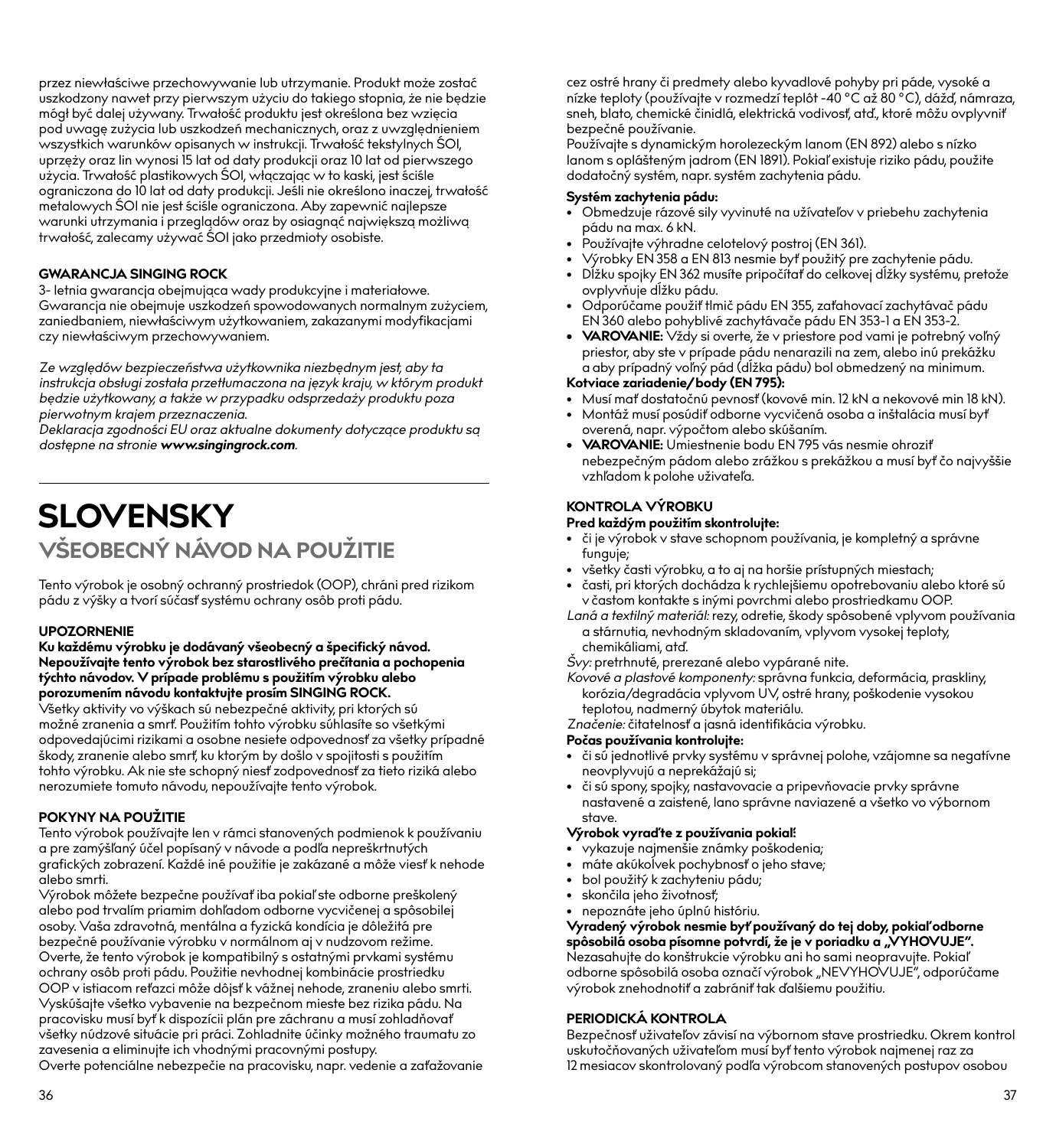przez niewłaściwe przechowywanie lub utrzymanie. Produkt może zostać uszkodzony nawet przy pierwszym użyciu do takiego stopnia, że nie będzie mógł być dalej używany. Trwałość produktu jest określona bez wzięcia pod uwagę zużycia lub uszkodzeń mechanicznych, oraz z uwzględnieniem wszystkich warunków opisanych w instrukcji. Trwałość tekstylnych ŚOI, uprzęży oraz lin wynosi 15 lat od daty produkcji oraz 10 lat od pierwszego użycia. Trwałość plastikowych ŚOI, włączając w to kaski, jest ściśle ograniczona do 10 lat od daty produkcji. Jeśli nie określono inaczej, trwałość metalowych ŚOI nie jest ściśle ograniczona. Aby zapewnić najlepsze warunki utrzymania i przeglądów oraz by osiagnąć największą możliwą trwałość, zalecamy używać ŚOI jako przedmioty osobiste.

#### **GWARANCJA SINGING ROCK**

3- letnia gwarancja obejmująca wady produkcyjne i materiałowe. Gwarancja nie obejmuje uszkodzeń spowodowanych normalnym zużyciem, zaniedbaniem, niewłaściwym użytkowaniem, zakazanymi modyfikacjami czy niewłaściwym przechowywaniem.

*Ze względów bezpieczeństwa użytkownika niezbędnym jest, aby ta instrukcja obsługi została przetłumaczona na język kraju, w którym produkt będzie użytkowany, a także w przypadku odsprzedaży produktu poza pierwotnym krajem przeznaczenia.*

*Deklaracja zgodności EU oraz aktualne dokumenty dotyczące produktu są dostępne na stronie www.singingrock.com.*

## **SLOVENSKY VŠEOBECNÝ NÁVOD NA POUŽITIE**

Tento výrobok je osobný ochranný prostriedok (OOP), chráni pred rizikom pádu z výšky a tvorí súčasť systému ochrany osôb proti pádu.

#### **UPOZORNENIE**

#### **Ku každému výrobku je dodávaný všeobecný a špecifický návod. Nepoužívajte tento výrobok bez starostlivého prečítania a pochopenia týchto návodov. V prípade problému s použitím výrobku alebo porozumením návodu kontaktujte prosím SINGING ROCK.**

Všetky aktivity vo výškach sú nebezpečné aktivity, pri ktorých sú možné zranenia a smrť. Použitím tohto výrobku súhlasíte so všetkými odpovedajúcimi rizikami a osobne nesiete odpovednosť za všetky prípadné škody, zranenie alebo smrť, ku ktorým by došlo v spojitosti s použitím tohto výrobku. Ak nie ste schopný niesť zodpovednosť za tieto riziká alebo nerozumiete tomuto návodu, nepoužívajte tento výrobok.

#### **POKYNY NA POUŽITIE**

Tento výrobok používajte len v rámci stanovených podmienok k používaniu a pre zamýšľaný účel popísaný v návode a podľa nepreškrtnutých grafických zobrazení. Každé iné použitie je zakázané a môže viesť k nehode alebo smrti.

Výrobok môžete bezpečne používať iba pokiaľ ste odborne preškolený alebo pod trvalím priamim dohľadom odborne vycvičenej a spôsobilej osoby. Vaša zdravotná, mentálna a fyzická kondícia je dôležitá pre bezpečné používanie výrobku v normálnom aj v nudzovom režime. Overte, že tento výrobok je kompatibilný s ostatnými prvkami systému ochrany osôb proti pádu. Použitie nevhodnej kombinácie prostriedku OOP v istiacom reťazci môže dôjsť k vážnej nehode, zraneniu alebo smrti. Vyskúšajte všetko vybavenie na bezpečnom mieste bez rizika pádu. Na pracovisku musí byť k dispozícii plán pre záchranu a musí zohladňovať všetky núdzové situácie pri práci. Zohladnite účinky možného traumatu zo zavesenia a eliminujte ich vhodnými pracovnými postupy. Overte potenciálne nebezpečie na pracovisku, napr. vedenie a zaťažovanie cez ostré hrany či predmety alebo kyvadlové pohyby pri páde, vysoké a nízke teploty (používajte v rozmedzí teplôt -40 °C až 80 °C), dážď, námraza, sneh, blato, chemické činidlá, elektrická vodivosť, atď., ktoré môžu ovplyvniť bezpečné používanie.

Používajte s dynamickým horolezeckým lanom (EN 892) alebo s nízko lanom s oplášteným jadrom (EN 1891). Pokiaľ existuje riziko pádu, použite dodatočný systém, napr. systém zachytenia pádu.

#### **Systém zachytenia pádu:**

- Obmedzuje rázové sily vyvinuté na užívateľov v priebehu zachytenia pádu na max. 6 kN.
- Používajte výhradne celotelový postroj (EN 361).
- Výrobky EN 358 a EN 813 nesmie byť použitý pre zachytenie pádu.
- Dĺžku spojky EN 362 musíte pripočítať do celkovej dĺžky systému, pretože ovplyvňuje dĺžku pádu.
- Odporúčame použiť tlmič pádu EN 355, zaťahovací zachytávač pádu EN 360 alebo pohyblivé zachytávače pádu EN 353-1 a EN 353-2.
- **• VAROVANIE:** Vždy si overte, že v priestore pod vami je potrebný voľný priestor, aby ste v prípade pádu nenarazili na zem, alebo inú prekážku a aby prípadný voľný pád (dĺžka pádu) bol obmedzený na minimum.

#### **Kotviace zariadenie/body (EN 795):**

- Musí mať dostatočnú pevnosť (kovové min. 12 kN a nekovové min 18 kN).
- Montáž musí posúdiť odborne vycvičená osoba a inštalácia musí byť overená, napr. výpočtom alebo skúšaním.
- **• VAROVANIE:** Umiestnenie bodu EN 795 vás nesmie ohroziť nebezpečným pádom alebo zrážkou s prekážkou a musí byť čo najvyššie vzhľadom k polohe uživateľa.

#### **KONTROLA VÝROBKU**

#### **Pred každým použitím skontrolujte:**

- či je výrobok v stave schopnom používania, je kompletný a správne funguje;
- všetky časti výrobku, a to aj na horšie prístupných miestach;
- časti, pri ktorých dochádza k rychlejšiemu opotrebovaniu alebo ktoré sú v častom kontakte s inými povrchmi alebo prostriedkamu OOP.
- *Laná a textilný materiál:* rezy, odretie, škody spôsobené vplyvom používania a stárnutia, nevhodným skladovaním, vplyvom vysokej teploty, chemikáliami, atď.

*Švy:* pretrhnuté, prerezané alebo vypárané nite.

*Kovové a plastové komponenty:* správna funkcia, deformácia, praskliny, korózia/degradácia vplyvom UV, ostré hrany, poškodenie vysokou teplotou, nadmerný úbytok materiálu.

*Značenie:* čitatelnosť a jasná identifikácia výrobku.

#### **Počas používania kontrolujte:**

- či sú jednotlivé prvky systému v správnej polohe, vzájomne sa negatívne neovplyvujú a neprekážajú si;
- či sú spony, spojky, nastavovacie a pripevňovacie prvky správne nastavené a zaistené, lano správne naviazené a všetko vo výbornom stave.

#### **Výrobok vyraď te z používania pokiaľ:**

- vykazuje najmenšie známky poškodenia;
- máte akúkoĺvek pochybnosť o jeho stave;
- bol použitý k zachyteniu pádu;
- skončila jeho životnosť;
- nepoznáte jeho úplnú históriu.

**Vyradený výrobok nesmie byť používaný do tej doby, pokiaľ odborne**  spôsobilá osoba písomne potvrdí, že je v poriadku a "VYHOVUJE". Nezasahujte do konštrukcie výrobku ani ho sami neopravujte. Pokiaľ odborne spôsobilá osoba označí výrobok "NEVYHOVUJE", odporúčame výrobok znehodnotiť a zabrániť tak ďalšiemu použitiu.

#### **PERIODICKÁ KONTROLA**

Bezpečnosť uživateľov závisí na výbornom stave prostriedku. Okrem kontrol uskutočňovaných uživateľom musí byť tento výrobok najmenej raz za 12 mesiacov skontrolovaný podľa výrobcom stanovených postupov osobou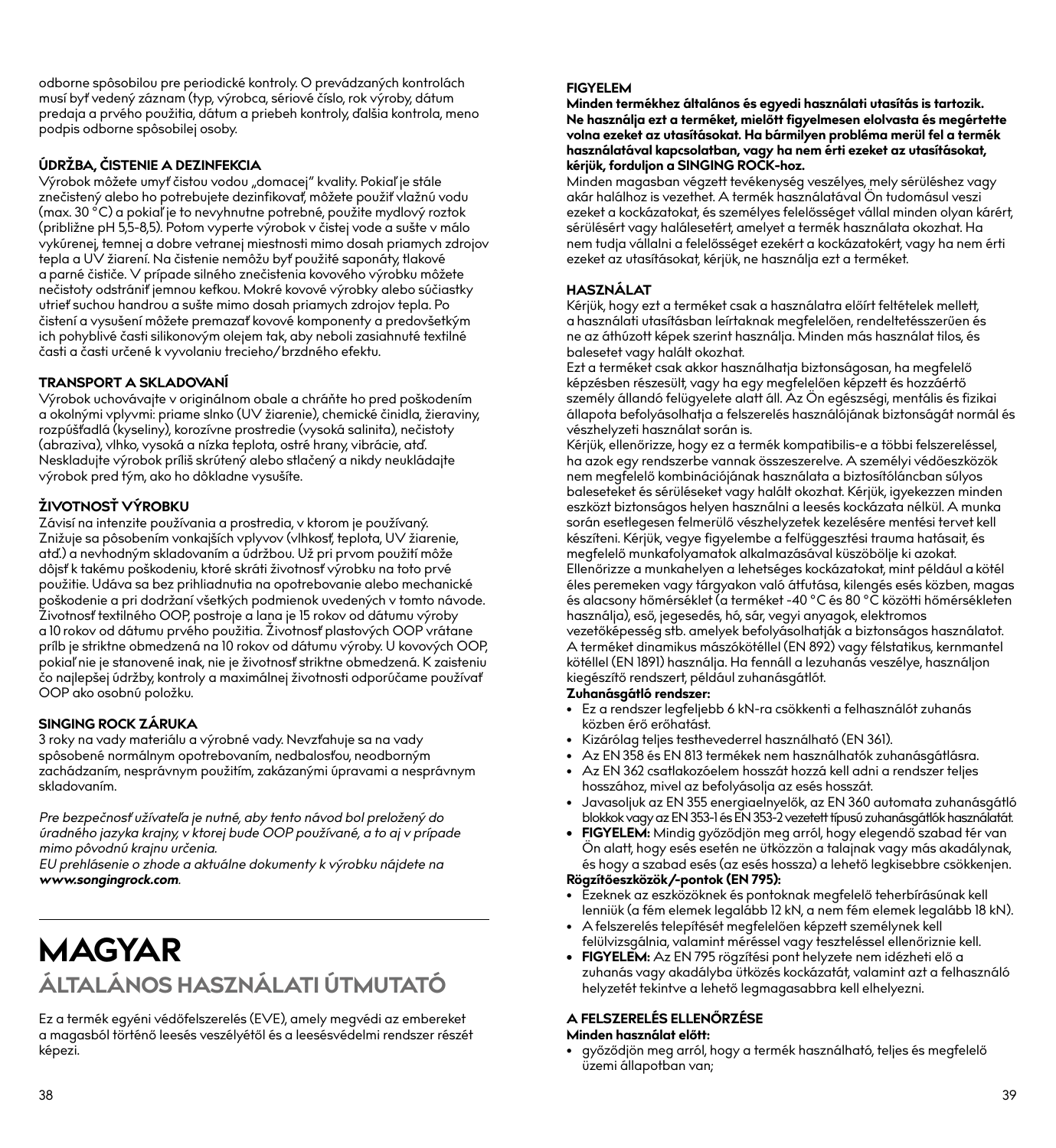#### **ÚDRŽBA, ČISTENIE A DEZINFEKCIA**

Výrobok môžete umyť čistou vodou "domacej" kvality. Pokiaľ je stále znečistený alebo ho potrebujete dezinfikovať, môžete použiť vlažnú vodu (max. 30 °C) a pokiaľ je to nevyhnutne potrebné, použite mydlový roztok (približne pH 5,5-8,5). Potom vyperte výrobok v čistej vode a sušte v málo vykúrenej, temnej a dobre vetranej miestnosti mimo dosah priamych zdrojov tepla a UV žiarení. Na čistenie nemôžu byť použité saponáty, tlakové a parné čističe. V prípade silného znečistenia kovového výrobku môžete nečistoty odstrániť jemnou kefkou. Mokré kovové výrobky alebo súčiastky utrieť suchou handrou a sušte mimo dosah priamych zdrojov tepla. Po čistení a vysušení môžete premazať kovové komponenty a predovšetkým ich pohyblivé časti silikonovým olejem tak, aby neboli zasiahnuté textilné časti a časti určené k vyvolaniu trecieho/brzdného efektu.

#### **TRANSPORT A SKLADOVANÍ**

Výrobok uchovávajte v originálnom obale a chráňte ho pred poškodením a okolnými vplyvmi: priame slnko (UV žiarenie), chemické činidla, žieraviny, rozpúšťadlá (kyseliny), korozívne prostredie (vysoká salinita), nečistoty (abraziva), vlhko, vysoká a nízka teplota, ostré hrany, vibrácie, atď. Neskladujte výrobok príliš skrútený alebo stlačený a nikdy neukládajte výrobok pred tým, ako ho dôkladne vysušíte.

#### **ŽIVOTNOSŤ VÝROBKU**

Závisí na intenzite používania a prostredia, v ktorom je používaný. Znižuje sa pôsobením vonkajších vplyvov (vlhkosť, teplota, UV žiarenie, atď.) a nevhodným skladovaním a údržbou. Už pri prvom použití môže dôjsť k takému poškodeniu, ktoré skráti životnosť výrobku na toto prvé použitie. Udáva sa bez prihliadnutia na opotrebovanie alebo mechanické poškodenie a pri dodržaní všetkých podmienok uvedených v tomto návode. Životnosť textilného OOP, postroje a lana je 15 rokov od dátumu výroby a 10 rokov od dátumu prvého použitia. Životnosť plastových OOP vrátane prílb je striktne obmedzená na 10 rokov od dátumu výroby. U kovových OOP, pokiaľ nie je stanovené inak, nie je životnosť striktne obmedzená. K zaisteniu čo najlepšej údržby, kontroly a maximálnej životnosti odporúčame používať OOP ako osobnú položku.

#### **SINGING ROCK ZÁRUKA**

3 roky na vady materiálu a výrobné vady. Nevzťahuje sa na vady spôsóbené normálnym opotrebovaním, nedbalosťou, neodborným zachádzaním, nesprávnym použitím, zakázanými úpravami a nesprávnym skladovaním.

*Pre bezpečnosť užívateľa je nutné, aby tento návod bol preložený do úradného jazyka krajny, v ktorej bude OOP používané, a to aj v prípade mimo pôvodnú krajnu určenia.*

*EU prehlásenie o zhode a aktuálne dokumenty k výrobku nájdete na www.songingrock.com.*

# **MAGYAR ÁLTALÁNOS HASZNÁLATI ÚTMUTATÓ**

Ez a termék egyéni védőfelszerelés (EVE), amely megvédi az embereket a magasból történő leesés veszélyétől és a leesésvédelmi rendszer részét képezi.

#### **FIGYELEM**

**Minden termékhez általános és egyedi használati utasítás is tartozik. Ne használja ezt a terméket, mielőtt figyelmesen elolvasta és megértette volna ezeket az utasításokat. Ha bármilyen probléma merül fel a termék használatával kapcsolatban, vagy ha nem érti ezeket az utasításokat, kérjük, forduljon a SINGING ROCK-hoz.**

Minden magasban végzett tevékenység veszélyes, mely sérüléshez vagy akár halálhoz is vezethet. A termék használatával Ön tudomásul veszi ezeket a kockázatokat, és személyes felelősséget vállal minden olyan kárért, sérülésért vagy halálesetért, amelyet a termék használata okozhat. Ha nem tudja vállalni a felelősséget ezekért a kockázatokért, vagy ha nem érti ezeket az utasításokat, kérjük, ne használja ezt a terméket.

#### **HASZNÁLAT**

Kérjük, hogy ezt a terméket csak a használatra előírt feltételek mellett, a használati utasításban leírtaknak megfelelően, rendeltetésszerűen és ne az áthúzott képek szerint használja. Minden más használat tilos, és balesetet vagy halált okozhat.

Ezt a terméket csak akkor használhatja biztonságosan, ha megfelelő képzésben részesült, vagy ha egy megfelelően képzett és hozzáértő személy állandó felügyelete alatt áll. Az Ön egészségi, mentális és fizikai állapota befolyásolhatja a felszerelés használójának biztonságát normál és vészhelyzeti használat során is.

Kérjük, ellenőrizze, hogy ez a termék kompatibilis-e a többi felszereléssel, ha azok egy rendszerbe vannak összeszerelve. A személyi védőeszközök nem megfelelő kombinációjának használata a biztosítóláncban súlyos baleseteket és sérüléseket vagy halált okozhat. Kérjük, igyekezzen minden eszközt biztonságos helyen használni a leesés kockázata nélkül. A munka során esetlegesen felmerülő vészhelyzetek kezelésére mentési tervet kell készíteni. Kérjük, vegye figyelembe a felfüggesztési trauma hatásait, és megfelelő munkafolyamatok alkalmazásával küszöbölje ki azokat. Ellenőrizze a munkahelyen a lehetséges kockázatokat, mint például a kötél éles peremeken vagy tárgyakon való átfutása, kilengés esés közben, magas és alacsony hőmérséklet (a terméket -40 °C és 80 °C közötti hőmérsékleten használja), eső, jegesedés, hó, sár, vegyi anyagok, elektromos vezetőképesség stb. amelyek befolyásolhatják a biztonságos használatot. A terméket dinamikus mászókötéllel (EN 892) vagy félstatikus, kernmantel kötéllel (EN 1891) használja. Ha fennáll a lezuhanás veszélye, használjon kiegészítő rendszert, például zuhanásgátlót.

#### **Zuhanásgátló rendszer:**

- Ez a rendszer legfeljebb 6 kN-ra csökkenti a felhasználót zuhanás közben érő erőhatást.
- Kizárólag teljes testhevederrel használható (EN 361).
- Az EN 358 és EN 813 termékek nem használhatók zuhanásgátlásra.
- Az EN 362 csatlakozóelem hosszát hozzá kell adni a rendszer teljes hosszához, mivel az befolyásolja az esés hosszát.
- Javasoljuk az EN 355 energiaelnyelők, az EN 360 automata zuhanásgátló blokkok vagy az EN 353-1 és EN 353-2 vezetett típusú zuhanásgátlók használatát.
- **• FIGYELEM:** Mindig győződjön meg arról, hogy elegendő szabad tér van Ön alatt, hogy esés esetén ne ütközzön a talajnak vagy más akadálynak, és hogy a szabad esés (az esés hossza) a lehető legkisebbre csökkenjen. **Rögzítőeszközök/-pontok (EN 795):**

- Ezeknek az eszközöknek és pontoknak megfelelő teherbírásúnak kell lenniük (a fém elemek legalább 12 kN, a nem fém elemek legalább 18 kN).
- A felszerelés telepítését megfelelően képzett személynek kell felülvizsgálnia, valamint méréssel vagy teszteléssel ellenőriznie kell.
- **• FIGYELEM:** Az EN 795 rögzítési pont helyzete nem idézheti elő a zuhanás vagy akadályba ütközés kockázatát, valamint azt a felhasználó helyzetét tekintve a lehető legmagasabbra kell elhelyezni.

#### **A FELSZERELÉS ELLENŐRZÉSE**

#### **Minden használat előtt:**

• győződjön meg arról, hogy a termék használható, teljes és megfelelő üzemi állapotban van;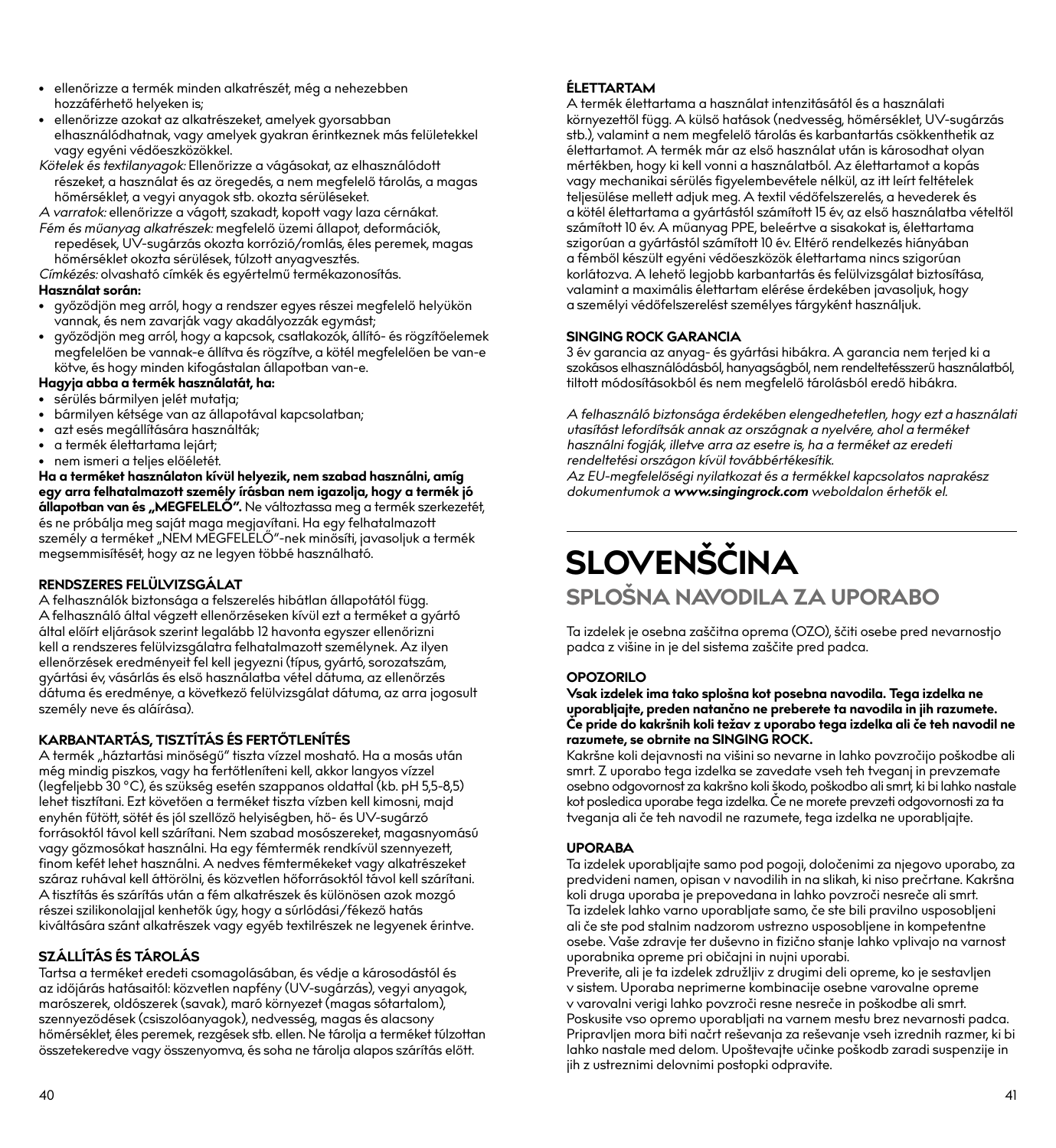- ellenőrizze a termék minden alkatrészét, még a nehezebben hozzáférhető helyeken is;
- ellenőrizze azokat az alkatrészeket, amelyek gyorsabban elhasználódhatnak, vagy amelyek gyakran érintkeznek más felületekkel vagy egyéni védőeszközökkel.
- *Kötelek és textilanyagok:* Ellenőrizze a vágásokat, az elhasználódott részeket, a használat és az öregedés, a nem megfelelő tárolás, a magas hőmérséklet, a vegyi anyagok stb. okozta sérüléseket.

*A varratok:* ellenőrizze a vágott, szakadt, kopott vagy laza cérnákat.

*Fém és műanyag alkatrészek:* megfelelő üzemi állapot, deformációk, repedések, UV-sugárzás okozta korrózió/romlás, éles peremek, magas hőmérséklet okozta sérülések, túlzott anyagvesztés.

*Címkézés:* olvasható címkék és egyértelmű termékazonosítás.

#### **Használat során:**

- győződjön meg arról, hogy a rendszer egyes részei megfelelő helyükön vannak, és nem zavarják vagy akadályozzák egymást;
- győződjön meg arról, hogy a kapcsok, csatlakozók, állító- és rögzítőelemek megfelelően be vannak-e állítva és rögzítve, a kötél megfelelően be van-e kötve, és hogy minden kifogástalan állapotban van-e.

## **Hagyja abba a termék használatát, ha:**

- sérülés bármilyen jelét mutatja;
- bármilyen kétsége van az állapotával kapcsolatban;
- azt esés megállítására használták;
- a termék élettartama lejárt;

• nem ismeri a teljes előéletét.

**Ha a terméket használaton kívül helyezik, nem szabad használni, amíg egy arra felhatalmazott személy írásban nem igazolja, hogy a termék jó**  állapotban van és "MEGFELELŐ". Ne változtassa meg a termék szerkezetét, és ne próbálja meg saját maga megjavítani. Ha egy felhatalmazott személy a terméket "NEM MĚGFELĚLŐ"-nek minősíti, javasoljuk a termék megsemmisítését, hogy az ne legyen többé használható.

#### **RENDSZERES FELÜLVIZSGÁLAT**

A felhasználók biztonsága a felszerelés hibátlan állapotától függ. A felhasználó által végzett ellenőrzéseken kívül ezt a terméket a gyártó által előírt eljárások szerint legalább 12 havonta egyszer ellenőrizni kell a rendszeres felülvizsgálatra felhatalmazott személynek. Az ilyen ellenőrzések eredményeit fel kell jegyezni (típus, gyártó, sorozatszám, gyártási év, vásárlás és első használatba vétel dátuma, az ellenőrzés dátuma és eredménye, a következő felülvizsgálat dátuma, az arra jogosult személy neve és aláírása).

#### **KARBANTARTÁS, TISZTÍTÁS ÉS FERTŐTLENÍTÉS**

A termék "háztartási minőségű" tiszta vízzel mosható. Ha a mosás után még mindig piszkos, vagy ha fertőtleníteni kell, akkor langyos vízzel (legfeljebb 30 °C), és szükség esetén szappanos oldattal (kb. pH 5,5-8,5) lehet tisztítani. Ezt követően a terméket tiszta vízben kell kimosni, majd enyhén fűtött, sötét és jól szellőző helyiségben, hő- és UV-sugárzó forrásoktól távol kell szárítani. Nem szabad mosószereket, magasnyomású vagy gőzmosókat használni. Ha egy fémtermék rendkívül szennyezett, finom kefét lehet használni. A nedves fémtermékeket vagy alkatrészeket száraz ruhával kell áttörölni, és közvetlen hőforrásoktól távol kell szárítani. A tisztítás és szárítás után a fém alkatrészek és különösen azok mozgó részei szilikonolajjal kenhetők úgy, hogy a súrlódási/fékező hatás kiváltására szánt alkatrészek vagy egyéb textilrészek ne legyenek érintve.

#### **SZÁLLÍTÁS ÉS TÁROLÁS**

Tartsa a terméket eredeti csomagolásában, és védje a károsodástól és az időjárás hatásaitól: közvetlen napfény (UV-sugárzás), vegyi anyagok, marószerek, oldószerek (savak), maró környezet (magas sótartalom), szennyeződések (csiszolóanyagok), nedvesség, magas és alacsony hőmérséklet, éles peremek, rezgések stb. ellen. Ne tárolja a terméket túlzottan összetekeredve vagy összenyomva, és soha ne tárolja alapos szárítás előtt.

#### **ÉLETTARTAM**

A termék élettartama a használat intenzitásától és a használati környezettől függ. A külső hatások (nedvesség, hőmérséklet, UV-sugárzás stb.), valamint a nem megfelelő tárolás és karbantartás csökkenthetik az élettartamot. A termék már az első használat után is károsodhat olyan mértékben, hogy ki kell vonni a használatból. Az élettartamot a kopás vagy mechanikai sérülés figyelembevétele nélkül, az itt leírt feltételek teljesülése mellett adjuk meg. A textil védőfelszerelés, a hevederek és a kötél élettartama a gyártástól számított 15 év, az első használatba vételtől számított 10 év. A műanyag PPE, beleértve a sisakokat is, élettartama szigorúan a gyártástól számított 10 év. Eltérő rendelkezés hiányában a fémből készült egyéni védőeszközök élettartama nincs szigorúan korlátozva. A lehető legjobb karbantartás és felülvizsgálat biztosítása, valamint a maximális élettartam elérése érdekében javasoljuk, hogy a személyi védőfelszerelést személyes tárgyként használjuk.

#### **SINGING ROCK GARANCIA**

3 év garancia az anyag- és gyártási hibákra. A garancia nem terjed ki a szokásos elhasználódásból, hanyagságból, nem rendeltetésszerű használatból, tiltott módosításokból és nem megfelelő tárolásból eredő hibákra.

*A felhasználó biztonsága érdekében elengedhetetlen, hogy ezt a használati utasítást lefordítsák annak az országnak a nyelvére, ahol a terméket használni fogják, illetve arra az esetre is, ha a terméket az eredeti rendeltetési országon kívül továbbértékesítik.*

*Az EU-megfelelőségi nyilatkozat és a termékkel kapcsolatos naprakész dokumentumok a www.singingrock.com weboldalon érhetők el.*

# **SLOVENŠČINA**

## **SPLOŠNA NAVODILA ZA UPORABO**

Ta izdelek je osebna zaščitna oprema (OZO), ščiti osebe pred nevarnostjo padca z višine in je del sistema zaščite pred padca.

#### **OPOZORILO**

#### **Vsak izdelek ima tako splošna kot posebna navodila. Tega izdelka ne uporabljajte, preden natančno ne preberete ta navodila in jih razumete. Če pride do kakršnih koli težav z uporabo tega izdelka ali če teh navodil ne razumete, se obrnite na SINGING ROCK.**

Kakršne koli dejavnosti na višini so nevarne in lahko povzročijo poškodbe ali smrt. Z uporabo tega izdelka se zavedate vseh teh tveganj in prevzemate osebno odgovornost za kakršno koli škodo, poškodbo ali smrt, ki bi lahko nastale kot posledica uporabe tega izdelka. Če ne morete prevzeti odgovornosti za ta tveganja ali če teh navodil ne razumete, tega izdelka ne uporabljajte.

#### **UPORABA**

Ta izdelek uporabljajte samo pod pogoji, določenimi za njegovo uporabo, za predvideni namen, opisan v navodilih in na slikah, ki niso prečrtane. Kakršna koli druga uporaba je prepovedana in lahko povzroči nesreče ali smrt. Ta izdelek lahko varno uporabljate samo, če ste bili pravilno usposobljeni ali če ste pod stalnim nadzorom ustrezno usposobljene in kompetentne osebe. Vaše zdravje ter duševno in fizično stanje lahko vplivajo na varnost uporabnika opreme pri običajni in nujni uporabi.

Preverite, ali je ta izdelek združljiv z drugimi deli opreme, ko je sestavljen v sistem. Uporaba neprimerne kombinacije osebne varovalne opreme v varovalni verigi lahko povzroči resne nesreče in poškodbe ali smrt. Poskusite vso opremo uporabljati na varnem mestu brez nevarnosti padca. Pripravljen mora biti načrt reševanja za reševanje vseh izrednih razmer, ki bi lahko nastale med delom. Upoštevajte učinke poškodb zaradi suspenzije in jih z ustreznimi delovnimi postopki odpravite.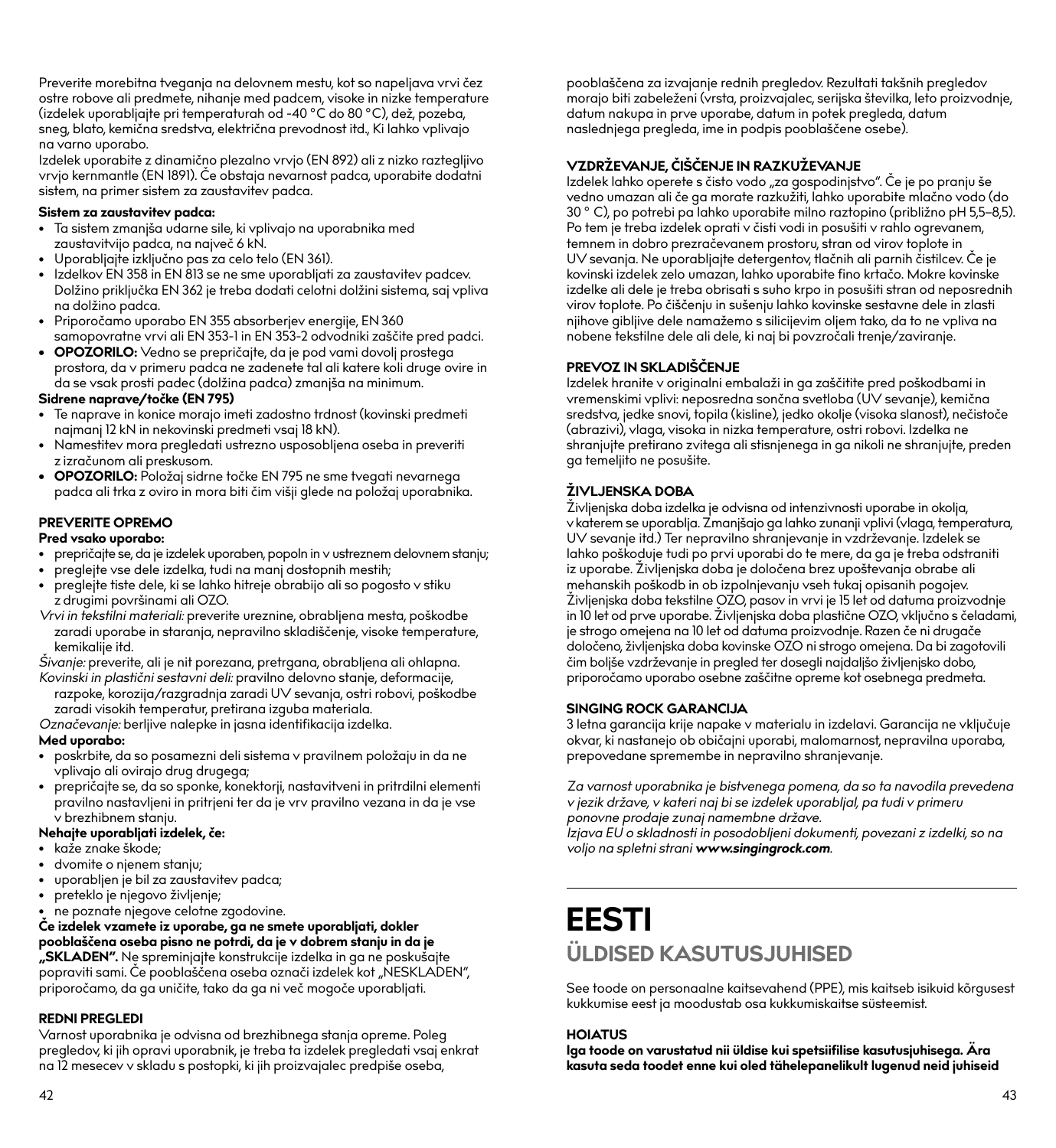Preverite morebitna tveganja na delovnem mestu, kot so napeljava vrvi čez ostre robove ali predmete, nihanje med padcem, visoke in nizke temperature (izdelek uporabljajte pri temperaturah od -40 °C do 80 °C), dež, pozeba, sneg, blato, kemična sredstva, električna prevodnost itd., Ki lahko vplivajo na varno uporabo.

Izdelek uporabite z dinamično plezalno vrvjo (EN 892) ali z nizko raztegljivo vrvjo kernmantle (EN 1891). Če obstaja nevarnost padca, uporabite dodatni sistem, na primer sistem za zaustavitev padca.

#### **Sistem za zaustavitev padca:**

- Ta sistem zmanjša udarne sile, ki vplivajo na uporabnika med zaustavitvijo padca, na največ 6 kN.
- Uporabljajte izključno pas za celo telo (EN 361).
- Izdelkov EN 358 in EN 813 se ne sme uporabljati za zaustavitev padcev. Dolžino priključka EN 362 je treba dodati celotni dolžini sistema, saj vpliva na dolžino padca.
- Priporočamo uporabo EN 355 absorberjev energije, EN 360 samopovratne vrvi ali EN 353-1 in EN 353-2 odvodniki zaščite pred padci.
- **• OPOZORILO:** Vedno se prepričajte, da je pod vami dovolj prostega prostora, da v primeru padca ne zadenete tal ali katere koli druge ovire in da se vsak prosti padec (dolžina padca) zmanjša na minimum.

#### **Sidrene naprave/točke (EN 795)**

- Te naprave in konice morajo imeti zadostno trdnost (kovinski predmeti najmanj 12 kN in nekovinski predmeti vsaj 18 kN).
- Namestitev mora pregledati ustrezno usposobljena oseba in preveriti z izračunom ali preskusom.
- **• OPOZORILO:** Položaj sidrne točke EN 795 ne sme tvegati nevarnega padca ali trka z oviro in mora biti čim višji glede na položaj uporabnika.

#### **PREVERITE OPREMO**

#### **Pred vsako uporabo:**

- prepričajte se, da je izdelek uporaben, popoln in v ustreznem delovnem stanju;
- preglejte vse dele izdelka, tudi na manj dostopnih mestih;
- preglejte tiste dele, ki se lahko hitreje obrabijo ali so pogosto v stiku z drugimi površinami ali OZO.
- *Vrvi in tekstilni materiali:* preverite ureznine, obrabljena mesta, poškodbe zaradi uporabe in staranja, nepravilno skladiščenje, visoke temperature, kemikalije itd.
- *Šivanje:* preverite, ali je nit porezana, pretrgana, obrabljena ali ohlapna.
- *Kovinski in plastični sestavni deli:* pravilno delovno stanje, deformacije, razpoke, korozija/razgradnja zaradi UV sevanja, ostri robovi, poškodbe zaradi visokih temperatur, pretirana izguba materiala.

*Označevanje:* berljive nalepke in jasna identifikacija izdelka. **Med uporabo:**

- 
- poskrbite, da so posamezni deli sistema v pravilnem položaju in da ne vplivajo ali ovirajo drug drugega;
- prepričajte se, da so sponke, konektorji, nastavitveni in pritrdilni elementi pravilno nastavljeni in pritrjeni ter da je vrv pravilno vezana in da je vse v brezhibnem stanju.

#### **Nehajte uporabljati izdelek, če:**

- kaže znake škode;
- dvomite o njenem stanju;
- uporabljen je bil za zaustavitev padca;
- preteklo je njegovo življenje;
- ne poznate njegove celotne zgodovine.

**Če izdelek vzamete iz uporabe, ga ne smete uporabljati, dokler pooblaščena oseba pisno ne potrdi, da je v dobrem stanju in da je "SKLADEN".** Ne spreminjajte konstrukcije izdelka in ga ne poskušajte popraviti sami. Če pooblaščena oseba označi izdelek kot "NESKLADEN", priporočamo, da ga uničite, tako da ga ni več mogoče uporabljati.

#### **REDNI PREGLEDI**

Varnost uporabnika je odvisna od brezhibnega stanja opreme. Poleg pregledov, ki jih opravi uporabnik, je treba ta izdelek pregledati vsaj enkrat na 12 mesecev v skladu s postopki, ki jih proizvajalec predpiše oseba,

pooblaščena za izvajanje rednih pregledov. Rezultati takšnih pregledov morajo biti zabeleženi (vrsta, proizvajalec, serijska številka, leto proizvodnje, datum nakupa in prve uporabe, datum in potek pregleda, datum naslednjega pregleda, ime in podpis pooblaščene osebe).

#### **VZDRŽEVANJE, ČIŠČENJE IN RAZKUŽEVANJE**

Izdelek lahko operete s čisto vodo "za gospodinjstvo". Če je po pranju še vedno umazan ali če ga morate razkužiti, lahko uporabite mlačno vodo (do 30 ° C), po potrebi pa lahko uporabite milno raztopino (približno pH 5,5–8,5). Po tem je treba izdelek oprati v čisti vodi in posušiti v rahlo ogrevanem, temnem in dobro prezračevanem prostoru, stran od virov toplote in UV sevanja. Ne uporabljajte detergentov, tlačnih ali parnih čistilcev. Če je kovinski izdelek zelo umazan, lahko uporabite fino krtačo. Mokre kovinske izdelke ali dele je treba obrisati s suho krpo in posušiti stran od neposrednih virov toplote. Po čiščenju in sušenju lahko kovinske sestavne dele in zlasti njihove gibljive dele namažemo s silicijevim oljem tako, da to ne vpliva na nobene tekstilne dele ali dele, ki naj bi povzročali trenje/zaviranje.

#### **PREVOZ IN SKLADIŠČENJE**

Izdelek hranite v originalni embalaži in ga zaščitite pred poškodbami in vremenskimi vplivi: neposredna sončna svetloba (UV sevanje), kemična sredstva, jedke snovi, topila (kisline), jedko okolje (visoka slanost), nečistoče (abrazivi), vlaga, visoka in nizka temperature, ostri robovi. Izdelka ne shranjujte pretirano zvitega ali stisnjenega in ga nikoli ne shranjujte, preden ga temeljito ne posušite.

#### **ŽIVLJENSKA DOBA**

Življenjska doba izdelka je odvisna od intenzivnosti uporabe in okolja, v katerem se uporablja. Zmanjšajo ga lahko zunanji vplivi (vlaga, temperatura, UV sevanje itd.) Ter nepravilno shranjevanje in vzdrževanje. Izdelek se lahko poškoduje tudi po prvi uporabi do te mere, da ga je treba odstraniti iz uporabe. Življenjska doba je določena brez upoštevanja obrabe ali mehanskih poškodb in ob izpolnjevanju vseh tukaj opisanih pogojev. Življenjska doba tekstilne OZO, pasov in vrvi je 15 let od datuma proizvodnje in 10 let od prve uporabe. Življenjska doba plastične OZO, vključno s čeladami, je strogo omejena na 10 let od datuma proizvodnje. Razen če ni drugače določeno, življenjska doba kovinske OZO ni strogo omejena. Da bi zagotovili čim boljše vzdrževanje in pregled ter dosegli najdaljšo življenjsko dobo, priporočamo uporabo osebne zaščitne opreme kot osebnega predmeta.

#### **SINGING ROCK GARANCIJA**

3 letna garancija krije napake v materialu in izdelavi. Garancija ne vključuje okvar, ki nastanejo ob običajni uporabi, malomarnost, nepravilna uporaba, prepovedane spremembe in nepravilno shranjevanje.

*Za varnost uporabnika je bistvenega pomena, da so ta navodila prevedena v jezik države, v kateri naj bi se izdelek uporabljal, pa tudi v primeru ponovne prodaje zunaj namembne države.* 

*Izjava EU o skladnosti in posodobljeni dokumenti, povezani z izdelki, so na voljo na spletni strani www.singingrock.com.*

## **EESTI ÜLDISED KASUTUSJUHISED**

See toode on personaalne kaitsevahend (PPE), mis kaitseb isikuid kõrgusest kukkumise eest ja moodustab osa kukkumiskaitse süsteemist.

#### **HOIATUS**

**Iga toode on varustatud nii üldise kui spetsiifilise kasutusjuhisega. Ära kasuta seda toodet enne kui oled tähelepanelikult lugenud neid juhiseid**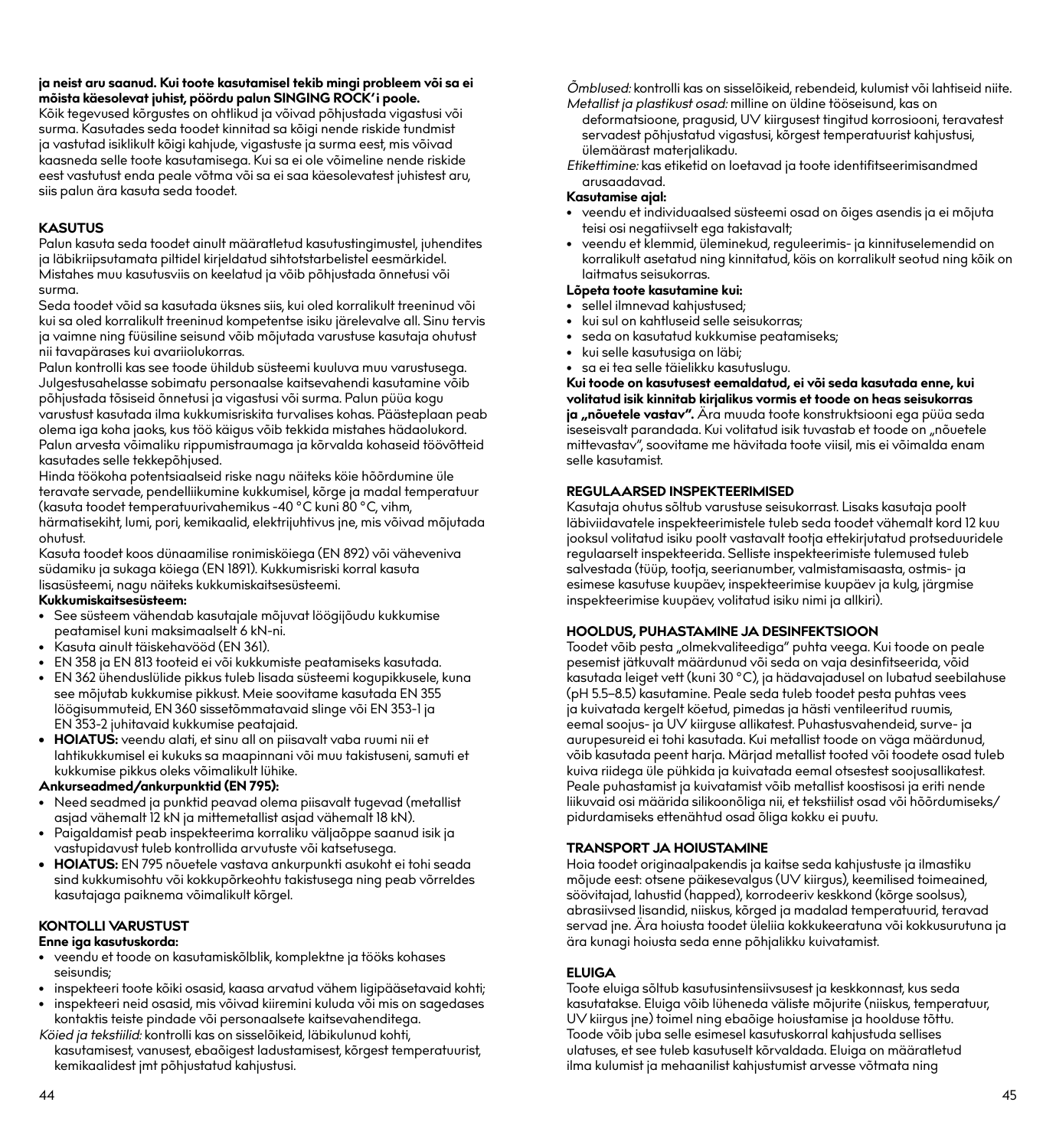## **ja neist aru saanud. Kui toote kasutamisel tekib mingi probleem või sa ei mõista käesolevat juhist, pöördu palun SINGING ROCK'i poole.**

Kõik tegevused kõrgustes on ohtlikud ja võivad põhjustada vigastusi või surma. Kasutades seda toodet kinnitad sa kõigi nende riskide tundmist ja vastutad isiklikult kõigi kahjude, vigastuste ja surma eest, mis võivad kaasneda selle toote kasutamisega. Kui sa ei ole võimeline nende riskide eest vastutust enda peale võtma või sa ei saa käesolevatest juhistest aru, siis palun ära kasuta seda toodet.

#### **KASUTUS**

Palun kasuta seda toodet ainult määratletud kasutustingimustel, juhendites ja läbikriipsutamata piltidel kirjeldatud sihtotstarbelistel eesmärkidel. Mistahes muu kasutusviis on keelatud ja võib põhjustada õnnetusi või surma.

Seda toodet võid sa kasutada üksnes siis, kui oled korralikult treeninud või kui sa oled korralikult treeninud kompetentse isiku järelevalve all. Sinu tervis ja vaimne ning füüsiline seisund võib mõjutada varustuse kasutaja ohutust nii tavapärases kui avariiolukorras.

Palun kontrolli kas see toode ühildub süsteemi kuuluva muu varustusega. Julgestusahelasse sobimatu personaalse kaitsevahendi kasutamine võib põhjustada tõsiseid õnnetusi ja vigastusi või surma. Palun püüa kogu varustust kasutada ilma kukkumisriskita turvalises kohas. Päästeplaan peab olema iga koha jaoks, kus töö käigus võib tekkida mistahes hädaolukord. Palun arvesta võimaliku rippumistraumaga ja kõrvalda kohaseid töövõtteid kasutades selle tekkepõhjused.

Hinda töökoha potentsiaalseid riske nagu näiteks köie hõõrdumine üle teravate servade, pendelliikumine kukkumisel, kõrge ja madal temperatuur (kasuta toodet temperatuurivahemikus -40 °C kuni 80 °C, vihm, härmatisekiht, lumi, pori, kemikaalid, elektrijuhtivus jne, mis võivad mõjutada ohutust.

Kasuta toodet koos dünaamilise ronimisköiega (EN 892) või väheveniva südamiku ja sukaga köiega (EN 1891). Kukkumisriski korral kasuta lisasüsteemi, nagu näiteks kukkumiskaitsesüsteemi. **Kukkumiskaitsesüsteem:**

- See süsteem vähendab kasutajale mõjuvat löögijõudu kukkumise peatamisel kuni maksimaalselt 6 kN-ni.
- Kasuta ainult täiskehavööd (EN 361).
- EN 358 ja EN 813 tooteid ei või kukkumiste peatamiseks kasutada.
- EN 362 ühenduslülide pikkus tuleb lisada süsteemi kogupikkusele, kuna see mõjutab kukkumise pikkust. Meie soovitame kasutada EN 355 löögisummuteid, EN 360 sissetõmmatavaid slinge või EN 353-1 ja EN 353-2 juhitavaid kukkumise peatajaid.
- **• HOIATUS:** veendu alati, et sinu all on piisavalt vaba ruumi nii et lahtikukkumisel ei kukuks sa maapinnani või muu takistuseni, samuti et kukkumise pikkus oleks võimalikult lühike.

#### **Ankurseadmed/ankurpunktid (EN 795):**

- Need seadmed ja punktid peavad olema piisavalt tugevad (metallist asjad vähemalt 12 kN ja mittemetallist asjad vähemalt 18 kN).
- Paigaldamist peab inspekteerima korraliku väljaõppe saanud isik ja vastupidavust tuleb kontrollida arvutuste või katsetusega.
- **• HOIATUS:** EN 795 nõuetele vastava ankurpunkti asukoht ei tohi seada sind kukkumisohtu või kokkupõrkeohtu takistusega ning peab võrreldes kasutajaga paiknema võimalikult kõrgel.

#### **KONTOLLI VARUSTUST**

#### **Enne iga kasutuskorda:**

- veendu et toode on kasutamiskõlblik, komplektne ja tööks kohases seisundis;
- inspekteeri toote kõiki osasid, kaasa arvatud vähem ligipääsetavaid kohti;
- inspekteeri neid osasid, mis võivad kiiremini kuluda või mis on sagedases kontaktis teiste pindade või personaalsete kaitsevahenditega.

*Köied ja tekstiilid:* kontrolli kas on sisselõikeid, läbikulunud kohti, kasutamisest, vanusest, ebaõigest ladustamisest, kõrgest temperatuurist, kemikaalidest jmt põhjustatud kahjustusi.

*Õmblused:* kontrolli kas on sisselõikeid, rebendeid, kulumist või lahtiseid niite. *Metallist ja plastikust osad:* milline on üldine tööseisund, kas on

- deformatsioone, pragusid, UV kiirgusest tingitud korrosiooni, teravatest servadest põhjustatud vigastusi, kõrgest temperatuurist kahjustusi, ülemäärast materjalikadu.
- *Etikettimine:* kas etiketid on loetavad ja toote identifitseerimisandmed arusaadavad.

#### **Kasutamise ajal:**

- veendu et individuaalsed süsteemi osad on õiges asendis ja ei mõjuta teisi osi negatiivselt ega takistavalt;
- veendu et klemmid, üleminekud, reguleerimis- ja kinnituselemendid on korralikult asetatud ning kinnitatud, köis on korralikult seotud ning kõik on laitmatus seisukorras.

#### **Lõpeta toote kasutamine kui:**

- sellel ilmnevad kahjustused;
- kui sul on kahtluseid selle seisukorras;
- seda on kasutatud kukkumise peatamiseks;
- kui selle kasutusiga on läbi;
- sa ei tea selle täielikku kasutuslugu.

**Kui toode on kasutusest eemaldatud, ei või seda kasutada enne, kui volitatud isik kinnitab kirjalikus vormis et toode on heas seisukorras**  ja "nõuetele vastav". Ära muuda toote konstruktsiooni ega püüa seda iseseisvalt parandada. Kui volitatud isik tuvastab et toode on "nõuetele mittevastav", soovitame me hävitada toote viisil, mis ei võimalda enam selle kasutamist.

#### **REGULAARSED INSPEKTEERIMISED**

Kasutaja ohutus sõltub varustuse seisukorrast. Lisaks kasutaja poolt läbiviidavatele inspekteerimistele tuleb seda toodet vähemalt kord 12 kuu jooksul volitatud isiku poolt vastavalt tootja ettekirjutatud protseduuridele regulaarselt inspekteerida. Selliste inspekteerimiste tulemused tuleb salvestada (tüüp, tootja, seerianumber, valmistamisaasta, ostmis- ja esimese kasutuse kuupäev, inspekteerimise kuupäev ja kulg, järgmise inspekteerimise kuupäev, volitatud isiku nimi ja allkiri).

#### **HOOLDUS, PUHASTAMINE JA DESINFEKTSIOON**

Toodet võib pesta "olmekvaliteediga" puhta veega. Kui toode on peale pesemist jätkuvalt määrdunud või seda on vaja desinfitseerida, võid kasutada leiget vett (kuni 30 °C), ja hädavajadusel on lubatud seebilahuse (pH 5.5–8.5) kasutamine. Peale seda tuleb toodet pesta puhtas vees ja kuivatada kergelt köetud, pimedas ja hästi ventileeritud ruumis, eemal soojus- ja UV kiirguse allikatest. Puhastusvahendeid, surve- ja aurupesureid ei tohi kasutada. Kui metallist toode on väga määrdunud, võib kasutada peent harja. Märjad metallist tooted või toodete osad tuleb kuiva riidega üle pühkida ja kuivatada eemal otsestest soojusallikatest. Peale puhastamist ja kuivatamist võib metallist koostisosi ja eriti nende liikuvaid osi määrida silikoonõliga nii, et tekstiilist osad või hõõrdumiseks/ pidurdamiseks ettenähtud osad õliga kokku ei puutu.

#### **TRANSPORT JA HOIUSTAMINE**

Hoia toodet originaalpakendis ja kaitse seda kahjustuste ja ilmastiku mõjude eest: otsene päikesevalgus (UV kiirgus), keemilised toimeained, söövitajad, lahustid (happed), korrodeeriv keskkond (kõrge soolsus), abrasiivsed lisandid, niiskus, kõrged ja madalad temperatuurid, teravad servad jne. Ära hoiusta toodet üleliia kokkukeeratuna või kokkusurutuna ja ära kunagi hoiusta seda enne põhjalikku kuivatamist.

#### **ELUIGA**

Toote eluiga sõltub kasutusintensiivsusest ja keskkonnast, kus seda kasutatakse. Eluiga võib lüheneda väliste mõjurite (niiskus, temperatuur, UV kiirgus jne) toimel ning ebaõige hoiustamise ja hoolduse tõttu. Toode võib juba selle esimesel kasutuskorral kahjustuda sellises ulatuses, et see tuleb kasutuselt kõrvaldada. Eluiga on määratletud ilma kulumist ja mehaanilist kahjustumist arvesse võtmata ning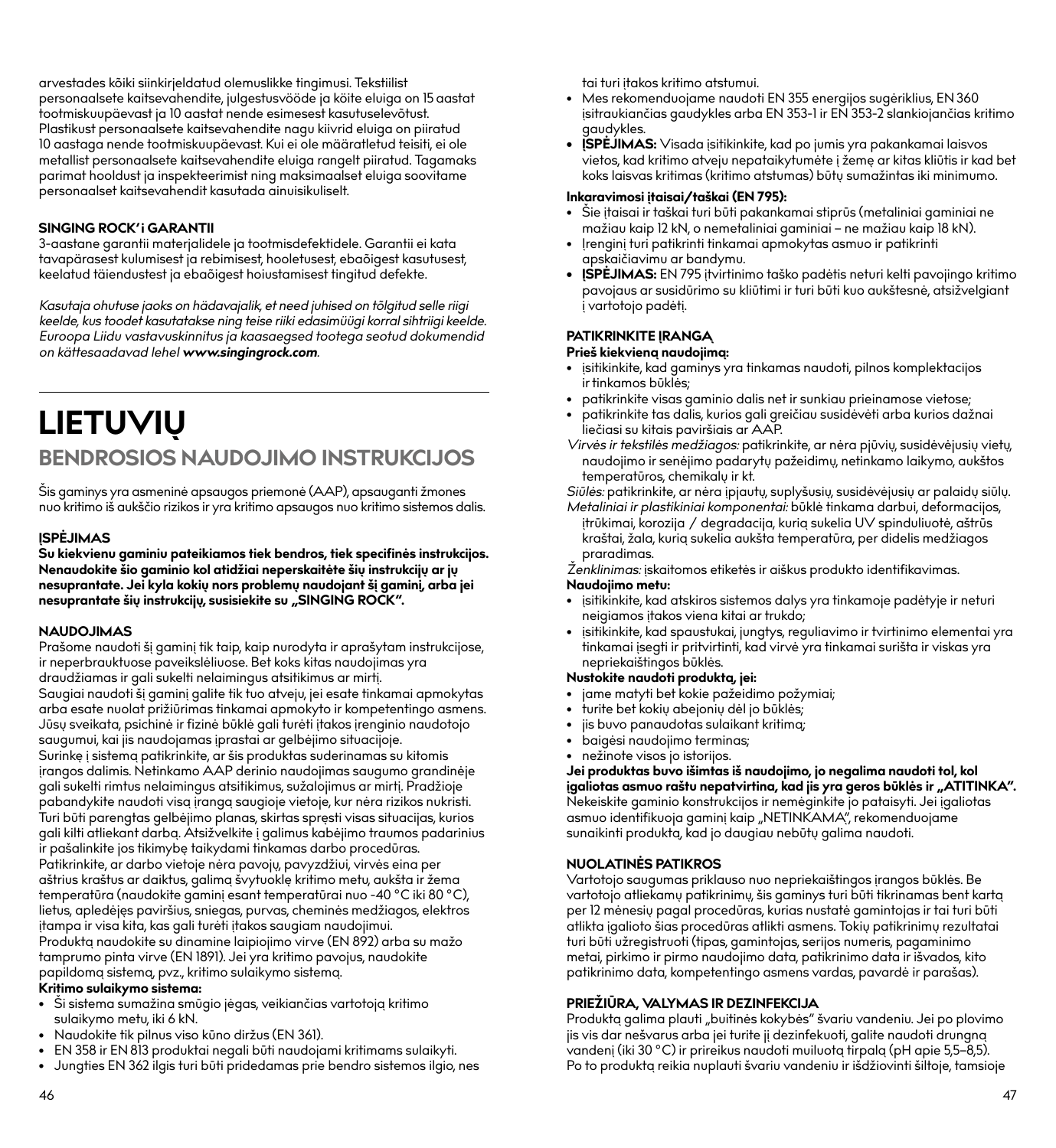arvestades kõiki siinkirjeldatud olemuslikke tingimusi. Tekstiilist personaalsete kaitsevahendite, julgestusvööde ja köite eluiga on 15 aastat tootmiskuupäevast ja 10 aastat nende esimesest kasutuselevõtust. Plastikust personaalsete kaitsevahendite nagu kiivrid eluiga on piiratud 10 aastaga nende tootmiskuupäevast. Kui ei ole määratletud teisiti, ei ole metallist personaalsete kaitsevahendite eluiga rangelt piiratud. Tagamaks parimat hooldust ja inspekteerimist ning maksimaalset eluiga soovitame personaalset kaitsevahendit kasutada ainuisikuliselt.

#### **SINGING ROCK'i GARANTII**

3-aastane garantii materjalidele ja tootmisdefektidele. Garantii ei kata tavapärasest kulumisest ja rebimisest, hooletusest, ebaõigest kasutusest, keelatud täiendustest ja ebaõigest hoiustamisest tingitud defekte.

*Kasutaja ohutuse jaoks on hädavajalik, et need juhised on tõlgitud selle riigi keelde, kus toodet kasutatakse ning teise riiki edasimüügi korral sihtriigi keelde. Euroopa Liidu vastavuskinnitus ja kaasaegsed tootega seotud dokumendid on kättesaadavad lehel www.singingrock.com.*

## **LIETUVIŲ BENDROSIOS NAUDOJIMO INSTRUKCIJOS**

Šis gaminys yra asmeninė apsaugos priemonė (AAP), apsauganti žmones nuo kritimo iš aukščio rizikos ir yra kritimo apsaugos nuo kritimo sistemos dalis.

#### **ĮSPĖJIMAS**

**Su kiekvienu gaminiu pateikiamos tiek bendros, tiek specifinės instrukcijos. Nenaudokite šio gaminio kol atidžiai neperskaitėte šių instrukcijų ar jų nesuprantate. Jei kyla kokių nors problemų naudojant šį gaminį, arba jei nesuprantate šių instrukcijų, susisiekite su "SINGING ROCK".**

#### **NAUDOJIMAS**

Prašome naudoti šį gaminį tik taip, kaip nurodyta ir aprašytam instrukcijose, ir neperbrauktuose paveikslėliuose. Bet koks kitas naudojimas yra draudžiamas ir gali sukelti nelaimingus atsitikimus ar mirtį. Saugiai naudoti šį gaminį galite tik tuo atveju, jei esate tinkamai apmokytas arba esate nuolat prižiūrimas tinkamai apmokyto ir kompetentingo asmens. Jūsų sveikata, psichinė ir fizinė būklė gali turėti įtakos įrenginio naudotojo saugumui, kai jis naudojamas įprastai ar gelbėjimo situacijoje. Surinkę į sistemą patikrinkite, ar šis produktas suderinamas su kitomis įrangos dalimis. Netinkamo AAP derinio naudojimas saugumo grandinėje gali sukelti rimtus nelaimingus atsitikimus, sužalojimus ar mirtį. Pradžioje pabandykite naudoti visą įrangą saugioje vietoje, kur nėra rizikos nukristi. Turi būti parengtas gelbėjimo planas, skirtas spręsti visas situacijas, kurios gali kilti atliekant darbą. Atsižvelkite į galimus kabėjimo traumos padarinius ir pašalinkite jos tikimybę taikydami tinkamas darbo procedūras. Patikrinkite, ar darbo vietoje nėra pavojų, pavyzdžiui, virvės eina per aštrius kraštus ar daiktus, galimą švytuoklę kritimo metu, aukšta ir žema temperatūra (naudokite gaminį esant temperatūrai nuo -40 °C iki 80 °C), lietus, apledėjęs paviršius, sniegas, purvas, cheminės medžiagos, elektros įtampa ir visa kita, kas gali turėti įtakos saugiam naudojimui. Produktą naudokite su dinamine laipiojimo virve (EN 892) arba su mažo tamprumo pinta virve (EN 1891). Jei yra kritimo pavojus, naudokite papildomą sistemą, pvz., kritimo sulaikymo sistemą. **Kritimo sulaikymo sistema:**

- Ši sistema sumažina smūgio jėgas, veikiančias vartotoją kritimo sulaikymo metu, iki 6 kN.
- Naudokite tik pilnus viso kūno diržus (EN 361).
- EN 358 ir EN 813 produktai negali būti naudojami kritimams sulaikyti.
- Jungties EN 362 ilgis turi būti pridedamas prie bendro sistemos ilgio, nes

tai turi įtakos kritimo atstumui.

- Mes rekomenduojame naudoti EN 355 energijos sugėriklius, EN 360 įsitraukiančias gaudykles arba EN 353-1 ir EN 353-2 slankiojančias kritimo gaudykles.
- **• ĮSPĖJIMAS:** Visada įsitikinkite, kad po jumis yra pakankamai laisvos vietos, kad kritimo atveju nepataikytumėte į žemę ar kitas kliūtis ir kad bet koks laisvas kritimas (kritimo atstumas) būtų sumažintas iki minimumo.

#### **Inkaravimosi įtaisai/taškai (EN 795):**

- Šie įtaisai ir taškai turi būti pakankamai stiprūs (metaliniai gaminiai ne mažiau kaip 12 kN, o nemetaliniai gaminiai – ne mažiau kaip 18 kN).
- Irengini turi patikrinti tinkamai apmokytas asmuo ir patikrinti apskaičiavimu ar bandymu.
- **• ĮSPĖJIMAS:** EN 795 įtvirtinimo taško padėtis neturi kelti pavojingo kritimo pavojaus ar susidūrimo su kliūtimi ir turi būti kuo aukštesnė, atsižvelgiant į vartotojo padėtį.

#### **PATIKRINKITE ĮRANGĄ**

#### **Prieš kiekvieną naudojimą:**

- įsitikinkite, kad gaminys yra tinkamas naudoti, pilnos komplektacijos ir tinkamos būklės;
- patikrinkite visas gaminio dalis net ir sunkiau prieinamose vietose;
- patikrinkite tas dalis, kurios gali greičiau susidėvėti arba kurios dažnai liečiasi su kitais paviršiais ar AAP.
- *Virvės ir tekstilės medžiagos:* patikrinkite, ar nėra pjūvių, susidėvėjusių vietų, naudojimo ir senėjimo padarytų pažeidimų, netinkamo laikymo, aukštos temperatūros, chemikalų ir kt.

*Siūlės:* patikrinkite, ar nėra įpjautų, suplyšusių, susidėvėjusių ar palaidų siūlų.

*Metaliniai ir plastikiniai komponentai:* būklė tinkama darbui, deformacijos, įtrūkimai, korozija / degradacija, kurią sukelia UV spinduliuotė, aštrūs kraštai, žala, kurią sukelia aukšta temperatūra, per didelis medžiagos praradimas.

*Ženklinimas:* įskaitomos etiketės ir aiškus produkto identifikavimas. **Naudojimo metu:**

- įsitikinkite, kad atskiros sistemos dalys yra tinkamoje padėtyje ir neturi neigiamos įtakos viena kitai ar trukdo;
- įsitikinkite, kad spaustukai, jungtys, reguliavimo ir tvirtinimo elementai yra tinkamai įsegti ir pritvirtinti, kad virvė yra tinkamai surišta ir viskas yra nepriekaištingos būklės.

#### **Nustokite naudoti produktą, jei:**

- jame matyti bet kokie pažeidimo požymiai;
- turite bet kokių abejonių dėl jo būklės;
- jis buvo panaudotas sulaikant kritimą; • baigėsi naudojimo terminas;
- nežinote visos jo istorijos.

**Jei produktas buvo išimtas iš naudojimo, jo negalima naudoti tol, kol įgaliotas asmuo raštu nepatvirtina, kad jis yra geros būklės ir "ATITINKA".**<br>Nekeiskite gaminio konstrukcijos ir nemėginkite jo pataisyti. Jei įgaliotas asmuo identifikuoja gaminį kaip "NETINKAMA", rekomenduojame sunaikinti produktą, kad jo daugiau nebūtų galima naudoti.

#### **NUOLATINĖS PATIKROS**

Vartotojo saugumas priklauso nuo nepriekaištingos įrangos būklės. Be vartotojo atliekamų patikrinimų, šis gaminys turi būti tikrinamas bent kartą per 12 mėnesių pagal procedūras, kurias nustatė gamintojas ir tai turi būti atlikta įgalioto šias procedūras atlikti asmens. Tokių patikrinimų rezultatai turi būti užregistruoti (tipas, gamintojas, serijos numeris, pagaminimo metai, pirkimo ir pirmo naudojimo data, patikrinimo data ir išvados, kito patikrinimo data, kompetentingo asmens vardas, pavardė ir parašas).

#### **PRIEŽIŪRA, VALYMAS IR DEZINFEKCIJA**

Produktą galima plauti "buitinės kokybės" švariu vandeniu. Jei po plovimo jis vis dar nešvarus arba jei turite jį dezinfekuoti, galite naudoti drungną vandenį (iki 30 °C) ir prireikus naudoti muiluotą tirpalą (pH apie 5,5–8,5). Po to produktą reikia nuplauti švariu vandeniu ir išdžiovinti šiltoje, tamsioje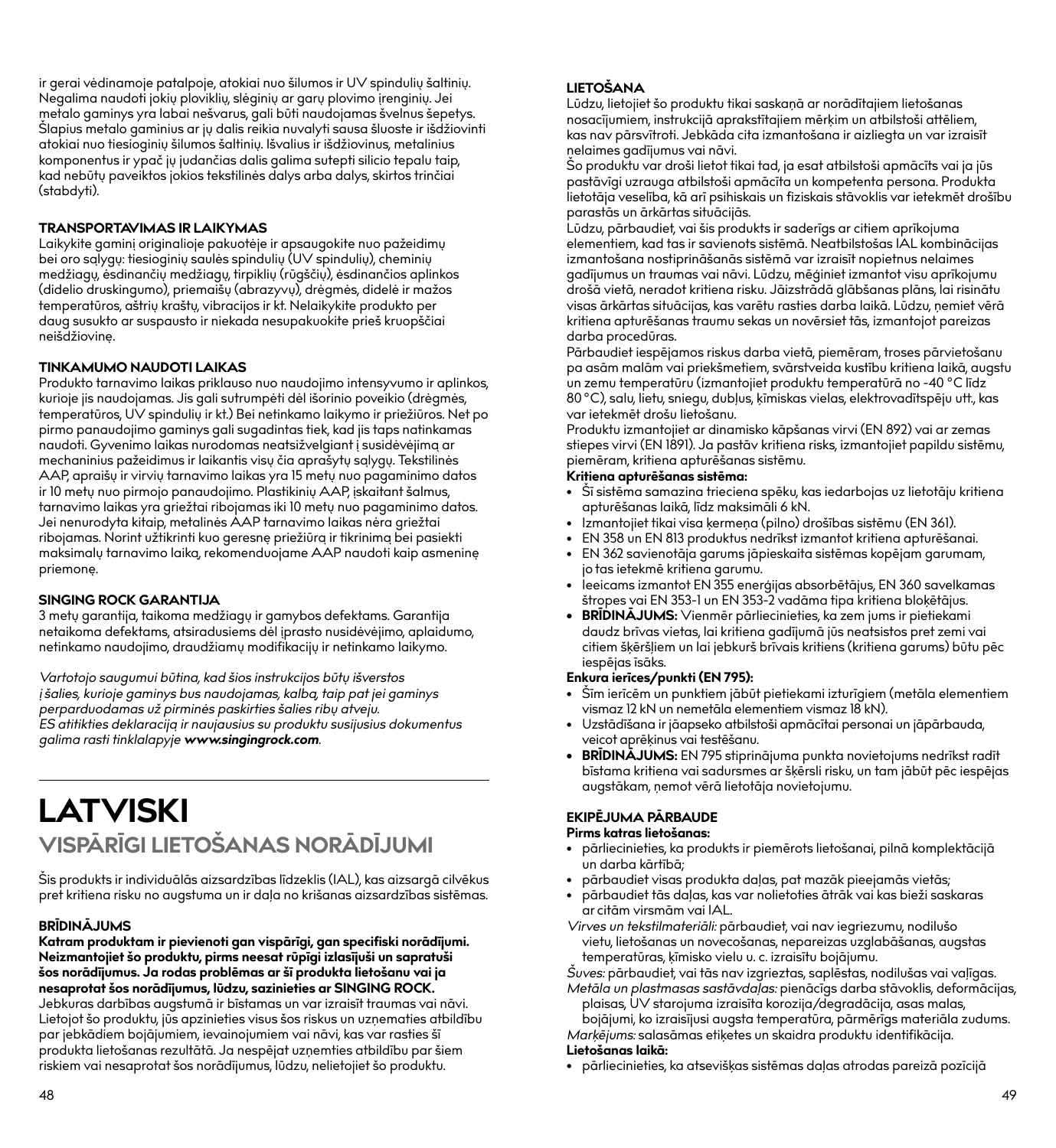ir gerai vėdinamoje patalpoje, atokiai nuo šilumos ir UV spindulių šaltinių. Negalima naudoti jokių ploviklių, slėginių ar garų plovimo įrenginių. Jei metalo gaminys yra labai nešvarus, gali būti naudojamas švelnus šepetys. Šlapius metalo gaminius ar jų dalis reikia nuvalyti sausa šluoste ir išdžiovinti atokiai nuo tiesioginių šilumos šaltinių. Išvalius ir išdžiovinus, metalinius komponentus ir ypač jų judančias dalis galima sutepti silicio tepalu taip, kad nebūtų paveiktos jokios tekstilinės dalys arba dalys, skirtos trinčiai (stabdyti).

#### **TRANSPORTAVIMAS IR LAIKYMAS**

Laikykite gaminį originalioje pakuotėje ir apsaugokite nuo pažeidimų bei oro sąlygų: tiesioginių saulės spindulių (UV spindulių), cheminių medžiagų, ėsdinančių medžiagų, tirpiklių (rūgščių), ėsdinančios aplinkos (didelio druskingumo), priemaišų (abrazyvų), drėgmės, didelė ir mažos temperatūros, aštrių kraštų, vibracijos ir kt. Nelaikykite produkto per daug susukto ar suspausto ir niekada nesupakuokite prieš kruopščiai neišdžiovinę.

#### **TINKAMUMO NAUDOTI LAIKAS**

Produkto tarnavimo laikas priklauso nuo naudojimo intensyvumo ir aplinkos, kurioje jis naudojamas. Jis gali sutrumpėti dėl išorinio poveikio (drėgmės, temperatūros, UV spindulių ir kt.) Bei netinkamo laikymo ir priežiūros. Net po pirmo panaudojimo gaminys gali sugadintas tiek, kad jis taps natinkamas naudoti. Gyvenimo laikas nurodomas neatsižvelgiant į susidėvėjimą ar mechaninius pažeidimus ir laikantis visų čia aprašytų sąlygų. Tekstilinės AAP, apraišų ir virvių tarnavimo laikas yra 15 metų nuo pagaminimo datos ir 10 metų nuo pirmojo panaudojimo. Plastikinių AAP, įskaitant šalmus, tarnavimo laikas yra griežtai ribojamas iki 10 metų nuo pagaminimo datos. Jei nenurodyta kitaip, metalinės AAP tarnavimo laikas nėra griežtai ribojamas. Norint užtikrinti kuo geresnę priežiūrą ir tikrinimą bei pasiekti maksimalų tarnavimo laiką, rekomenduojame AAP naudoti kaip asmeninę priemonę.

#### **SINGING ROCK GARANTIJA**

3 metų garantija, taikoma medžiagų ir gamybos defektams. Garantija netaikoma defektams, atsiradusiems dėl įprasto nusidėvėjimo, aplaidumo, netinkamo naudojimo, draudžiamų modifikacijų ir netinkamo laikymo.

*Vartotojo saugumui būtina, kad šios instrukcijos būtų išverstos į šalies, kurioje gaminys bus naudojamas, kalbą, taip pat jei gaminys perparduodamas už pirminės paskirties šalies ribų atveju. ES atitikties deklaraciją ir naujausius su produktu susijusius dokumentus galima rasti tinklalapyje www.singingrock.com.*

## **LATVISKI VISPĀRĪGI LIETOŠANAS NORĀDĪJUMI**

Šis produkts ir individuālās aizsardzības līdzeklis (IAL), kas aizsargā cilvēkus pret kritiena risku no augstuma un ir daļa no krišanas aizsardzības sistēmas.

#### **BRĪDINĀJUMS**

**Katram produktam ir pievienoti gan vispārīgi, gan specifiski norādījumi. Neizmantojiet šo produktu, pirms neesat rūpīgi izlasījuši un sapratuši šos norādījumus. Ja rodas problēmas ar šī produkta lietošanu vai ja nesaprotat šos norādījumus, lūdzu, sazinieties ar SINGING ROCK.**

Jebkuras darbības augstumā ir bīstamas un var izraisīt traumas vai nāvi. Lietojot šo produktu, jūs apzinieties visus šos riskus un uzņematies atbildību par jebkādiem bojājumiem, ievainojumiem vai nāvi, kas var rasties šī produkta lietošanas rezultātā. Ja nespējat uzņemties atbildību par šiem riskiem vai nesaprotat šos norādījumus, lūdzu, nelietojiet šo produktu.

#### **LIETOŠANA**

Lūdzu, lietojiet šo produktu tikai saskaņā ar norādītajiem lietošanas nosacījumiem, instrukcijā aprakstītajiem mērķim un atbilstoši attēliem, kas nav pārsvītroti. Jebkāda cita izmantošana ir aizliegta un var izraisīt nelaimes gadījumus vai nāvi.

Šo produktu var droši lietot tikai tad, ja esat atbilstoši apmācīts vai ja jūs pastāvīgi uzrauga atbilstoši apmācīta un kompetenta persona. Produkta lietotāja veselība, kā arī psihiskais un fiziskais stāvoklis var ietekmēt drošību parastās un ārkārtas situācijās.

Lūdzu, pārbaudiet, vai šis produkts ir saderīgs ar citiem aprīkojuma elementiem, kad tas ir savienots sistēmā. Neatbilstošas IAL kombinācijas izmantošana nostiprināšanās sistēmā var izraisīt nopietnus nelaimes gadījumus un traumas vai nāvi. Lūdzu, mēģiniet izmantot visu aprīkojumu drošā vietā, neradot kritiena risku. Jāizstrādā glābšanas plāns, lai risinātu visas ārkārtas situācijas, kas varētu rasties darba laikā. Lūdzu, ņemiet vērā kritiena apturēšanas traumu sekas un novērsiet tās, izmantojot pareizas darba procedūras.

Pārbaudiet iespējamos riskus darba vietā, piemēram, troses pārvietošanu pa asām malām vai priekšmetiem, svārstveida kustību kritiena laikā, augstu un zemu temperatūru (izmantojiet produktu temperatūrā no -40 °C līdz 80 °C), salu, lietu, sniegu, dubļus, ķīmiskas vielas, elektrovadītspēju utt., kas var ietekmēt drošu lietošanu.

Produktu izmantojiet ar dinamisko kāpšanas virvi (EN 892) vai ar zemas stiepes virvi (EN 1891). Ja pastāv kritiena risks, izmantojiet papildu sistēmu, piemēram, kritiena apturēšanas sistēmu.

#### **Kritiena apturēšanas sistēma:**

- Šī sistēma samazina trieciena spēku, kas iedarbojas uz lietotāju kritiena apturēšanas laikā, līdz maksimāli 6 kN.
- Izmantojiet tikai visa ķermeņa (pilno) drošības sistēmu (EN 361).
- EN 358 un EN 813 produktus nedrīkst izmantot kritiena apturēšanai.
- EN 362 savienotāja garums jāpieskaita sistēmas kopējam garumam, jo tas ietekmē kritiena garumu.
- Ieeicams izmantot EN 355 enerģijas absorbētājus, EN 360 savelkamas štropes vai EN 353-1 un EN 353-2 vadāma tipa kritiena bloķētājus.
- **• BRĪDINĀJUMS:** Vienmēr pārliecinieties, ka zem jums ir pietiekami daudz brīvas vietas, lai kritiena gadījumā jūs neatsistos pret zemi vai citiem šķēršļiem un lai jebkurš brīvais kritiens (kritiena garums) būtu pēc iespējas īsāks.

#### **Enkura ierīces/punkti (EN 795):**

- Šīm ierīcēm un punktiem jābūt pietiekami izturīgiem (metāla elementiem vismaz 12 kN un nemetāla elementiem vismaz 18 kN).
- Uzstādīšana ir jāapseko atbilstoši apmācītai personai un jāpārbauda, veicot aprēķinus vai testēšanu.
- **• BRĪDINĀJUMS:** EN 795 stiprinājuma punkta novietojums nedrīkst radīt bīstama kritiena vai sadursmes ar šķērsli risku, un tam jābūt pēc iespējas augstākam, ņemot vērā lietotāja novietojumu.

#### **EKIPĒJUMA PĀRBAUDE**

#### **Pirms katras lietošanas:**

- pārliecinieties, ka produkts ir piemērots lietošanai, pilnā komplektācijā un darba kārtībā;
- pārbaudiet visas produkta daļas, pat mazāk pieejamās vietās;
- pārbaudiet tās daļas, kas var nolietoties ātrāk vai kas bieži saskaras ar citām virsmām vai IAL.
- *Virves un tekstilmateriāli:* pārbaudiet, vai nav iegriezumu, nodilušo vietu, lietošanas un novecošanas, nepareizas uzglabāšanas, augstas temperatūras, ķīmisko vielu u. c. izraisītu bojājumu.

*Šuves:* pārbaudiet, vai tās nav izgrieztas, saplēstas, nodilušas vai vaļīgas. *Metāla un plastmasas sastāvdaļas:* pienācīgs darba stāvoklis, deformācijas,

plaisas, UV starojuma izraisīta korozija/degradācija, asas malas, bojājumi, ko izraisījusi augsta temperatūra, pārmērīgs materiāla zudums. *Marķējums:* salasāmas etiķetes un skaidra produktu identifikācija.

#### **Lietošanas laikā:**

• pārliecinieties, ka atsevišķas sistēmas daļas atrodas pareizā pozīcijā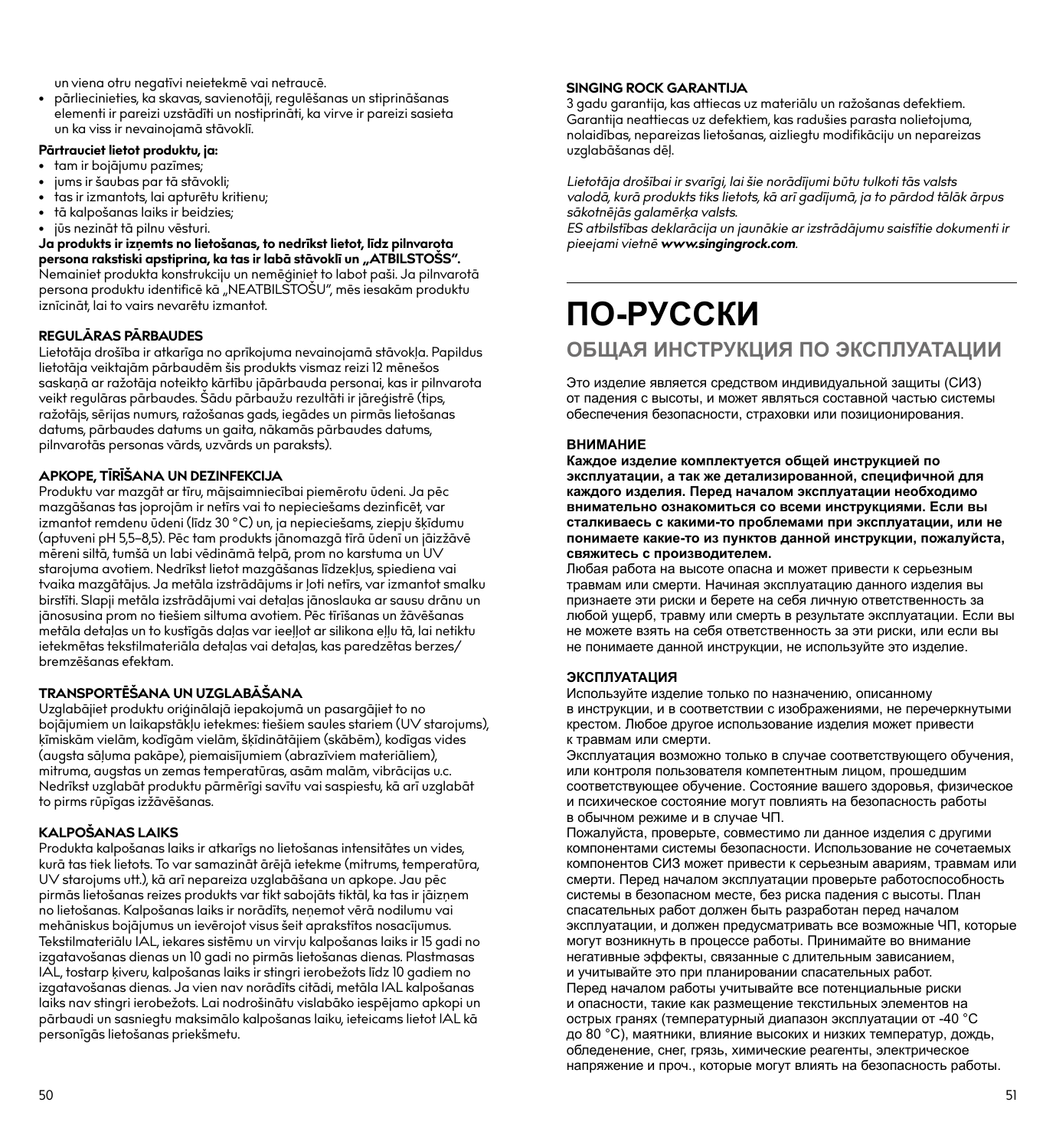un viena otru negatīvi neietekmē vai netraucē.

• pārliecinieties, ka skavas, savienotāji, regulēšanas un stiprināšanas elementi ir pareizi uzstādīti un nostiprināti, ka virve ir pareizi sasieta un ka viss ir nevainojamā stāvoklī.

#### **Pārtrauciet lietot produktu, ja:**

- tam ir bojājumu pazīmes;
- jums ir šaubas par tā stāvokli;
- tas ir izmantots, lai apturētu kritienu;

iznīcināt, lai to vairs nevarētu izmantot.

- tā kalpošanas laiks ir beidzies;
- jūs nezināt tā pilnu vēsturi.

**Ja produkts ir izņemts no lietošanas, to nedrīkst lietot, līdz pilnvarota persona rakstiski apstiprina, ka tas ir labā stāvoklī un "ATBILSTOŠS".**  Nemainiet produkta konstrukciju un nemēģiniet to labot paši. Ja pilnvarotā persona produktu identificē kā "NEATBILSTOŠU", mēs iesakām produktu

#### **REGULĀRAS PĀRBAUDES**

Lietotāja drošība ir atkarīga no aprīkojuma nevainojamā stāvokļa. Papildus lietotāja veiktajām pārbaudēm šis produkts vismaz reizi 12 mēnešos saskaņā ar ražotāja noteikto kārtību jāpārbauda personai, kas ir pilnvarota veikt regulāras pārbaudes. Šādu pārbaužu rezultāti ir jāreģistrē (tips, ražotājs, sērijas numurs, ražošanas gads, iegādes un pirmās lietošanas datums, pārbaudes datums un gaita, nākamās pārbaudes datums, pilnvarotās personas vārds, uzvārds un paraksts).

#### **APKOPE, TĪRĪŠANA UN DEZINFEKCIJA**

Produktu var mazgāt ar tīru, mājsaimniecībai piemērotu ūdeni. Ja pēc mazgāšanas tas joprojām ir netīrs vai to nepieciešams dezinficēt, var izmantot remdenu ūdeni (līdz 30 °C) un, ja nepieciešams, ziepju šķīdumu (aptuveni pH 5,5–8,5). Pēc tam produkts jānomazgā tīrā ūdenī un jāizžāvē mēreni siltā, tumšā un labi vēdināmā telpā, prom no karstuma un UV starojuma avotiem. Nedrīkst lietot mazgāšanas līdzekļus, spiediena vai tvaika mazgātājus. Ja metāla izstrādājums ir ļoti netīrs, var izmantot smalku birstīti. Slapji metāla izstrādājumi vai detaļas jānoslauka ar sausu drānu un jānosusina prom no tiešiem siltuma avotiem. Pēc tīrīšanas un žāvēšanas metāla detaļas un to kustīgās daļas var ieeļļot ar silikona eļļu tā, lai netiktu ietekmētas tekstilmateriāla detaļas vai detaļas, kas paredzētas berzes/ bremzēšanas efektam.

#### **TRANSPORTĒŠANA UN UZGLABĀŠANA**

Uzglabājiet produktu oriģinālajā iepakojumā un pasargājiet to no bojājumiem un laikapstākļu ietekmes: tiešiem saules stariem (UV starojums), ķīmiskām vielām, kodīgām vielām, šķīdinātājiem (skābēm), kodīgas vides (augsta sāļuma pakāpe), piemaisījumiem (abrazīviem materiāliem), mitruma, augstas un zemas temperatūras, asām malām, vibrācijas u.c. Nedrīkst uzglabāt produktu pārmērīgi savītu vai saspiestu, kā arī uzglabāt to pirms rūpīgas izžāvēšanas.

#### **KALPOŠANAS LAIKS**

Produkta kalpošanas laiks ir atkarīgs no lietošanas intensitātes un vides, kurā tas tiek lietots. To var samazināt ārējā ietekme (mitrums, temperatūra, UV starojums utt.), kā arī nepareiza uzglabāšana un apkope. Jau pēc pirmās lietošanas reizes produkts var tikt sabojāts tiktāl, ka tas ir jāizņem no lietošanas. Kalpošanas laiks ir norādīts, neņemot vērā nodilumu vai mehāniskus bojājumus un ievērojot visus šeit aprakstītos nosacījumus. Tekstilmateriālu IAL, iekares sistēmu un virvju kalpošanas laiks ir 15 gadi no izgatavošanas dienas un 10 gadi no pirmās lietošanas dienas. Plastmasas IAL, tostarp ķiveru, kalpošanas laiks ir stingri ierobežots līdz 10 gadiem no izgatavošanas dienas. Ja vien nav norādīts citādi, metāla IAL kalpošanas laiks nav stingri ierobežots. Lai nodrošinātu vislabāko iespējamo apkopi un pārbaudi un sasniegtu maksimālo kalpošanas laiku, ieteicams lietot IAL kā personīgās lietošanas priekšmetu.

#### **SINGING ROCK GARANTIJA**

3 gadu garantija, kas attiecas uz materiālu un ražošanas defektiem. Garantija neattiecas uz defektiem, kas radušies parasta nolietojuma, nolaidības, nepareizas lietošanas, aizliegtu modifikāciju un nepareizas uzglabāšanas dēļ.

*Lietotāja drošībai ir svarīgi, lai šie norādījumi būtu tulkoti tās valsts valodā, kurā produkts tiks lietots, kā arī gadījumā, ja to pārdod tālāk ārpus sākotnējās galamērķa valsts.*

*ES atbilstības deklarācija un jaunākie ar izstrādājumu saistītie dokumenti ir pieejami vietnē www.singingrock.com.*

## **ПО-РУССКИ ОБЩАЯ ИНСТРУКЦИЯ ПО ЭКСПЛУАТАЦИИ**

Это изделие является средством индивидуальной защиты (СИЗ) от падения с высоты, и может являться составной частью системы обеспечения безопасности, страховки или позиционирования.

#### **ВНИМАНИЕ**

**Каждое изделие комплектуется общей инструкцией по эксплуатации, а так же детализированной, специфичной для каждого изделия. Перед началом эксплуатации необходимо внимательно ознакомиться со всеми инструкциями. Если вы сталкиваесь с какими-то проблемами при эксплуатации, или не понимаете какие-то из пунктов данной инструкции, пожалуйста, свяжитесь с производителем.**

Любая работа на высоте опасна и может привести к серьезным травмам или смерти. Начиная эксплуатацию данного изделия вы признаете эти риски и берете на себя личную ответственность за любой ущерб, травму или смерть в результате эксплуатации. Если вы не можете взять на себя ответственность за эти риски, или если вы не понимаете данной инструкции, не используйте это изделие.

#### **ЭКСПЛУАТАЦИЯ**

Используйте изделие только по назначению, описанному в инструкции, и в соответствии с изображениями, не перечеркнутыми крестом. Любое другое использование изделия может привести к травмам или смерти.

Эксплуатация возможно только в случае соответствующего обучения, или контроля пользователя компетентным лицом, прошедшим соответствующее обучение. Состояние вашего здоровья, физическое и психическое состояние могут повлиять на безопасность работы в обычном режиме и в случае ЧП.

Пожалуйста, проверьте, совместимо ли данное изделия с другими компонентами системы безопасности. Использование не сочетаемых компонентов СИЗ может привести к серьезным авариям, травмам или смерти. Перед началом эксплуатации проверьте работоспособность системы в безопасном месте, без риска падения с высоты. План спасательных работ должен быть разработан перед началом эксплуатации, и должен предусматривать все возможные ЧП, которые могут возникнуть в процессе работы. Принимайте во внимание негативные эффекты, связанные с длительным зависанием, и учитывайте это при планировании спасательных работ. Перед началом работы учитывайте все потенциальные риски и опасности, такие как размещение текстильных элементов на острых гранях (температурный диапазон эксплуатации от -40 °C до 80 °С), маятники, влияние высоких и низких температур, дождь, обледенение, снег, грязь, химические реагенты, электрическое напряжение и проч., которые могут влиять на безопасность работы.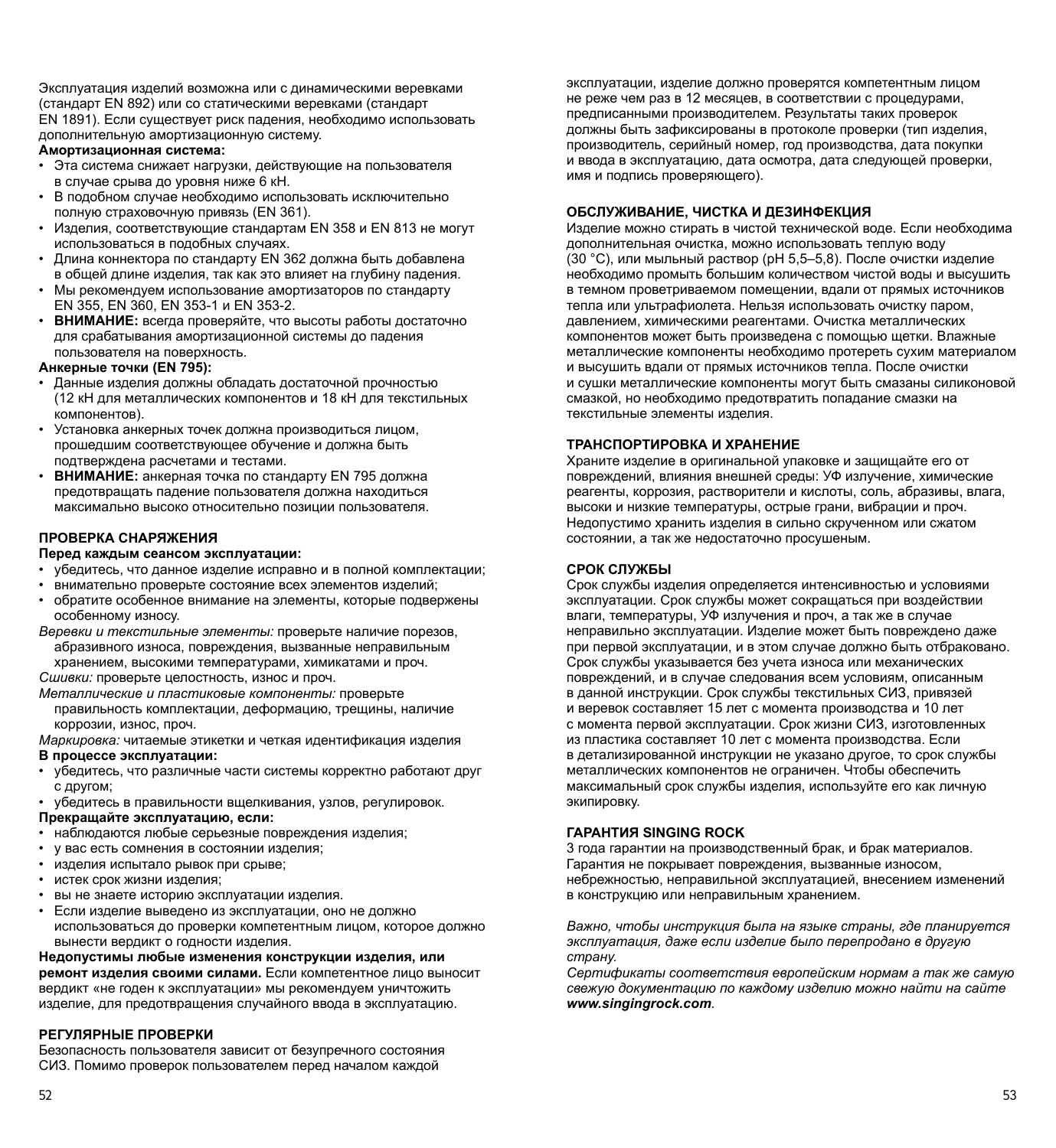Эксплуатация изделий возможна или с динамическими веревками (стандарт EN 892) или со статическими веревками (стандарт EN 1891). Если существует риск падения, необходимо использовать дополнительную амортизационную систему.

#### **Амортизационная система:**

- Эта система снижает нагрузки, действующие на пользователя в случае срыва до уровня ниже 6 кН.
- В подобном случае необходимо использовать исключительно полную страховочную привязь (EN 361).
- Изделия, соответствующие стандартам EN 358 и EN 813 не могут использоваться в подобных случаях.
- Длина коннектора по стандарту EN 362 должна быть добавлена в общей длине изделия, так как это влияет на глубину падения.
- Мы рекомендуем использование амортизаторов по стандарту EN 355, EN 360, EN 353-1 и EN 353-2.
- **ВНИМАНИЕ:** всегда проверяйте, что высоты работы достаточно для срабатывания амортизационной системы до падения пользователя на поверхность.

#### **Анкерные точки (EN 795):**

- Данные изделия должны обладать достаточной прочностью (12 кН для металлических компонентов и 18 кН для текстильных компонентов).
- Установка анкерных точек должна производиться лицом, прошедшим соответствующее обучение и должна быть подтверждена расчетами и тестами.
- **ВНИМАНИЕ:** анкерная точка по стандарту ЕN 795 должна предотвращать падение пользователя должна находиться максимально высоко относительно позиции пользователя.

#### **ПРОВЕРКА СНАРЯЖЕНИЯ**

#### **Перед каждым сеансом эксплуатации:**

- убедитесь, что данное изделие исправно и в полной комплектации;
- внимательно проверьте состояние всех элементов изделий;
- обратите особенное внимание на элементы, которые подвержены особенному износу.
- *Веревки и текстильные элементы:* проверьте наличие порезов, абразивного износа, повреждения, вызванные неправильным хранением, высокими температурами, химикатами и проч.

*Сшивки:* проверьте целостность, износ и проч.

*Металлические и пластиковые компоненты:* проверьте правильность комплектации, деформацию, трещины, наличие коррозии, износ, проч.

*Маркировка:* читаемые этикетки и четкая идентификация изделия

#### **В процессе эксплуатации:**

- убедитесь, что различные части системы корректно работают друг с другом;
- убедитесь в правильности вщелкивания, узлов, регулировок.

#### **Прекращайте эксплуатацию, если:**

- наблюдаются любые серьезные повреждения изделия;
- у вас есть сомнения в состоянии изделия;
- изделия испытало рывок при срыве;
- истек срок жизни изделия;
- вы не знаете историю эксплуатации изделия.
- Если изделие выведено из эксплуатации, оно не должно использоваться до проверки компетентным лицом, которое должно вынести вердикт о годности изделия.

**Недопустимы любые изменения конструкции изделия, или ремонт изделия своими силами.** Если компетентное лицо выносит вердикт «не годен к эксплуатации» мы рекомендуем уничтожить изделие, для предотвращения случайного ввода в эксплуатацию.

#### **РЕГУЛЯРНЫЕ ПРОВЕРКИ**

Безопасность пользователя зависит от безупречного состояния СИЗ. Помимо проверок пользователем перед началом каждой

эксплуатации, изделие должно проверятся компетентным лицом не реже чем раз в 12 месяцев, в соответствии с процедурами, предписанными производителем. Результаты таких проверок должны быть зафиксированы в протоколе проверки (тип изделия, производитель, серийный номер, год производства, дата покупки и ввода в эксплуатацию, дата осмотра, дата следующей проверки, имя и подпись проверяющего).

#### **ОБСЛУЖИВАНИЕ, ЧИСТКА И ДЕЗИНФЕКЦИЯ**

Изделие можно стирать в чистой технической воде. Если необходима дополнительная очистка, можно использовать теплую воду (30 °С), или мыльный раствор (рН 5,5–5,8). После очистки изделие необходимо промыть большим количеством чистой воды и высушить в темном проветриваемом помещении, вдали от прямых источников тепла или ультрафиолета. Нельзя использовать очистку паром, давлением, химическими реагентами. Очистка металлических компонентов может быть произведена с помощью щетки. Влажные металлические компоненты необходимо протереть сухим материалом и высушить вдали от прямых источников тепла. После очистки и сушки металлические компоненты могут быть смазаны силиконовой смазкой, но необходимо предотвратить попадание смазки на текстильные элементы изделия.

#### **ТРАНСПОРТИРОВКА И ХРАНЕНИЕ**

Храните изделие в оригинальной упаковке и защищайте его от повреждений, влияния внешней среды: УФ излучение, химические реагенты, коррозия, растворители и кислоты, соль, абразивы, влага, высоки и низкие температуры, острые грани, вибрации и проч. Недопустимо хранить изделия в сильно скрученном или сжатом состоянии, а так же недостаточно просушеным.

#### **СРОК СЛУЖБЫ**

Срок службы изделия определяется интенсивностью и условиями эксплуатации. Срок службы может сокращаться при воздействии влаги, температуры, УФ излучения и проч, а так же в случае неправильно эксплуатации. Изделие может быть повреждено даже при первой эксплуатации, и в этом случае должно быть отбраковано. Срок службы указывается без учета износа или механических повреждений, и в случае следования всем условиям, описанным в данной инструкции. Срок службы текстильных СИЗ, привязей и веревок составляет 15 лет с момента производства и 10 лет с момента первой эксплуатации. Срок жизни СИЗ, изготовленных из пластика составляет 10 лет с момента производства. Если в детализированной инструкции не указано другое, то срок службы металлических компонентов не ограничен. Чтобы обеспечить максимальный срок службы изделия, используйте его как личную экипировку.

#### **ГАРАНТИЯ SINGING ROCK**

3 года гарантии на производственный брак, и брак материалов. Гарантия не покрывает повреждения, вызванные износом, небрежностью, неправильной эксплуатацией, внесением изменений в конструкцию или неправильным хранением.

*Важно, чтобы инструкция была на языке страны, где планируется эксплуатация, даже если изделие было перепродано в другую страну.*

*Сертификаты соответствия европейским нормам а так же самую свежую документацию по каждому изделию можно найти на сайте www.singingrock.com.*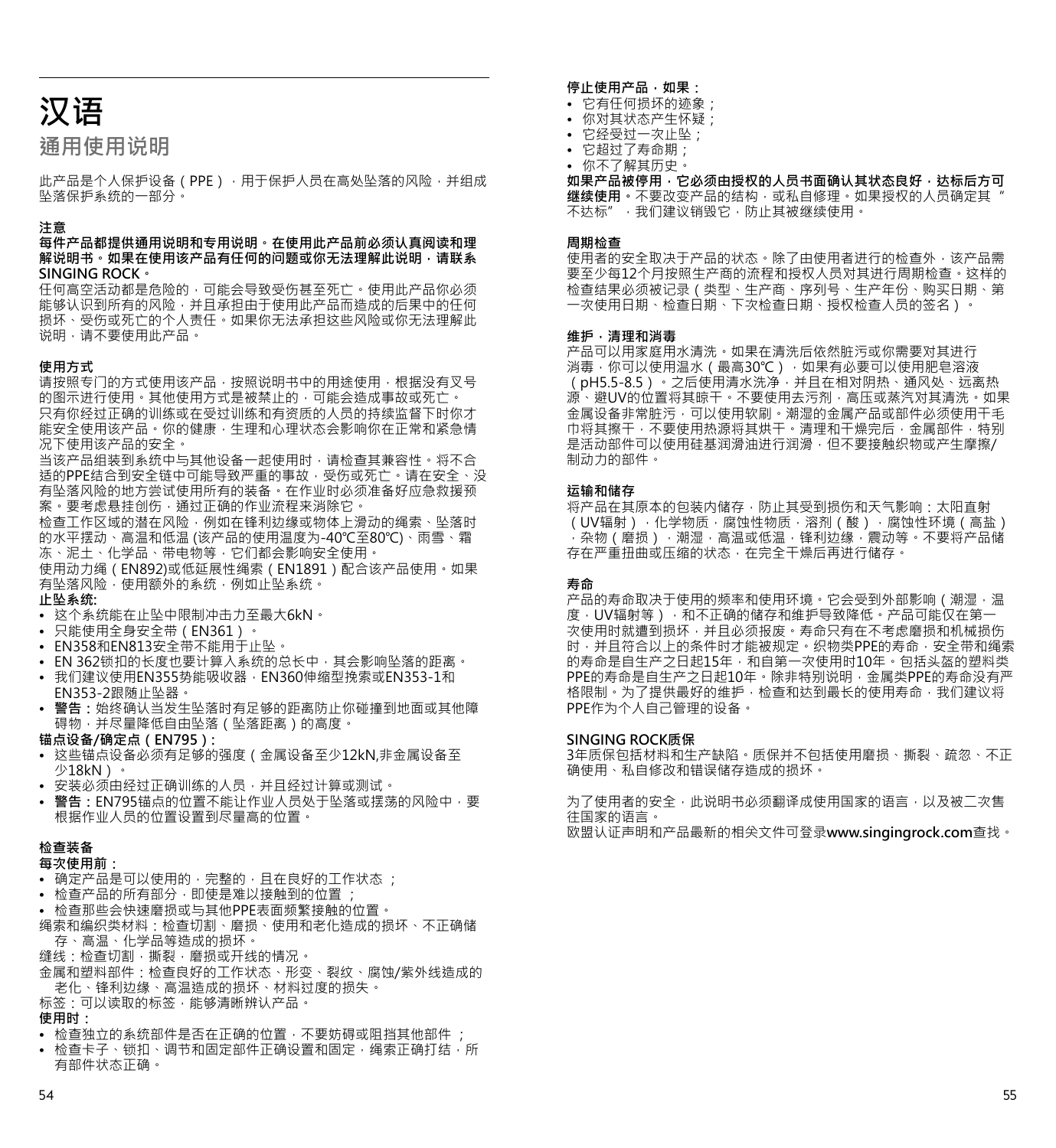# **汉语**

## **通用使用说明**

此产品是个人保护设备(PPE),用干保护人员在高处坠落的风险,并组成 坠落保护系统的一部分。

#### **注意**

#### **每件产品都提供通用说明和专用说明。在使用此产品前必须认真阅读和理 解说明书。如果在使用该产品有任何的问题或你无法理解此说明,请联系 SINGING ROCK。**

任何高空活动都是危险的,可能会导致受伤甚至死亡。使用此产品你必须 能够认识到所有的风险,并且承担由于使用此产品而造成的后果中的任何 损坏、受伤或死亡的个人责任。如果你无法承担这些风险或你无法理解此 说明,请不要使用此产品。

#### **使用方式**

。<br>请按照专门的方式使用该产品 · 按照说明书中的用途使用 · 根据没有叉号 的图示进行使用。其他使用方式是被禁止的,可能会造成事故或死亡。 **它出口这分子,我们会对对于我的**基督的。<br>只有你经过正确的训练或在受过训练和有资质的人员的持续监督下时你才 能安全使用该产品。你的健康,生理和心理状态会影响你在正常和紧急情 况下使用该产品的安全。

当该产品组装到系统中与其他设备一起使用时,请检查其兼容性。将不合 适的PPE结合到安全链中可能导致严重的事故,受伤或死亡。请在安全、没 有坠落风险的地方尝试使用所有的装备。在作业时必须准备好应急救援预 案·要考虑悬挂创伤,通过正确的作业流程来消除它。

检查工作区域的潜在风险,例如在锋利边缘或物体上滑动的绳索、坠落时 的水平摆动、高温和低温 (该产品的使用温度为-40℃至80℃)、雨雪、霜 冻、泥土、化学品、带电物等,它们都会影响安全使用。

使用动力绳(EN892)或低延展性绳索(EN1891)配合该产品使用。如果 有坠落风险,使用额外的系统,例如止坠系统。 **止坠系统:**

- 这个系统能在止坠中限制冲击力至最大6kN。
- 只能使用全身安全带(EN361)。
- EN358和EN813安全带不能用于止坠。
- EN 362锁扣的长度也要计算入系统的总长中,其会影响坠落的距离。
- 我们建议使用EN355势能吸收器,EN360伸缩型挽索或EN353-1和 EN353-2跟随止坠器。
- **• 警告:**始终确认当发生坠落时有足够的距离防止你碰撞到地面或其他障 碍物,并尽量降低自由坠落(坠落距离)的高度。

**锚点设备/确定点(EN795):**

- 这些锚点设备必须有足够的强度(金属设备至少12kN,非金属设备至 少18kN)。
- 安装必须由经过正确训练的人员,并且经过计算或测试。
- 警告:EN795锚点的位置不能让作业人员处于坠落或摆荡的风险中 · 要<br>- 根据作业人员的位置设置到尽量高的位置 ·

#### **检查装备**

#### **每次使用前:**

- 确定产品是可以使用的,完整的,且在良好的工作状态 ;
- 检查产品的所有部分,即使是难以接触到的位置;
- 检查那些会快速磨损或与其他PPE表面频繁接触的位置。
- 绳索和编织类材料:检查切割、磨损、使用和老化造成的损坏、不正确储 存、高温、化学品等造成的损坏。
- 缝线:检查切割,撕裂,磨损或开线的情况。
- 金属和塑料部件:检查良好的工作状态、形变、裂纹、腐蚀/紫外线造成的 老化、锋利边缘、高温造成的损坏、材料过度的损失。
- 标签:可以读取的标签,能够清晰辨认产品。 **使用时:**

- 检查独立的系统部件是否在正确的位置,不要妨碍或阻挡其他部件 ;
- 检查卡子、锁扣、调节和固定部件正确设置和固定,绳索正确打结,所 有部件状态正确。

#### **停止使用产品,如果:**

- 它有任何损坏的迹象;
- 你对其状态产生怀疑;
- 它经受过一次止坠;
- 它超过了寿命期; • 你不了解其历史。
- 

如果产品被停用,它必须由授权的人员书面确认其状态良好,达标后方可 **继续使用。不**要改变产品的结构,或私自修理。如果授权的人员确定其 不达标",我们建议销毁它,防止其被继续使用。

#### **周期检查**

使用者的安全取决于产品的状态。除了由使用者进行的检查外,该产品需 要至少每12个月按照生产商的流程和授权人员对其进行周期检查。这样的 检查结果必须被记录(类型、生产商、序列号、生产年份、购买日期、第 一次使用日期、检查日期、下次检查日期、授权检查人员的签名)。

#### **维护,清理和消毒**

产品可以用家庭用水清洗。如果在清洗后依然脏污或你需要对其进行 消毒,你可以使用温水(最高30℃),如果有必要可以使用肥皂溶液 (pH5.5-8.5)。之后使用清水洗净,并且在相对阴热、通风处、远离热 源、避UV的位置将其晾干。不要使用去污剂,高压或蒸汽对其清洗。如果 金属设备非常脏污,可以使用软刷。潮湿的金属产品或部件必须使用干毛 巾将其擦干,不要使用热源将其烘干。清理和干燥完后,金属部件,特别 是活动部件可以使用硅基润滑油进行润滑,但不要接触织物或产生摩擦/ 制动力的部件。

#### **运输和储存**

将产品在其原本的包装内储存,防止其受到损伤和天气影响:太阳直射 (UV辐射),化学物质,腐蚀性物质,溶剂(酸),腐蚀性环境(高盐) ,杂物(磨损),潮湿,高温或低温,锋利边缘,震动等。不要将产品储 存在严重扭曲或压缩的状态,在完全干燥后再进行储存。

#### **寿命**

产品的寿命取决于使用的频率和使用环境 · 它会受到外部影响 (潮湿,温 度·UV辐射等)·和不正确的储存和维护导致降低·产品可能仅在第一 次使用时就遭到损坏,并且必须报废。寿命只有在不考虑磨损和机械损伤 时,并且符合以上的条件时才能被规定。织物类PPE的寿命,安全带和绳索 的寿命是自生产之日起15年,和自第一次使用时10年。包括头盔的塑料类 PPE的寿命是自生产之日起10年。除非特别说明,金属类PPE的寿命没有严 格限制。为了提供最好的维护,检查和达到最长的使用寿命,我们建议将 PPE作为个人自己管理的设备。

#### **SINGING ROCK质保**

3年质保包括材料和生产缺陷。质保并不包括使用磨损、撕裂、疏忽、不正 确使用、私自修改和错误储存造成的损坏。

为了使用者的安全,此说明书必须翻译成使用国家的语言,以及被二次售 往国家的语言。 欧盟认证声明和产品最新的相关文件可登录**www.singingrock.com**查找。